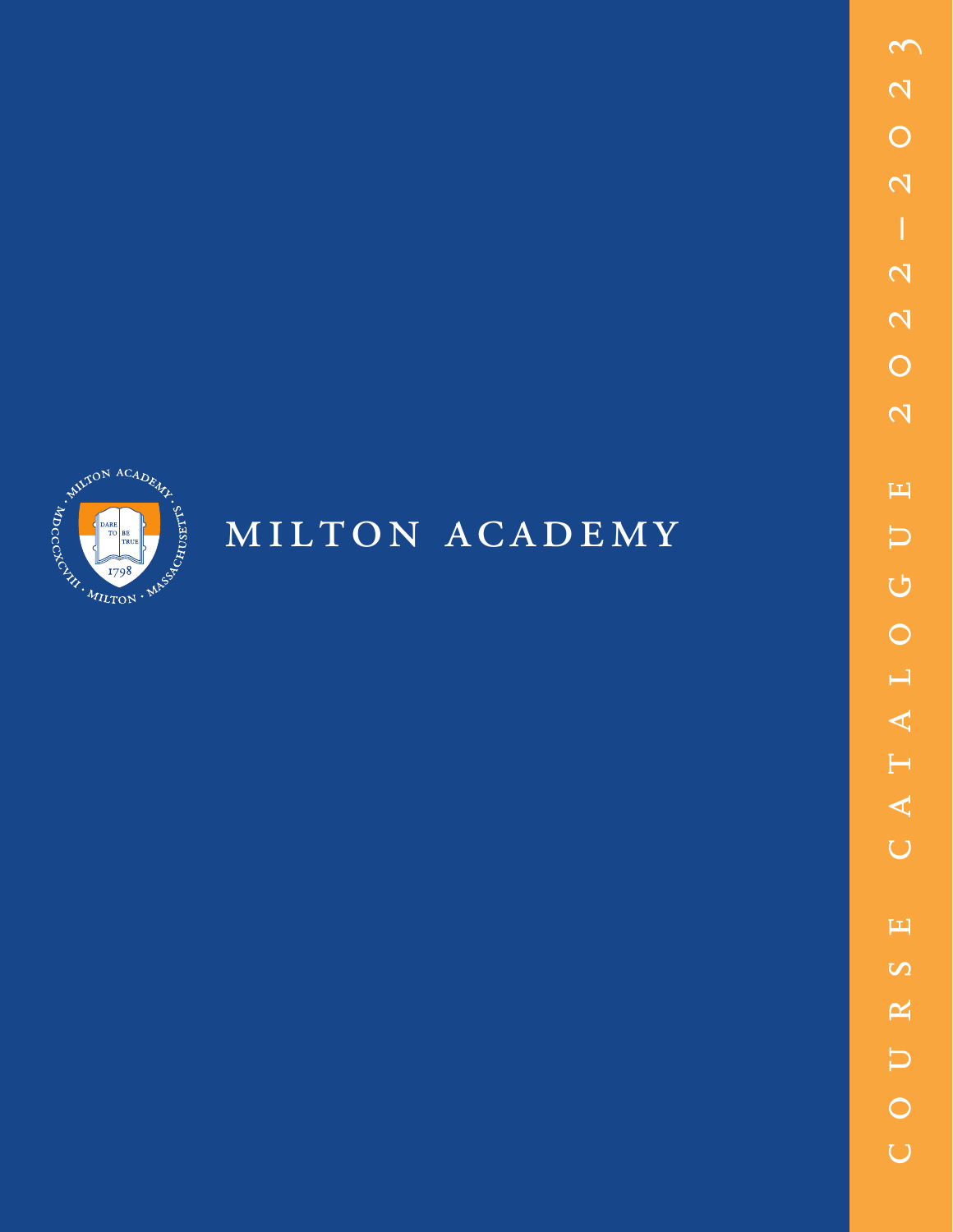

# MILTON ACADEMY

 $\mathfrak{S}$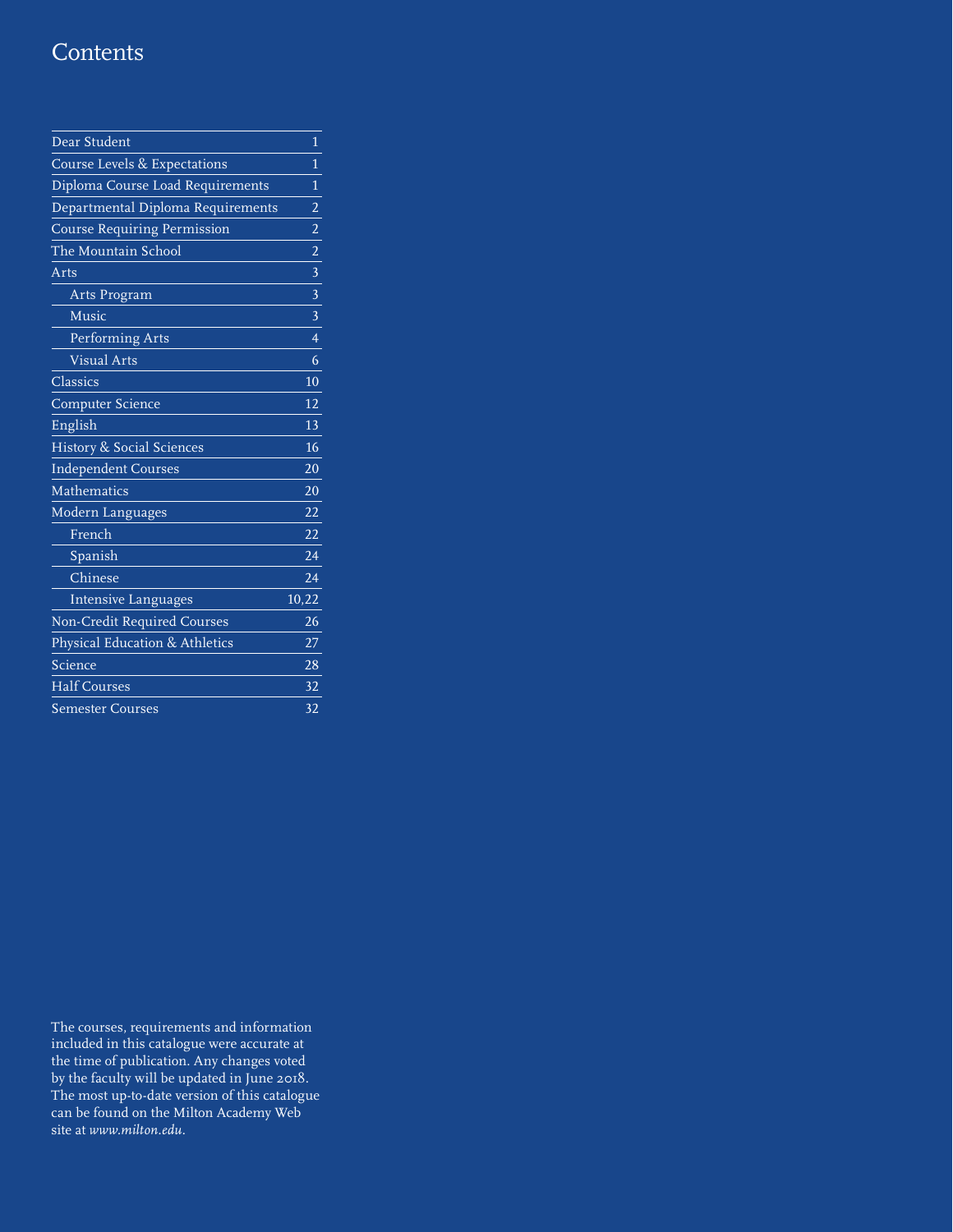# **Contents**

| Dear Student                       | 1               |
|------------------------------------|-----------------|
| Course Levels & Expectations       | 1               |
| Diploma Course Load Requirements   | 1               |
| Departmental Diploma Requirements  | 2               |
| <b>Course Requiring Permission</b> | $\overline{a}$  |
| The Mountain School                | $\overline{2}$  |
| Arts                               | 3               |
| Arts Program                       | 3               |
| Music                              | $\overline{3}$  |
| Performing Arts                    | $\overline{4}$  |
| <b>Visual Arts</b>                 | 6               |
| Classics                           | 10              |
| <b>Computer Science</b>            | 12              |
| English                            | 13              |
| History & Social Sciences          | 16              |
| <b>Independent Courses</b>         | 20              |
| Mathematics                        | 20              |
| Modern Languages                   | $\overline{22}$ |
| French                             | 22              |
| Spanish                            | 24              |
| Chinese                            | $\overline{24}$ |
| Intensive Languages                | 10,22           |
| Non-Credit Required Courses        | 26              |
| Physical Education & Athletics     | 27              |
| Science                            | $\overline{28}$ |
| <b>Half Courses</b>                | 32              |
| <b>Semester Courses</b>            | 32              |

The courses, requirements and information included in this catalogue were accurate at the time of publication. Any changes voted by the faculty will be updated in June 2018. The most up-to-date version of this catalogue can be found on the Milton Academy Web site at *www.milton.edu.*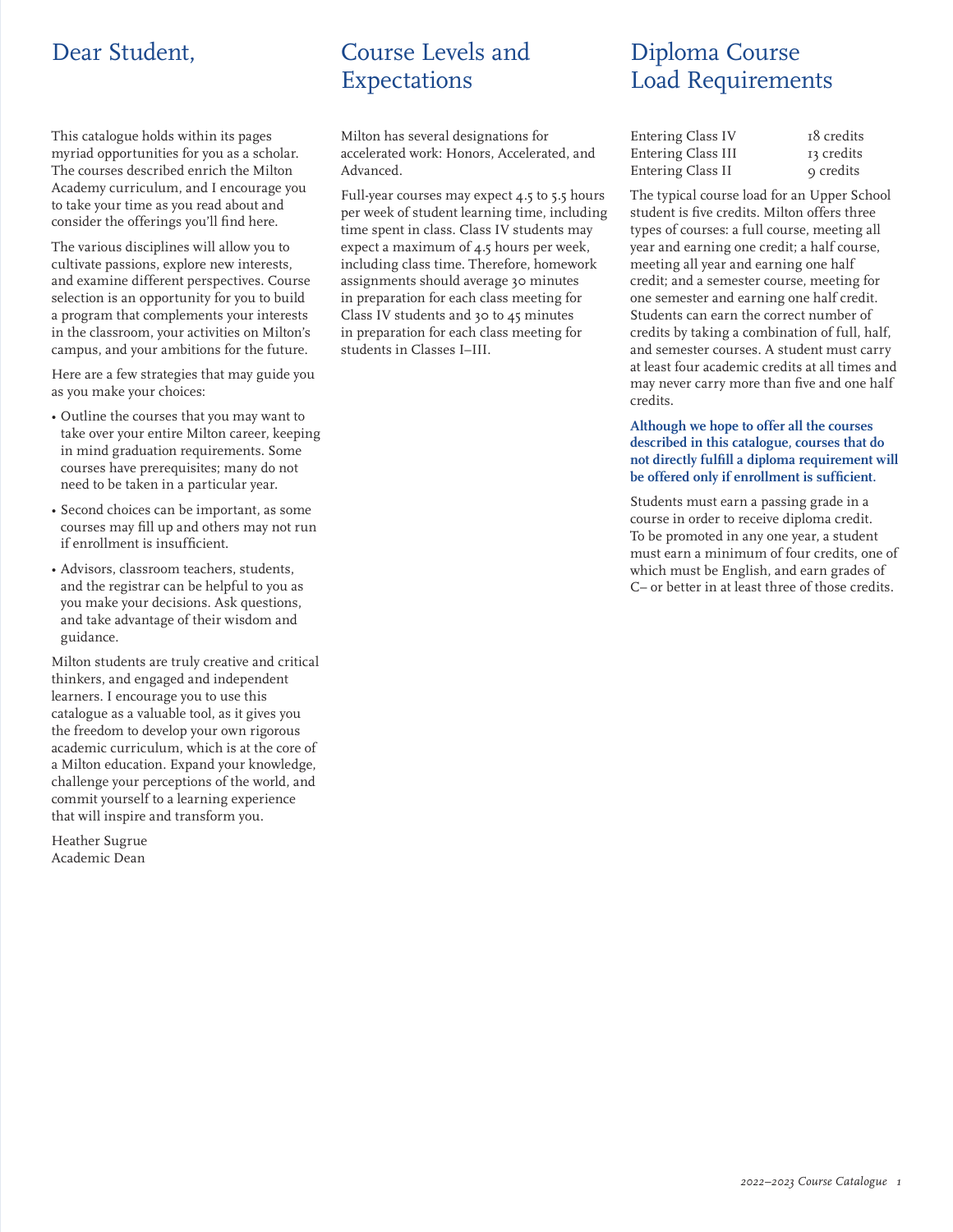# Dear Student,

This catalogue holds within its pages myriad opportunities for you as a scholar. The courses described enrich the Milton Academy curriculum, and I encourage you to take your time as you read about and consider the offerings you'll find here.

The various disciplines will allow you to cultivate passions, explore new interests, and examine different perspectives. Course selection is an opportunity for you to build a program that complements your interests in the classroom, your activities on Milton's campus, and your ambitions for the future.

Here are a few strategies that may guide you as you make your choices:

- Outline the courses that you may want to take over your entire Milton career, keeping in mind graduation requirements. Some courses have prerequisites; many do not need to be taken in a particular year.
- Second choices can be important, as some courses may fill up and others may not run if enrollment is insufficient.
- Advisors, classroom teachers, students, and the registrar can be helpful to you as you make your decisions. Ask questions, and take advantage of their wisdom and guidance.

Milton students are truly creative and critical thinkers, and engaged and independent learners. I encourage you to use this catalogue as a valuable tool, as it gives you the freedom to develop your own rigorous academic curriculum, which is at the core of a Milton education. Expand your knowledge, challenge your perceptions of the world, and commit yourself to a learning experience that will inspire and transform you.

Heather Sugrue Academic Dean

# Course Levels and Expectations

Milton has several designations for accelerated work: Honors, Accelerated, and Advanced.

Full-year courses may expect 4.5 to 5.5 hours per week of student learning time, including time spent in class. Class IV students may expect a maximum of 4.5 hours per week, including class time. Therefore, homework assignments should average 30 minutes in preparation for each class meeting for Class IV students and 30 to 45 minutes in preparation for each class meeting for students in Classes I–III.

# Diploma Course Load Requirements

| Entering Class IV  | 18 credits |
|--------------------|------------|
| Entering Class III | 13 credits |
| Entering Class II  | o credits  |

The typical course load for an Upper School student is five credits. Milton offers three types of courses: a full course, meeting all year and earning one credit; a half course, meeting all year and earning one half credit; and a semester course, meeting for one semester and earning one half credit. Students can earn the correct number of credits by taking a combination of full, half, and semester courses. A student must carry at least four academic credits at all times and may never carry more than five and one half credits.

#### **Although we hope to offer all the courses described in this catalogue, courses that do not directly fulfill a diploma requirement will be offered only if enrollment is sufficient.**

Students must earn a passing grade in a course in order to receive diploma credit. To be promoted in any one year, a student must earn a minimum of four credits, one of which must be English, and earn grades of C– or better in at least three of those credits.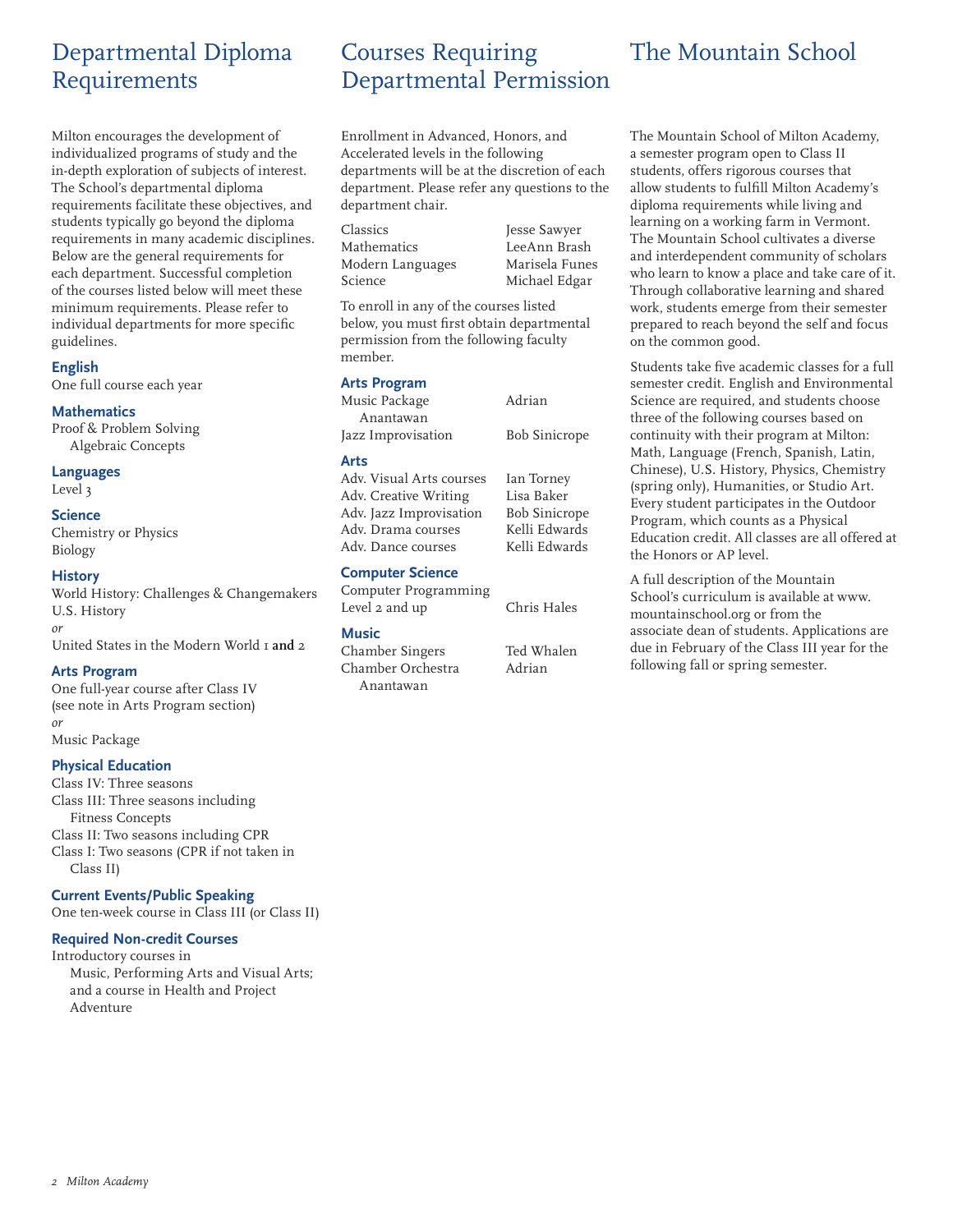# Departmental Diploma Requirements

Milton encourages the development of individualized programs of study and the in-depth exploration of subjects of interest. The School's departmental diploma requirements facilitate these objectives, and students typically go beyond the diploma requirements in many academic disciplines. Below are the general requirements for each department. Successful completion of the courses listed below will meet these minimum requirements. Please refer to individual departments for more specific guidelines.

#### **English**

One full course each year

#### **Mathematics**

Proof & Problem Solving Algebraic Concepts

#### **Languages**

Level 3

#### **Science**

Chemistry or Physics Biology

#### **History**

World History: Challenges & Changemakers U.S. History *or* United States in the Modern World 1 **and** 2

#### **Arts Program**

One full-year course after Class IV (see note in Arts Program section) *or* Music Package

# **Physical Education**

Class IV: Three seasons Class III: Three seasons including Fitness Concepts Class II: Two seasons including CPR Class I: Two seasons (CPR if not taken in Class II)

#### **Current Events/Public Speaking**

One ten-week course in Class III (or Class II)

# **Required Non-credit Courses**

Introductory courses in Music, Performing Arts and Visual Arts; and a course in Health and Project Adventure

# Courses Requiring Departmental Permission

Enrollment in Advanced, Honors, and Accelerated levels in the following departments will be at the discretion of each department. Please refer any questions to the department chair.

Classics Jesse Sawyer Mathematics LeeAnn Brash Modern Languages Marisela Funes Science Michael Edgar

To enroll in any of the courses listed below, you must first obtain departmental permission from the following faculty member.

#### **Arts Program**

| Music Package            | Adrian               |  |
|--------------------------|----------------------|--|
| Anantawan                |                      |  |
| Jazz Improvisation       | <b>Bob Sinicrope</b> |  |
| Arts                     |                      |  |
| Adv. Visual Arts courses | Ian Torney           |  |

Adv. Creative Writing Lisa Baker Adv. Jazz Improvisation Bob Sinicrope Adv. Drama courses Kelli Edwards Adv. Dance courses Kelli Edwards

#### **Computer Science**

Computer Programming Level 2 and up Chris Hales

#### **Music**

Chamber Singers Ted Whalen Chamber Orchestra Adrian Anantawan

# The Mountain School

The Mountain School of Milton Academy, a semester program open to Class II students, offers rigorous courses that allow students to fulfill Milton Academy's diploma requirements while living and learning on a working farm in Vermont. The Mountain School cultivates a diverse and interdependent community of scholars who learn to know a place and take care of it. Through collaborative learning and shared work, students emerge from their semester prepared to reach beyond the self and focus on the common good.

Students take five academic classes for a full semester credit. English and Environmental Science are required, and students choose three of the following courses based on continuity with their program at Milton: Math, Language (French, Spanish, Latin, Chinese), U.S. History, Physics, Chemistry (spring only), Humanities, or Studio Art. Every student participates in the Outdoor Program, which counts as a Physical Education credit. All classes are all offered at the Honors or AP level.

A full description of the Mountain School's curriculum is available at www. mountainschool.org or from the associate dean of students. Applications are due in February of the Class III year for the following fall or spring semester.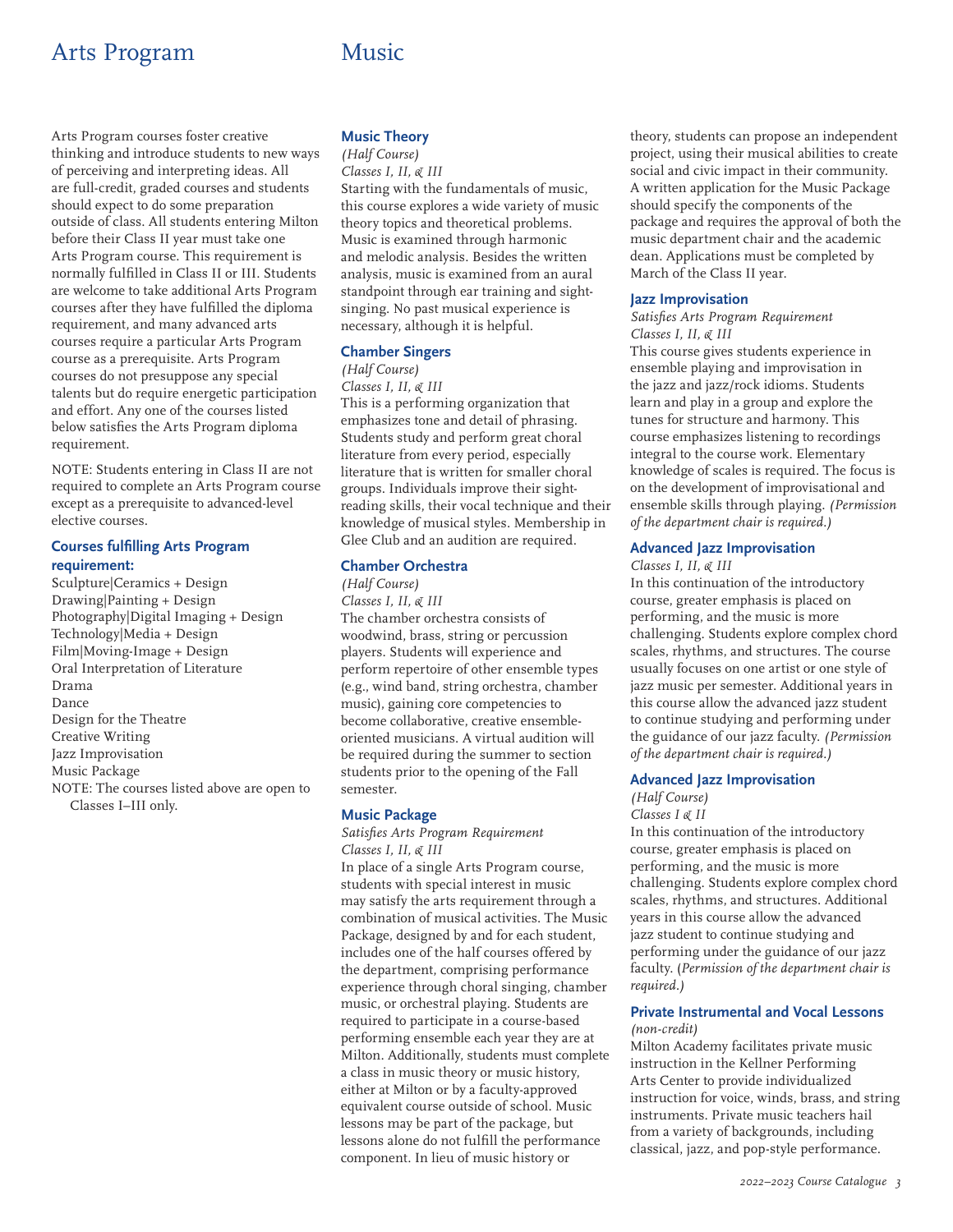# Arts Program Music

Arts Program courses foster creative thinking and introduce students to new ways of perceiving and interpreting ideas. All are full-credit, graded courses and students should expect to do some preparation outside of class. All students entering Milton before their Class II year must take one Arts Program course. This requirement is normally fulfilled in Class II or III. Students are welcome to take additional Arts Program courses after they have fulfilled the diploma requirement, and many advanced arts courses require a particular Arts Program course as a prerequisite. Arts Program courses do not presuppose any special talents but do require energetic participation and effort. Any one of the courses listed below satisfies the Arts Program diploma requirement.

NOTE: Students entering in Class II are not required to complete an Arts Program course except as a prerequisite to advanced-level elective courses.

# **Courses fulfilling Arts Program requirement:**

Sculpture|Ceramics + Design Drawing|Painting + Design Photography|Digital Imaging + Design Technology|Media + Design Film|Moving-Image + Design Oral Interpretation of Literature Drama Dance Design for the Theatre Creative Writing Jazz Improvisation Music Package NOTE: The courses listed above are open to Classes I–III only.

# **Music Theory**

# *(Half Course)*

*Classes I, II, & III* Starting with the fundamentals of music, this course explores a wide variety of music theory topics and theoretical problems. Music is examined through harmonic and melodic analysis. Besides the written analysis, music is examined from an aural standpoint through ear training and sightsinging. No past musical experience is necessary, although it is helpful.

### **Chamber Singers**

### *(Half Course)*

*Classes I, II, & III* This is a performing organization that emphasizes tone and detail of phrasing. Students study and perform great choral literature from every period, especially literature that is written for smaller choral groups. Individuals improve their sightreading skills, their vocal technique and their knowledge of musical styles. Membership in Glee Club and an audition are required.

### **Chamber Orchestra**

*(Half Course) Classes I, II, & III* The chamber orchestra consists of woodwind, brass, string or percussion players. Students will experience and perform repertoire of other ensemble types (e.g., wind band, string orchestra, chamber music), gaining core competencies to become collaborative, creative ensembleoriented musicians. A virtual audition will be required during the summer to section students prior to the opening of the Fall semester.

#### **Music Package**

*Satisfies Arts Program Requirement Classes I, II, & III* In place of a single Arts Program course, students with special interest in music may satisfy the arts requirement through a combination of musical activities. The Music Package, designed by and for each student, includes one of the half courses offered by the department, comprising performance experience through choral singing, chamber music, or orchestral playing. Students are required to participate in a course-based performing ensemble each year they are at Milton. Additionally, students must complete a class in music theory or music history, either at Milton or by a faculty-approved equivalent course outside of school. Music lessons may be part of the package, but lessons alone do not fulfill the performance component. In lieu of music history or

theory, students can propose an independent project, using their musical abilities to create social and civic impact in their community. A written application for the Music Package should specify the components of the package and requires the approval of both the music department chair and the academic dean. Applications must be completed by March of the Class II year.

#### **Jazz Improvisation**

#### *Satisfies Arts Program Requirement Classes I, II, & III*

This course gives students experience in ensemble playing and improvisation in the jazz and jazz/rock idioms. Students learn and play in a group and explore the tunes for structure and harmony. This course emphasizes listening to recordings integral to the course work. Elementary knowledge of scales is required. The focus is on the development of improvisational and ensemble skills through playing. *(Permission of the department chair is required.)*

### **Advanced Jazz Improvisation**

#### *Classes I, II, & III*

In this continuation of the introductory course, greater emphasis is placed on performing, and the music is more challenging. Students explore complex chord scales, rhythms, and structures. The course usually focuses on one artist or one style of jazz music per semester. Additional years in this course allow the advanced jazz student to continue studying and performing under the guidance of our jazz faculty. *(Permission of the department chair is required.)*

#### **Advanced Jazz Improvisation**

# *(Half Course) Classes I & II*

In this continuation of the introductory course, greater emphasis is placed on performing, and the music is more challenging. Students explore complex chord scales, rhythms, and structures. Additional years in this course allow the advanced jazz student to continue studying and performing under the guidance of our jazz faculty. (*Permission of the department chair is required.)*

#### **Private Instrumental and Vocal Lessons** *(non-credit)*

Milton Academy facilitates private music instruction in the Kellner Performing Arts Center to provide individualized instruction for voice, winds, brass, and string instruments. Private music teachers hail from a variety of backgrounds, including classical, jazz, and pop-style performance.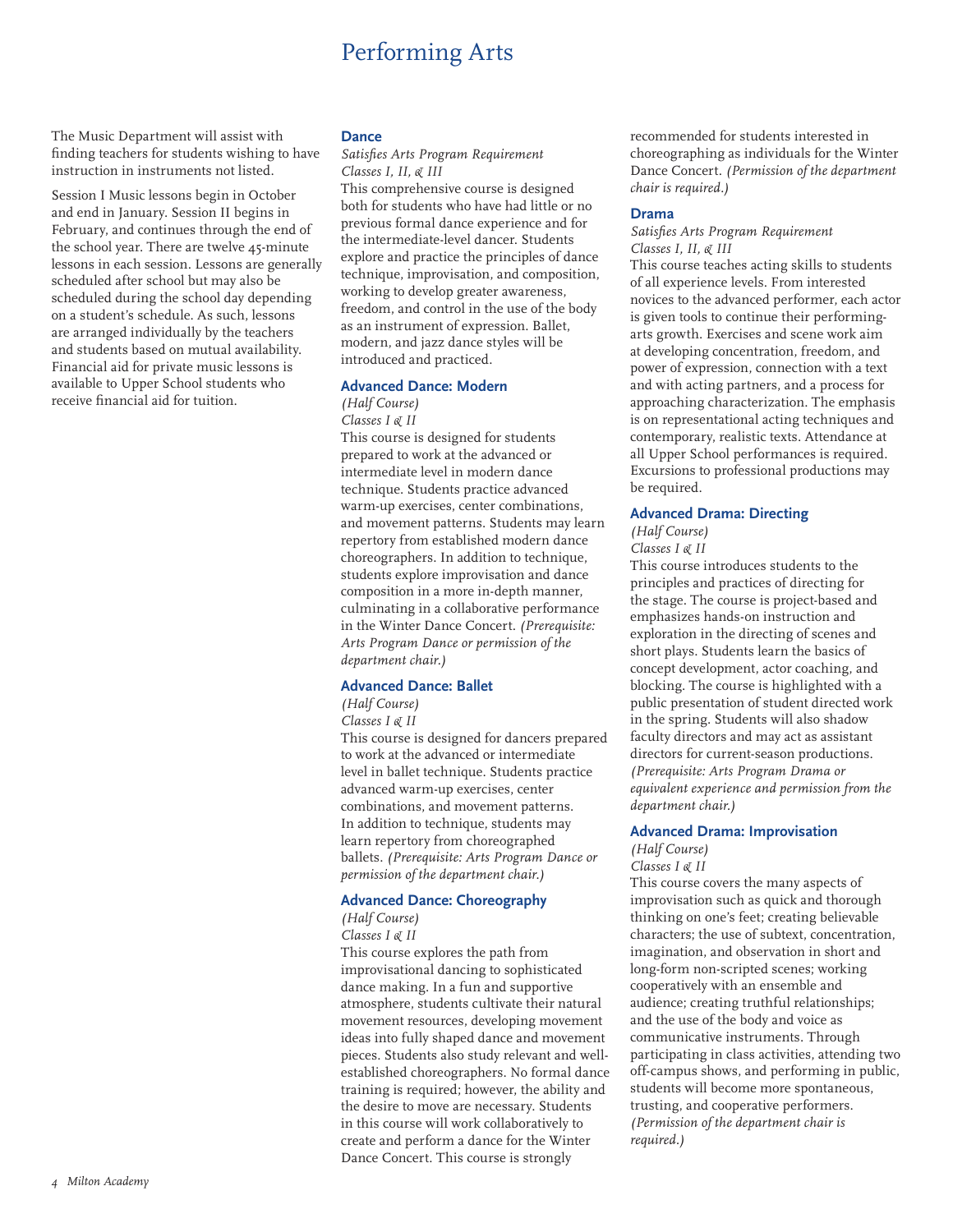# Performing Arts

The Music Department will assist with finding teachers for students wishing to have instruction in instruments not listed.

Session I Music lessons begin in October and end in January. Session II begins in February, and continues through the end of the school year. There are twelve 45-minute lessons in each session. Lessons are generally scheduled after school but may also be scheduled during the school day depending on a student's schedule. As such, lessons are arranged individually by the teachers and students based on mutual availability. Financial aid for private music lessons is available to Upper School students who receive financial aid for tuition.

# **Dance**

*Satisfies Arts Program Requirement Classes I, II, & III*

This comprehensive course is designed both for students who have had little or no previous formal dance experience and for the intermediate-level dancer. Students explore and practice the principles of dance technique, improvisation, and composition, working to develop greater awareness, freedom, and control in the use of the body as an instrument of expression. Ballet, modern, and jazz dance styles will be introduced and practiced.

# **Advanced Dance: Modern**

#### *(Half Course) Classes I & II*

This course is designed for students prepared to work at the advanced or intermediate level in modern dance technique. Students practice advanced warm-up exercises, center combinations, and movement patterns. Students may learn repertory from established modern dance choreographers. In addition to technique, students explore improvisation and dance composition in a more in-depth manner, culminating in a collaborative performance in the Winter Dance Concert. *(Prerequisite: Arts Program Dance or permission of the department chair.)*

### **Advanced Dance: Ballet**

*(Half Course)*

*Classes I & II*

This course is designed for dancers prepared to work at the advanced or intermediate level in ballet technique. Students practice advanced warm-up exercises, center combinations, and movement patterns. In addition to technique, students may learn repertory from choreographed ballets. *(Prerequisite: Arts Program Dance or permission of the department chair.)*

# **Advanced Dance: Choreography**

*(Half Course) Classes I & II*

This course explores the path from improvisational dancing to sophisticated dance making. In a fun and supportive atmosphere, students cultivate their natural movement resources, developing movement ideas into fully shaped dance and movement pieces. Students also study relevant and wellestablished choreographers. No formal dance training is required; however, the ability and the desire to move are necessary. Students in this course will work collaboratively to create and perform a dance for the Winter Dance Concert. This course is strongly

recommended for students interested in choreographing as individuals for the Winter Dance Concert. *(Permission of the department chair is required.)*

#### **Drama**

#### *Satisfies Arts Program Requirement Classes I, II, & III*

This course teaches acting skills to students of all experience levels. From interested novices to the advanced performer, each actor is given tools to continue their performingarts growth. Exercises and scene work aim at developing concentration, freedom, and power of expression, connection with a text and with acting partners, and a process for approaching characterization. The emphasis is on representational acting techniques and contemporary, realistic texts. Attendance at all Upper School performances is required. Excursions to professional productions may be required.

# **Advanced Drama: Directing**

*(Half Course) Classes I & II*

This course introduces students to the principles and practices of directing for the stage. The course is project-based and emphasizes hands-on instruction and exploration in the directing of scenes and short plays. Students learn the basics of concept development, actor coaching, and blocking. The course is highlighted with a public presentation of student directed work in the spring. Students will also shadow faculty directors and may act as assistant directors for current-season productions. *(Prerequisite: Arts Program Drama or equivalent experience and permission from the department chair.)*

# **Advanced Drama: Improvisation**

*(Half Course) Classes I & II*

This course covers the many aspects of improvisation such as quick and thorough thinking on one's feet; creating believable characters; the use of subtext, concentration, imagination, and observation in short and long-form non-scripted scenes; working cooperatively with an ensemble and audience; creating truthful relationships; and the use of the body and voice as communicative instruments. Through participating in class activities, attending two off-campus shows, and performing in public, students will become more spontaneous, trusting, and cooperative performers. *(Permission of the department chair is required.)*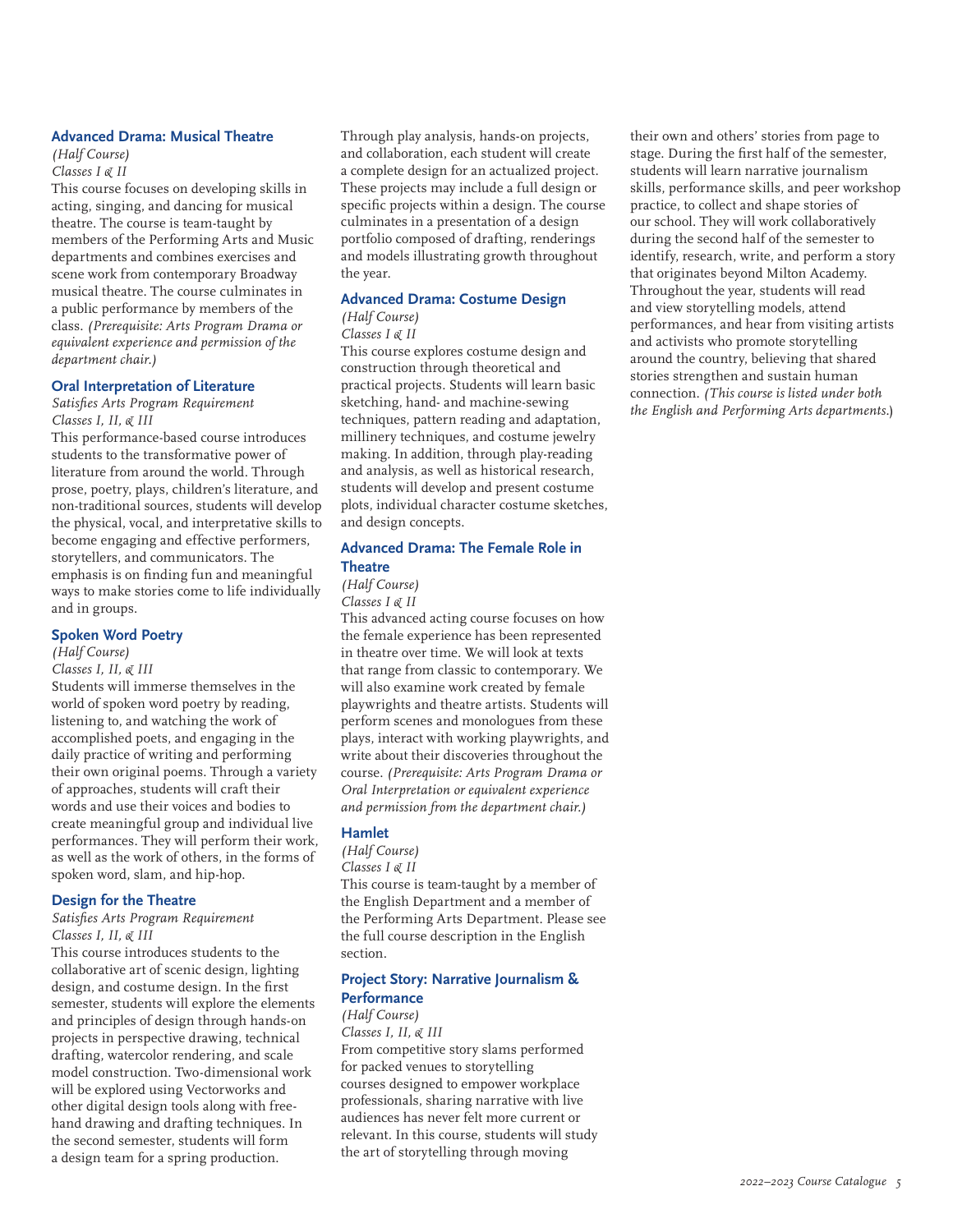#### **Advanced Drama: Musical Theatre**

#### *(Half Course) Classes I & II*

This course focuses on developing skills in acting, singing, and dancing for musical theatre. The course is team-taught by members of the Performing Arts and Music departments and combines exercises and scene work from contemporary Broadway musical theatre. The course culminates in a public performance by members of the class. *(Prerequisite: Arts Program Drama or equivalent experience and permission of the department chair.)*

#### **Oral Interpretation of Literature**

*Satisfies Arts Program Requirement Classes I, II, & III*

This performance-based course introduces students to the transformative power of literature from around the world. Through prose, poetry, plays, children's literature, and non-traditional sources, students will develop the physical, vocal, and interpretative skills to become engaging and effective performers, storytellers, and communicators. The emphasis is on finding fun and meaningful ways to make stories come to life individually and in groups.

# **Spoken Word Poetry**

*(Half Course)*

#### *Classes I, II, & III*

Students will immerse themselves in the world of spoken word poetry by reading, listening to, and watching the work of accomplished poets, and engaging in the daily practice of writing and performing their own original poems. Through a variety of approaches, students will craft their words and use their voices and bodies to create meaningful group and individual live performances. They will perform their work, as well as the work of others, in the forms of spoken word, slam, and hip-hop.

#### **Design for the Theatre**

*Satisfies Arts Program Requirement Classes I, II, & III*

This course introduces students to the collaborative art of scenic design, lighting design, and costume design. In the first semester, students will explore the elements and principles of design through hands-on projects in perspective drawing, technical drafting, watercolor rendering, and scale model construction. Two-dimensional work will be explored using Vectorworks and other digital design tools along with freehand drawing and drafting techniques. In the second semester, students will form a design team for a spring production.

Through play analysis, hands-on projects, and collaboration, each student will create a complete design for an actualized project. These projects may include a full design or specific projects within a design. The course culminates in a presentation of a design portfolio composed of drafting, renderings and models illustrating growth throughout the year.

# **Advanced Drama: Costume Design**

#### *(Half Course) Classes I & II*

This course explores costume design and construction through theoretical and practical projects. Students will learn basic sketching, hand- and machine-sewing techniques, pattern reading and adaptation, millinery techniques, and costume jewelry making. In addition, through play-reading and analysis, as well as historical research, students will develop and present costume plots, individual character costume sketches, and design concepts.

# **Advanced Drama: The Female Role in Theatre**

#### *(Half Course) Classes I & II*

This advanced acting course focuses on how the female experience has been represented in theatre over time. We will look at texts that range from classic to contemporary. We will also examine work created by female playwrights and theatre artists. Students will perform scenes and monologues from these plays, interact with working playwrights, and write about their discoveries throughout the course. *(Prerequisite: Arts Program Drama or Oral Interpretation or equivalent experience and permission from the department chair.)*

# **Hamlet**

*(Half Course) Classes I & II* This course is team-taught by a member of the English Department and a member of

the Performing Arts Department. Please see the full course description in the English section.

# **Project Story: Narrative Journalism & Performance**

*(Half Course) Classes I, II, & III*

From competitive story slams performed for packed venues to storytelling courses designed to empower workplace professionals, sharing narrative with live audiences has never felt more current or relevant. In this course, students will study the art of storytelling through moving

their own and others' stories from page to stage. During the first half of the semester, students will learn narrative journalism skills, performance skills, and peer workshop practice, to collect and shape stories of our school. They will work collaboratively during the second half of the semester to identify, research, write, and perform a story that originates beyond Milton Academy. Throughout the year, students will read and view storytelling models, attend performances, and hear from visiting artists and activists who promote storytelling around the country, believing that shared stories strengthen and sustain human connection. *(This course is listed under both the English and Performing Arts departments.*)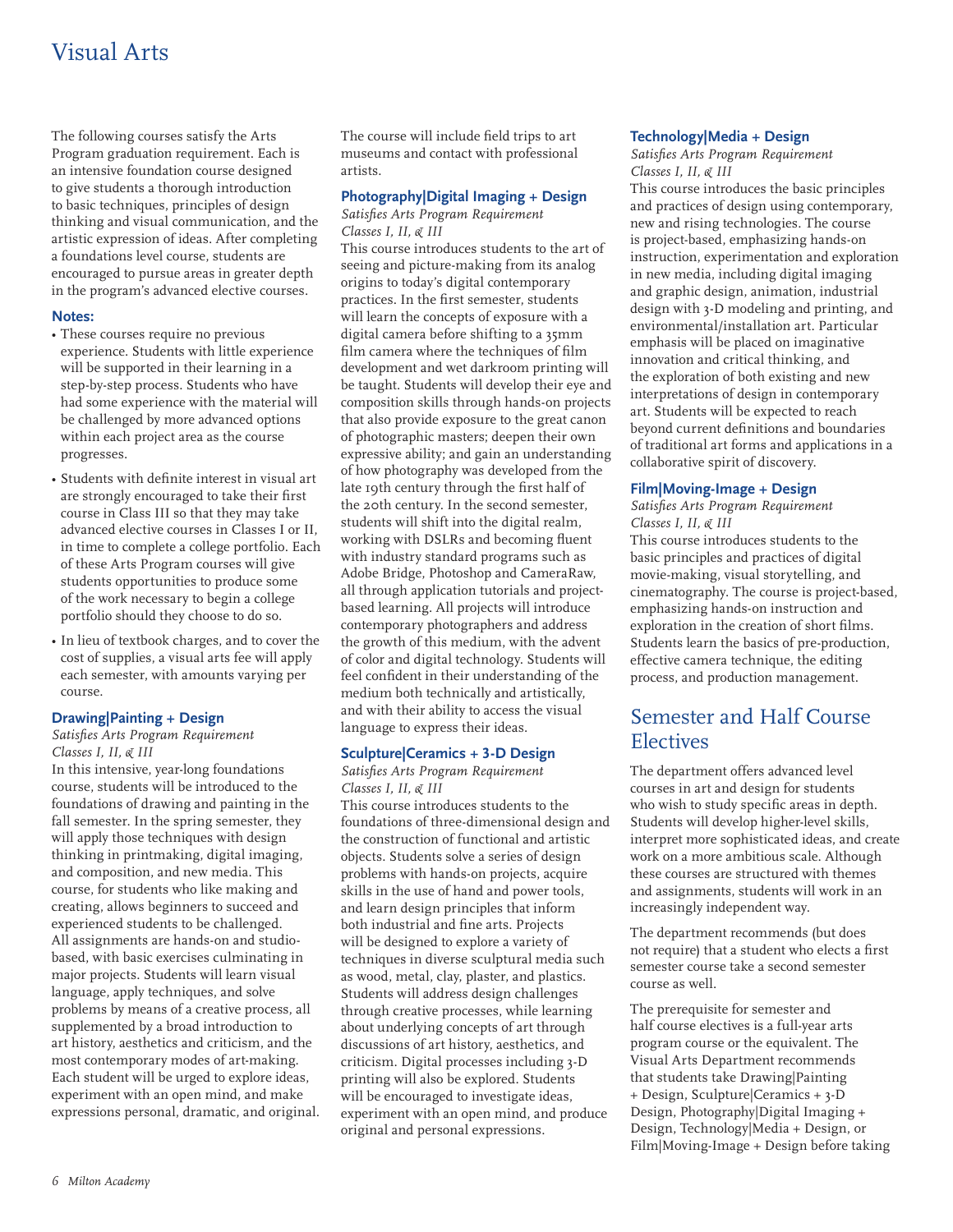# Visual Arts

The following courses satisfy the Arts Program graduation requirement. Each is an intensive foundation course designed to give students a thorough introduction to basic techniques, principles of design thinking and visual communication, and the artistic expression of ideas. After completing a foundations level course, students are encouraged to pursue areas in greater depth in the program's advanced elective courses.

### **Notes:**

- These courses require no previous experience. Students with little experience will be supported in their learning in a step-by-step process. Students who have had some experience with the material will be challenged by more advanced options within each project area as the course progresses.
- Students with definite interest in visual art are strongly encouraged to take their first course in Class III so that they may take advanced elective courses in Classes I or II, in time to complete a college portfolio. Each of these Arts Program courses will give students opportunities to produce some of the work necessary to begin a college portfolio should they choose to do so.
- In lieu of textbook charges, and to cover the cost of supplies, a visual arts fee will apply each semester, with amounts varying per course.

# **Drawing|Painting + Design**

#### *Satisfies Arts Program Requirement Classes I, II, & III*

In this intensive, year-long foundations course, students will be introduced to the foundations of drawing and painting in the fall semester. In the spring semester, they will apply those techniques with design thinking in printmaking, digital imaging, and composition, and new media. This course, for students who like making and creating, allows beginners to succeed and experienced students to be challenged. All assignments are hands-on and studiobased, with basic exercises culminating in major projects. Students will learn visual language, apply techniques, and solve problems by means of a creative process, all supplemented by a broad introduction to art history, aesthetics and criticism, and the most contemporary modes of art-making. Each student will be urged to explore ideas, experiment with an open mind, and make expressions personal, dramatic, and original. The course will include field trips to art museums and contact with professional artists.

# **Photography|Digital Imaging + Design**

*Satisfies Arts Program Requirement Classes I, II, & III*

This course introduces students to the art of seeing and picture-making from its analog origins to today's digital contemporary practices. In the first semester, students will learn the concepts of exposure with a digital camera before shifting to a 35mm film camera where the techniques of film development and wet darkroom printing will be taught. Students will develop their eye and composition skills through hands-on projects that also provide exposure to the great canon of photographic masters; deepen their own expressive ability; and gain an understanding of how photography was developed from the late 19th century through the first half of the 20th century. In the second semester, students will shift into the digital realm, working with DSLRs and becoming fluent with industry standard programs such as Adobe Bridge, Photoshop and CameraRaw, all through application tutorials and projectbased learning. All projects will introduce contemporary photographers and address the growth of this medium, with the advent of color and digital technology. Students will feel confident in their understanding of the medium both technically and artistically, and with their ability to access the visual language to express their ideas.

# **Sculpture|Ceramics + 3-D Design**

# *Satisfies Arts Program Requirement Classes I, II, & III*

This course introduces students to the foundations of three-dimensional design and the construction of functional and artistic objects. Students solve a series of design problems with hands-on projects, acquire skills in the use of hand and power tools, and learn design principles that inform both industrial and fine arts. Projects will be designed to explore a variety of techniques in diverse sculptural media such as wood, metal, clay, plaster, and plastics. Students will address design challenges through creative processes, while learning about underlying concepts of art through discussions of art history, aesthetics, and criticism. Digital processes including 3-D printing will also be explored. Students will be encouraged to investigate ideas, experiment with an open mind, and produce original and personal expressions.

# **Technology|Media + Design**

# *Satisfies Arts Program Requirement Classes I, II, & III*

This course introduces the basic principles and practices of design using contemporary, new and rising technologies. The course is project-based, emphasizing hands-on instruction, experimentation and exploration in new media, including digital imaging and graphic design, animation, industrial design with 3-D modeling and printing, and environmental/installation art. Particular emphasis will be placed on imaginative innovation and critical thinking, and the exploration of both existing and new interpretations of design in contemporary art. Students will be expected to reach beyond current definitions and boundaries of traditional art forms and applications in a collaborative spirit of discovery.

### **Film|Moving-Image + Design**

*Satisfies Arts Program Requirement Classes I, II, & III*

This course introduces students to the basic principles and practices of digital movie-making, visual storytelling, and cinematography. The course is project-based, emphasizing hands-on instruction and exploration in the creation of short films. Students learn the basics of pre-production, effective camera technique, the editing process, and production management.

# Semester and Half Course Electives

The department offers advanced level courses in art and design for students who wish to study specific areas in depth. Students will develop higher-level skills, interpret more sophisticated ideas, and create work on a more ambitious scale. Although these courses are structured with themes and assignments, students will work in an increasingly independent way.

The department recommends (but does not require) that a student who elects a first semester course take a second semester course as well.

The prerequisite for semester and half course electives is a full-year arts program course or the equivalent. The Visual Arts Department recommends that students take Drawing|Painting + Design, Sculpture|Ceramics + 3-D Design, Photography|Digital Imaging + Design, Technology|Media + Design, or Film|Moving-Image + Design before taking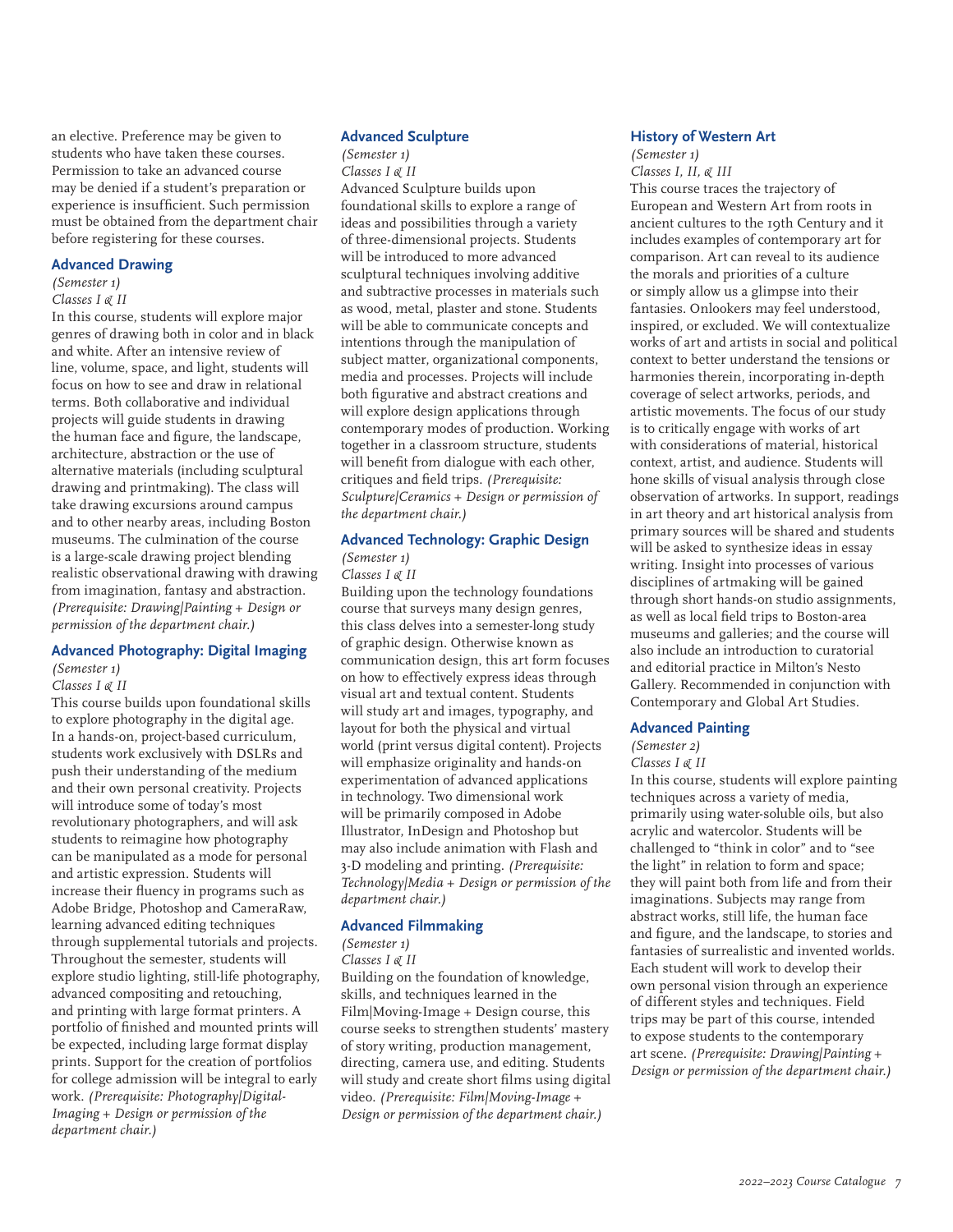an elective. Preference may be given to students who have taken these courses. Permission to take an advanced course may be denied if a student's preparation or experience is insufficient. Such permission must be obtained from the department chair before registering for these courses.

#### **Advanced Drawing**

### *(Semester 1)*

#### *Classes I & II*

In this course, students will explore major genres of drawing both in color and in black and white. After an intensive review of line, volume, space, and light, students will focus on how to see and draw in relational terms. Both collaborative and individual projects will guide students in drawing the human face and figure, the landscape, architecture, abstraction or the use of alternative materials (including sculptural drawing and printmaking). The class will take drawing excursions around campus and to other nearby areas, including Boston museums. The culmination of the course is a large-scale drawing project blending realistic observational drawing with drawing from imagination, fantasy and abstraction. *(Prerequisite: Drawing|Painting + Design or permission of the department chair.)*

#### **Advanced Photography: Digital Imaging** *(Semester 1)*

# *Classes I & II*

This course builds upon foundational skills to explore photography in the digital age. In a hands-on, project-based curriculum, students work exclusively with DSLRs and push their understanding of the medium and their own personal creativity. Projects will introduce some of today's most revolutionary photographers, and will ask students to reimagine how photography can be manipulated as a mode for personal and artistic expression. Students will increase their fluency in programs such as Adobe Bridge, Photoshop and CameraRaw, learning advanced editing techniques through supplemental tutorials and projects. Throughout the semester, students will explore studio lighting, still-life photography, advanced compositing and retouching, and printing with large format printers. A portfolio of finished and mounted prints will be expected, including large format display prints. Support for the creation of portfolios for college admission will be integral to early work. *(Prerequisite: Photography|Digital-Imaging + Design or permission of the department chair.)*

# **Advanced Sculpture**

*(Semester 1) Classes I & II* Advanced Sculpture builds upon foundational skills to explore a range of ideas and possibilities through a variety of three-dimensional projects. Students will be introduced to more advanced sculptural techniques involving additive and subtractive processes in materials such as wood, metal, plaster and stone. Students will be able to communicate concepts and intentions through the manipulation of subject matter, organizational components, media and processes. Projects will include both figurative and abstract creations and will explore design applications through contemporary modes of production. Working together in a classroom structure, students will benefit from dialogue with each other, critiques and field trips. *(Prerequisite: Sculpture|Ceramics + Design or permission of the department chair.)*

# **Advanced Technology: Graphic Design** *(Semester 1)*

# *Classes I & II*

Building upon the technology foundations course that surveys many design genres, this class delves into a semester-long study of graphic design. Otherwise known as communication design, this art form focuses on how to effectively express ideas through visual art and textual content. Students will study art and images, typography, and layout for both the physical and virtual world (print versus digital content). Projects will emphasize originality and hands-on experimentation of advanced applications in technology. Two dimensional work will be primarily composed in Adobe Illustrator, InDesign and Photoshop but may also include animation with Flash and 3-D modeling and printing. *(Prerequisite: Technology|Media + Design or permission of the department chair.)*

#### **Advanced Filmmaking**

# *(Semester 1)*

*Classes I & II*

Building on the foundation of knowledge, skills, and techniques learned in the Film|Moving-Image + Design course, this course seeks to strengthen students' mastery of story writing, production management, directing, camera use, and editing. Students will study and create short films using digital video. *(Prerequisite: Film|Moving-Image + Design or permission of the department chair.)*

### **History of Western Art**

# *(Semester 1)*

*Classes I, II, & III* This course traces the trajectory of European and Western Art from roots in ancient cultures to the 19th Century and it includes examples of contemporary art for comparison. Art can reveal to its audience the morals and priorities of a culture or simply allow us a glimpse into their fantasies. Onlookers may feel understood, inspired, or excluded. We will contextualize works of art and artists in social and political context to better understand the tensions or harmonies therein, incorporating in-depth coverage of select artworks, periods, and artistic movements. The focus of our study is to critically engage with works of art with considerations of material, historical context, artist, and audience. Students will hone skills of visual analysis through close observation of artworks. In support, readings in art theory and art historical analysis from primary sources will be shared and students will be asked to synthesize ideas in essay writing. Insight into processes of various disciplines of artmaking will be gained through short hands-on studio assignments, as well as local field trips to Boston-area museums and galleries; and the course will also include an introduction to curatorial and editorial practice in Milton's Nesto Gallery. Recommended in conjunction with Contemporary and Global Art Studies.

#### **Advanced Painting**

#### *(Semester 2)*

# *Classes I & II*

In this course, students will explore painting techniques across a variety of media, primarily using water-soluble oils, but also acrylic and watercolor. Students will be challenged to "think in color" and to "see the light" in relation to form and space; they will paint both from life and from their imaginations. Subjects may range from abstract works, still life, the human face and figure, and the landscape, to stories and fantasies of surrealistic and invented worlds. Each student will work to develop their own personal vision through an experience of different styles and techniques. Field trips may be part of this course, intended to expose students to the contemporary art scene. *(Prerequisite: Drawing|Painting + Design or permission of the department chair.)*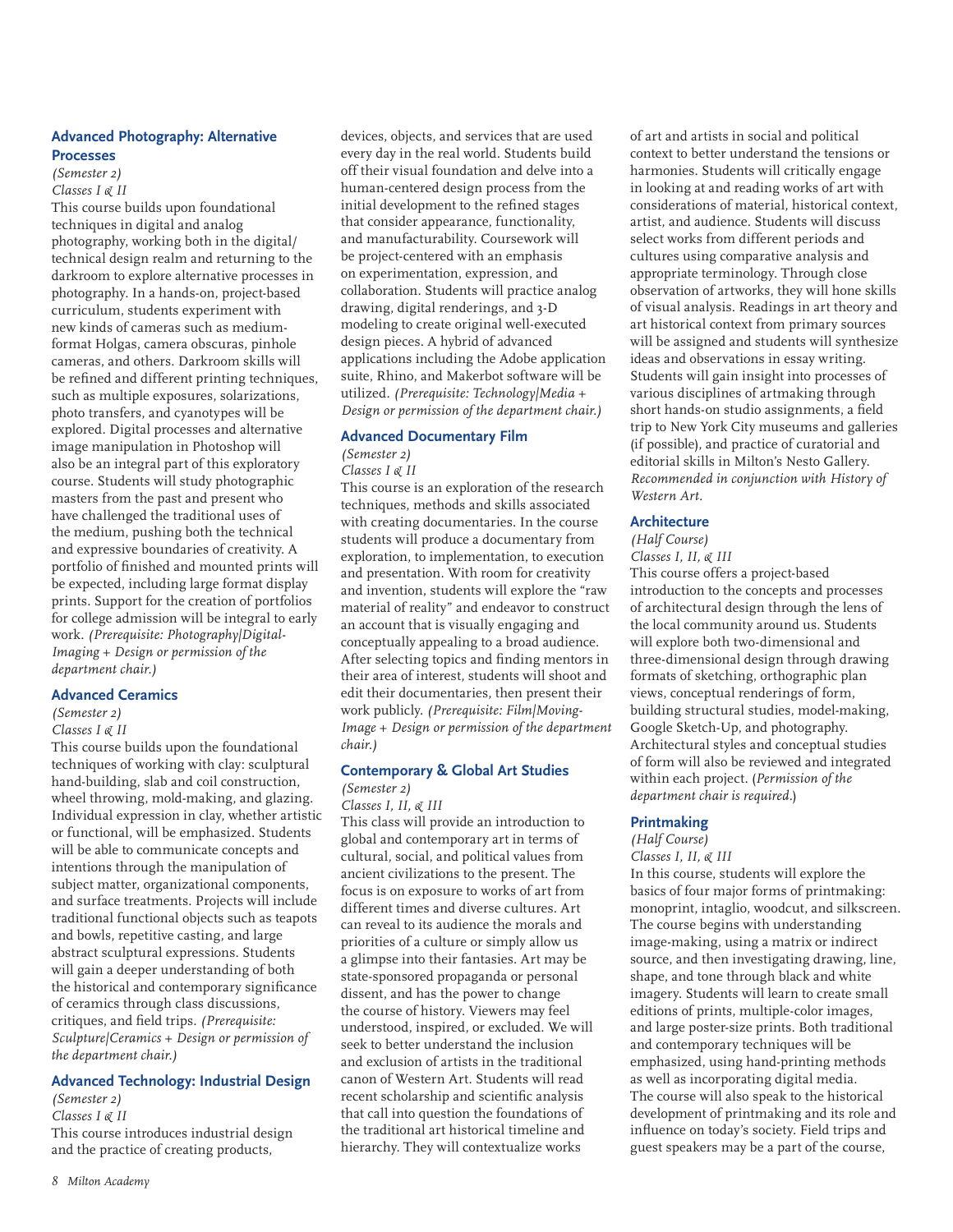# **Advanced Photography: Alternative Processes**

#### *(Semester 2) Classes I & II*

This course builds upon foundational techniques in digital and analog photography, working both in the digital/ technical design realm and returning to the darkroom to explore alternative processes in photography. In a hands-on, project-based curriculum, students experiment with new kinds of cameras such as mediumformat Holgas, camera obscuras, pinhole cameras, and others. Darkroom skills will be refined and different printing techniques, such as multiple exposures, solarizations, photo transfers, and cyanotypes will be explored. Digital processes and alternative image manipulation in Photoshop will also be an integral part of this exploratory course. Students will study photographic masters from the past and present who have challenged the traditional uses of the medium, pushing both the technical and expressive boundaries of creativity. A portfolio of finished and mounted prints will be expected, including large format display prints. Support for the creation of portfolios for college admission will be integral to early work. *(Prerequisite: Photography|Digital-Imaging + Design or permission of the department chair.)*

#### **Advanced Ceramics**

# *(Semester 2)*

#### *Classes I & II*

This course builds upon the foundational techniques of working with clay: sculptural hand-building, slab and coil construction, wheel throwing, mold-making, and glazing. Individual expression in clay, whether artistic or functional, will be emphasized. Students will be able to communicate concepts and intentions through the manipulation of subject matter, organizational components, and surface treatments. Projects will include traditional functional objects such as teapots and bowls, repetitive casting, and large abstract sculptural expressions. Students will gain a deeper understanding of both the historical and contemporary significance of ceramics through class discussions, critiques, and field trips. *(Prerequisite: Sculpture|Ceramics + Design or permission of the department chair.)*

### **Advanced Technology: Industrial Design**

*(Semester 2) Classes I & II* This course introduces industrial design and the practice of creating products,

devices, objects, and services that are used every day in the real world. Students build off their visual foundation and delve into a human-centered design process from the initial development to the refined stages that consider appearance, functionality, and manufacturability. Coursework will be project-centered with an emphasis on experimentation, expression, and collaboration. Students will practice analog drawing, digital renderings, and 3-D modeling to create original well-executed design pieces. A hybrid of advanced applications including the Adobe application suite, Rhino, and Makerbot software will be utilized. *(Prerequisite: Technology|Media + Design or permission of the department chair.)*

# **Advanced Documentary Film**

# *(Semester 2)*

### *Classes I & II*

This course is an exploration of the research techniques, methods and skills associated with creating documentaries. In the course students will produce a documentary from exploration, to implementation, to execution and presentation. With room for creativity and invention, students will explore the "raw material of reality" and endeavor to construct an account that is visually engaging and conceptually appealing to a broad audience. After selecting topics and finding mentors in their area of interest, students will shoot and edit their documentaries, then present their work publicly. *(Prerequisite: Film|Moving-Image + Design or permission of the department chair.)*

# **Contemporary & Global Art Studies**

# *(Semester 2)*

*Classes I, II, & III* This class will provide an introduction to global and contemporary art in terms of cultural, social, and political values from ancient civilizations to the present. The focus is on exposure to works of art from different times and diverse cultures. Art can reveal to its audience the morals and priorities of a culture or simply allow us a glimpse into their fantasies. Art may be state-sponsored propaganda or personal dissent, and has the power to change the course of history. Viewers may feel understood, inspired, or excluded. We will seek to better understand the inclusion and exclusion of artists in the traditional canon of Western Art. Students will read recent scholarship and scientific analysis that call into question the foundations of the traditional art historical timeline and hierarchy. They will contextualize works

of art and artists in social and political context to better understand the tensions or harmonies. Students will critically engage in looking at and reading works of art with considerations of material, historical context, artist, and audience. Students will discuss select works from different periods and cultures using comparative analysis and appropriate terminology. Through close observation of artworks, they will hone skills of visual analysis. Readings in art theory and art historical context from primary sources will be assigned and students will synthesize ideas and observations in essay writing. Students will gain insight into processes of various disciplines of artmaking through short hands-on studio assignments, a field trip to New York City museums and galleries (if possible), and practice of curatorial and editorial skills in Milton's Nesto Gallery. *Recommended in conjunction with History of Western Art.*

# **Architecture**

#### *(Half Course) Classes I, II, & III*

This course offers a project-based introduction to the concepts and processes of architectural design through the lens of the local community around us. Students will explore both two-dimensional and three-dimensional design through drawing formats of sketching, orthographic plan views, conceptual renderings of form, building structural studies, model-making, Google Sketch-Up, and photography. Architectural styles and conceptual studies of form will also be reviewed and integrated within each project. (*Permission of the department chair is required.*)

#### **Printmaking**

#### *(Half Course) Classes I, II, & III*

In this course, students will explore the basics of four major forms of printmaking: monoprint, intaglio, woodcut, and silkscreen. The course begins with understanding image-making, using a matrix or indirect source, and then investigating drawing, line, shape, and tone through black and white imagery. Students will learn to create small editions of prints, multiple-color images, and large poster-size prints. Both traditional and contemporary techniques will be emphasized, using hand-printing methods as well as incorporating digital media. The course will also speak to the historical development of printmaking and its role and influence on today's society. Field trips and guest speakers may be a part of the course,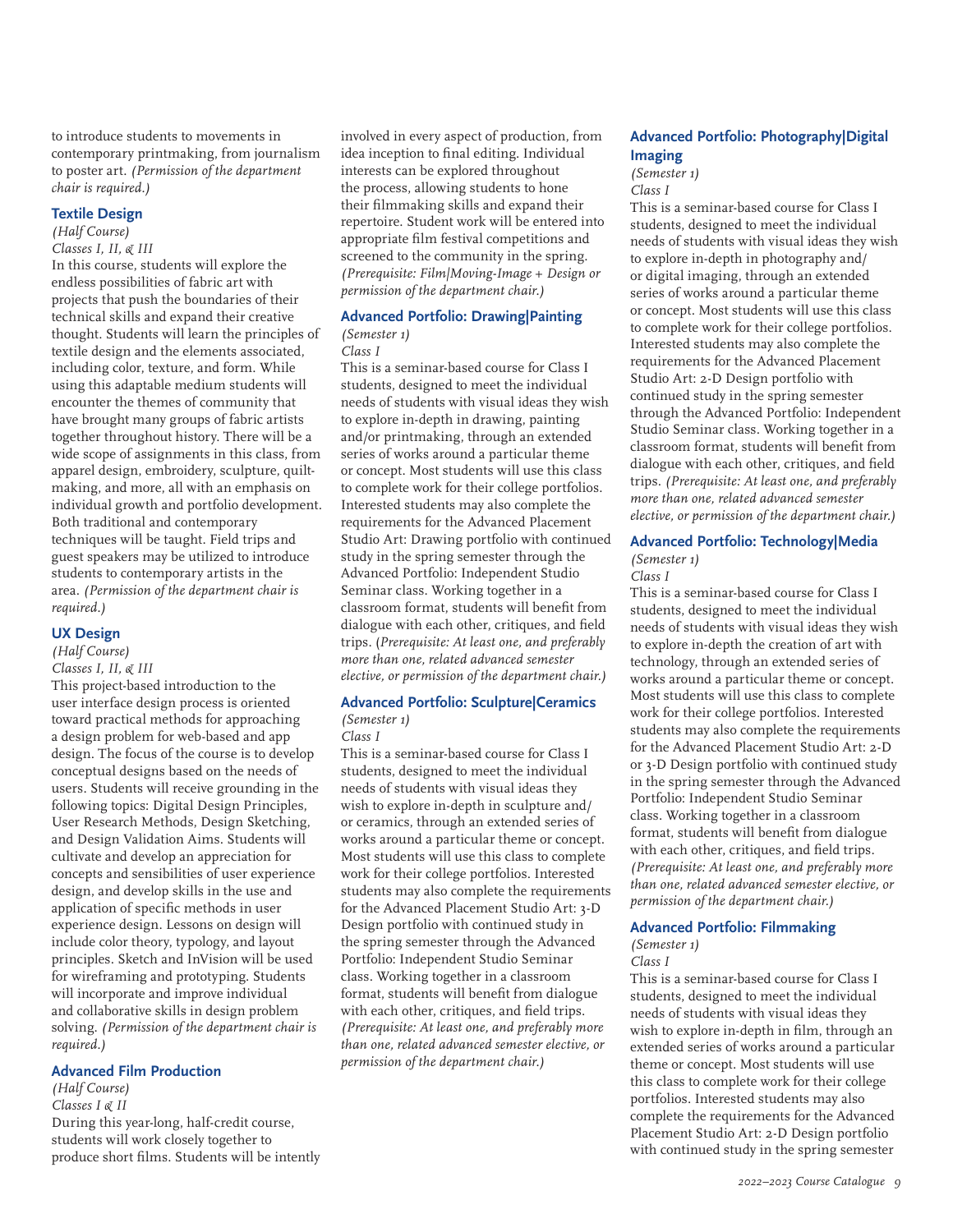to introduce students to movements in contemporary printmaking, from journalism to poster art. *(Permission of the department chair is required.)*

#### **Textile Design**

# *(Half Course)*

*Classes I, II, & III*

In this course, students will explore the endless possibilities of fabric art with projects that push the boundaries of their technical skills and expand their creative thought. Students will learn the principles of textile design and the elements associated, including color, texture, and form. While using this adaptable medium students will encounter the themes of community that have brought many groups of fabric artists together throughout history. There will be a wide scope of assignments in this class, from apparel design, embroidery, sculpture, quiltmaking, and more, all with an emphasis on individual growth and portfolio development. Both traditional and contemporary techniques will be taught. Field trips and guest speakers may be utilized to introduce students to contemporary artists in the area. *(Permission of the department chair is required.)*

### **UX Design**

# *(Half Course)*

*Classes I, II, & III*

This project-based introduction to the user interface design process is oriented toward practical methods for approaching a design problem for web-based and app design. The focus of the course is to develop conceptual designs based on the needs of users. Students will receive grounding in the following topics: Digital Design Principles, User Research Methods, Design Sketching, and Design Validation Aims. Students will cultivate and develop an appreciation for concepts and sensibilities of user experience design, and develop skills in the use and application of specific methods in user experience design. Lessons on design will include color theory, typology, and layout principles. Sketch and InVision will be used for wireframing and prototyping. Students will incorporate and improve individual and collaborative skills in design problem solving. *(Permission of the department chair is required.)*

#### **Advanced Film Production**

*(Half Course) Classes I & II* During this year-long, half-credit course, students will work closely together to produce short films. Students will be intently involved in every aspect of production, from idea inception to final editing. Individual interests can be explored throughout the process, allowing students to hone their filmmaking skills and expand their repertoire. Student work will be entered into appropriate film festival competitions and screened to the community in the spring. *(Prerequisite: Film|Moving-Image + Design or permission of the department chair.)*

# **Advanced Portfolio: Drawing|Painting**

# *(Semester 1)*

*Class I*

This is a seminar-based course for Class I students, designed to meet the individual needs of students with visual ideas they wish to explore in-depth in drawing, painting and/or printmaking, through an extended series of works around a particular theme or concept. Most students will use this class to complete work for their college portfolios. Interested students may also complete the requirements for the Advanced Placement Studio Art: Drawing portfolio with continued study in the spring semester through the Advanced Portfolio: Independent Studio Seminar class. Working together in a classroom format, students will benefit from dialogue with each other, critiques, and field trips. (*Prerequisite: At least one, and preferably more than one, related advanced semester elective, or permission of the department chair.)*

#### **Advanced Portfolio: Sculpture|Ceramics**

#### *(Semester 1) Class I*

This is a seminar-based course for Class I students, designed to meet the individual needs of students with visual ideas they wish to explore in-depth in sculpture and/ or ceramics, through an extended series of works around a particular theme or concept. Most students will use this class to complete work for their college portfolios. Interested students may also complete the requirements for the Advanced Placement Studio Art: 3-D Design portfolio with continued study in the spring semester through the Advanced Portfolio: Independent Studio Seminar class. Working together in a classroom format, students will benefit from dialogue with each other, critiques, and field trips. *(Prerequisite: At least one, and preferably more than one, related advanced semester elective, or permission of the department chair.)*

# **Advanced Portfolio: Photography|Digital Imaging**

*(Semester 1)*

*Class I*

This is a seminar-based course for Class I students, designed to meet the individual needs of students with visual ideas they wish to explore in-depth in photography and/ or digital imaging, through an extended series of works around a particular theme or concept. Most students will use this class to complete work for their college portfolios. Interested students may also complete the requirements for the Advanced Placement Studio Art: 2-D Design portfolio with continued study in the spring semester through the Advanced Portfolio: Independent Studio Seminar class. Working together in a classroom format, students will benefit from dialogue with each other, critiques, and field trips. *(Prerequisite: At least one, and preferably more than one, related advanced semester elective, or permission of the department chair.)*

# **Advanced Portfolio: Technology|Media**

*(Semester 1)*

*Class I*

This is a seminar-based course for Class I students, designed to meet the individual needs of students with visual ideas they wish to explore in-depth the creation of art with technology, through an extended series of works around a particular theme or concept. Most students will use this class to complete work for their college portfolios. Interested students may also complete the requirements for the Advanced Placement Studio Art: 2-D or 3-D Design portfolio with continued study in the spring semester through the Advanced Portfolio: Independent Studio Seminar class. Working together in a classroom format, students will benefit from dialogue with each other, critiques, and field trips. *(Prerequisite: At least one, and preferably more than one, related advanced semester elective, or permission of the department chair.)*

#### **Advanced Portfolio: Filmmaking**

*(Semester 1)*

*Class I*

This is a seminar-based course for Class I students, designed to meet the individual needs of students with visual ideas they wish to explore in-depth in film, through an extended series of works around a particular theme or concept. Most students will use this class to complete work for their college portfolios. Interested students may also complete the requirements for the Advanced Placement Studio Art: 2-D Design portfolio with continued study in the spring semester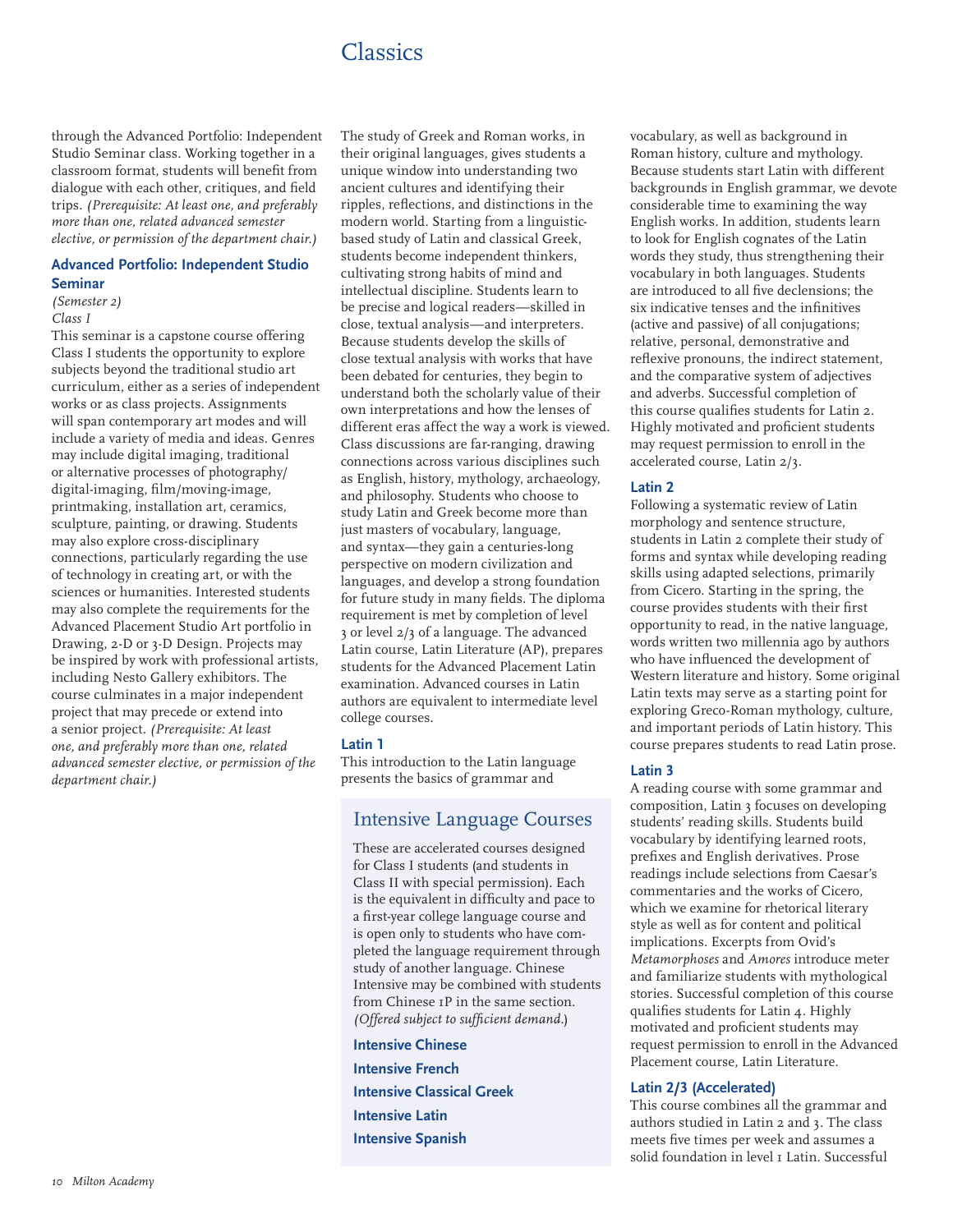# **Classics**

through the Advanced Portfolio: Independent Studio Seminar class. Working together in a classroom format, students will benefit from dialogue with each other, critiques, and field trips. *(Prerequisite: At least one, and preferably more than one, related advanced semester elective, or permission of the department chair.)*

# **Advanced Portfolio: Independent Studio Seminar**

*(Semester 2) Class I*

This seminar is a capstone course offering Class I students the opportunity to explore subjects beyond the traditional studio art curriculum, either as a series of independent works or as class projects. Assignments will span contemporary art modes and will include a variety of media and ideas. Genres may include digital imaging, traditional or alternative processes of photography/ digital-imaging, film/moving-image, printmaking, installation art, ceramics, sculpture, painting, or drawing. Students may also explore cross-disciplinary connections, particularly regarding the use of technology in creating art, or with the sciences or humanities. Interested students may also complete the requirements for the Advanced Placement Studio Art portfolio in Drawing, 2-D or 3-D Design. Projects may be inspired by work with professional artists, including Nesto Gallery exhibitors. The course culminates in a major independent project that may precede or extend into a senior project. *(Prerequisite: At least one, and preferably more than one, related advanced semester elective, or permission of the department chair.)*

The study of Greek and Roman works, in their original languages, gives students a unique window into understanding two ancient cultures and identifying their ripples, reflections, and distinctions in the modern world. Starting from a linguisticbased study of Latin and classical Greek, students become independent thinkers, cultivating strong habits of mind and intellectual discipline. Students learn to be precise and logical readers—skilled in close, textual analysis—and interpreters. Because students develop the skills of close textual analysis with works that have been debated for centuries, they begin to understand both the scholarly value of their own interpretations and how the lenses of different eras affect the way a work is viewed. Class discussions are far-ranging, drawing connections across various disciplines such as English, history, mythology, archaeology, and philosophy. Students who choose to study Latin and Greek become more than just masters of vocabulary, language, and syntax—they gain a centuries-long perspective on modern civilization and languages, and develop a strong foundation for future study in many fields. The diploma requirement is met by completion of level 3 or level 2/3 of a language. The advanced Latin course, Latin Literature (AP), prepares students for the Advanced Placement Latin examination. Advanced courses in Latin authors are equivalent to intermediate level college courses.

#### **Latin 1**

This introduction to the Latin language presents the basics of grammar and

# Intensive Language Courses

These are accelerated courses designed for Class I students (and students in Class II with special permission). Each is the equivalent in difficulty and pace to a first-year college language course and is open only to students who have completed the language requirement through study of another language. Chinese Intensive may be combined with students from Chinese 1P in the same section. *(Offered subject to sufficient demand.*)

**Intensive Chinese Intensive French Intensive Classical Greek Intensive Latin Intensive Spanish**

vocabulary, as well as background in Roman history, culture and mythology. Because students start Latin with different backgrounds in English grammar, we devote considerable time to examining the way English works. In addition, students learn to look for English cognates of the Latin words they study, thus strengthening their vocabulary in both languages. Students are introduced to all five declensions; the six indicative tenses and the infinitives (active and passive) of all conjugations; relative, personal, demonstrative and reflexive pronouns, the indirect statement, and the comparative system of adjectives and adverbs. Successful completion of this course qualifies students for Latin 2. Highly motivated and proficient students may request permission to enroll in the accelerated course, Latin 2/3.

### **Latin 2**

Following a systematic review of Latin morphology and sentence structure, students in Latin 2 complete their study of forms and syntax while developing reading skills using adapted selections, primarily from Cicero. Starting in the spring, the course provides students with their first opportunity to read, in the native language, words written two millennia ago by authors who have influenced the development of Western literature and history. Some original Latin texts may serve as a starting point for exploring Greco-Roman mythology, culture, and important periods of Latin history. This course prepares students to read Latin prose.

#### **Latin 3**

A reading course with some grammar and composition, Latin 3 focuses on developing students' reading skills. Students build vocabulary by identifying learned roots, prefixes and English derivatives. Prose readings include selections from Caesar's commentaries and the works of Cicero, which we examine for rhetorical literary style as well as for content and political implications. Excerpts from Ovid's *Metamorphoses* and *Amores* introduce meter and familiarize students with mythological stories. Successful completion of this course qualifies students for Latin 4. Highly motivated and proficient students may request permission to enroll in the Advanced Placement course, Latin Literature.

#### **Latin 2/3 (Accelerated)**

This course combines all the grammar and authors studied in Latin 2 and 3. The class meets five times per week and assumes a solid foundation in level 1 Latin. Successful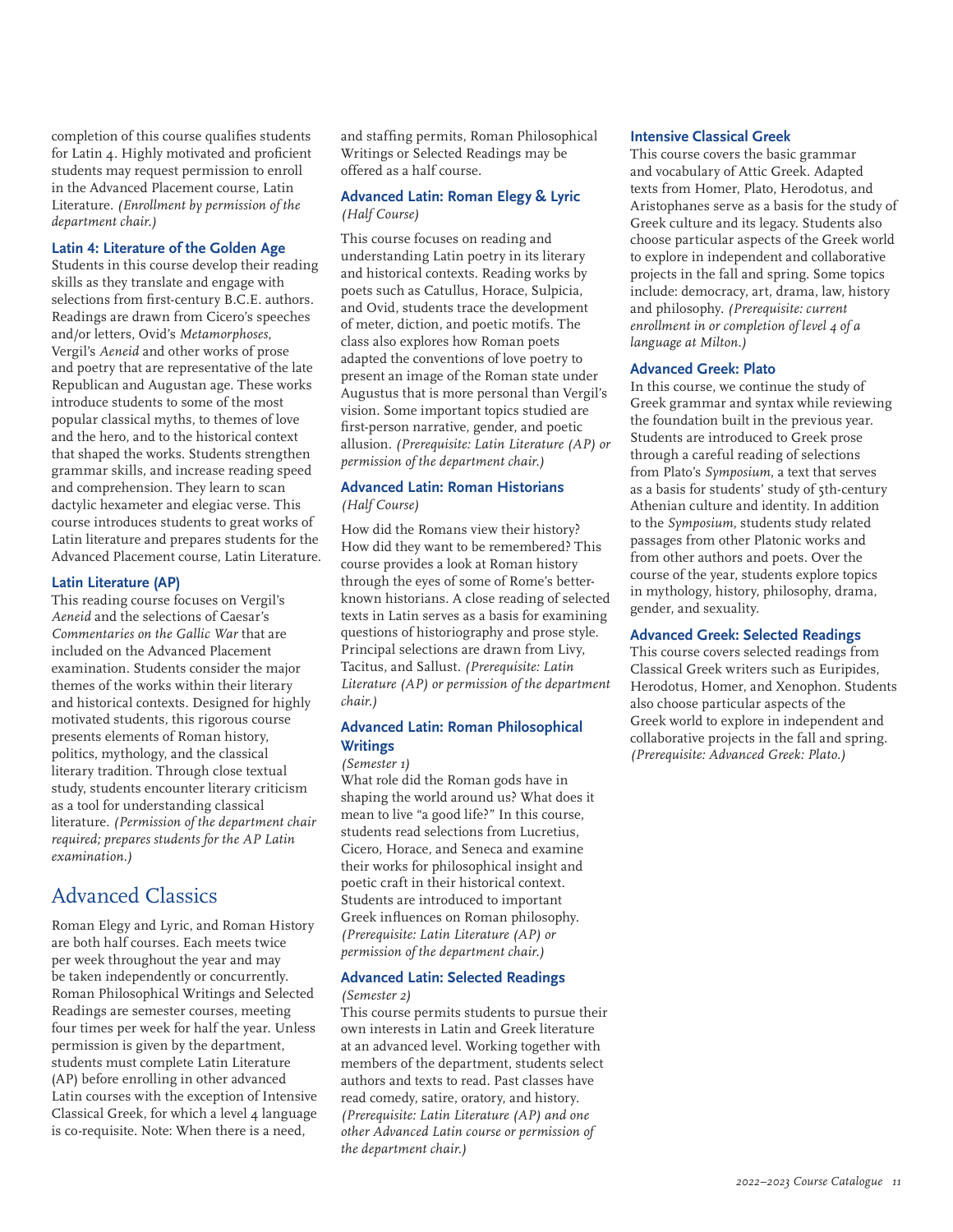completion of this course qualifies students for Latin 4. Highly motivated and proficient students may request permission to enroll in the Advanced Placement course, Latin Literature. *(Enrollment by permission of the department chair.)*

#### **Latin 4: Literature of the Golden Age**

Students in this course develop their reading skills as they translate and engage with selections from first-century B.C.E. authors. Readings are drawn from Cicero's speeches and/or letters, Ovid's *Metamorphoses*, Vergil's *Aeneid* and other works of prose and poetry that are representative of the late Republican and Augustan age. These works introduce students to some of the most popular classical myths, to themes of love and the hero, and to the historical context that shaped the works. Students strengthen grammar skills, and increase reading speed and comprehension. They learn to scan dactylic hexameter and elegiac verse. This course introduces students to great works of Latin literature and prepares students for the Advanced Placement course, Latin Literature.

#### **Latin Literature (AP)**

This reading course focuses on Vergil's *Aeneid* and the selections of Caesar's *Commentaries on the Gallic War* that are included on the Advanced Placement examination. Students consider the major themes of the works within their literary and historical contexts. Designed for highly motivated students, this rigorous course presents elements of Roman history, politics, mythology, and the classical literary tradition. Through close textual study, students encounter literary criticism as a tool for understanding classical literature. *(Permission of the department chair required; prepares students for the AP Latin examination.)*

# Advanced Classics

Roman Elegy and Lyric, and Roman History are both half courses. Each meets twice per week throughout the year and may be taken independently or concurrently. Roman Philosophical Writings and Selected Readings are semester courses, meeting four times per week for half the year. Unless permission is given by the department, students must complete Latin Literature (AP) before enrolling in other advanced Latin courses with the exception of Intensive Classical Greek, for which a level 4 language is co-requisite. Note: When there is a need,

and staffing permits, Roman Philosophical Writings or Selected Readings may be offered as a half course.

### **Advanced Latin: Roman Elegy & Lyric** *(Half Course)*

This course focuses on reading and understanding Latin poetry in its literary and historical contexts. Reading works by poets such as Catullus, Horace, Sulpicia, and Ovid, students trace the development of meter, diction, and poetic motifs. The class also explores how Roman poets adapted the conventions of love poetry to present an image of the Roman state under Augustus that is more personal than Vergil's vision. Some important topics studied are first-person narrative, gender, and poetic allusion. *(Prerequisite: Latin Literature (AP) or permission of the department chair.)*

#### **Advanced Latin: Roman Historians** *(Half Course)*

How did the Romans view their history? How did they want to be remembered? This course provides a look at Roman history through the eyes of some of Rome's betterknown historians. A close reading of selected texts in Latin serves as a basis for examining questions of historiography and prose style. Principal selections are drawn from Livy, Tacitus, and Sallust. *(Prerequisite: Latin Literature (AP) or permission of the department chair.)*

# **Advanced Latin: Roman Philosophical Writings**

#### *(Semester 1)*

What role did the Roman gods have in shaping the world around us? What does it mean to live "a good life?" In this course, students read selections from Lucretius, Cicero, Horace, and Seneca and examine their works for philosophical insight and poetic craft in their historical context. Students are introduced to important Greek influences on Roman philosophy. *(Prerequisite: Latin Literature (AP) or permission of the department chair.)*

#### **Advanced Latin: Selected Readings** *(Semester 2)*

This course permits students to pursue their own interests in Latin and Greek literature at an advanced level. Working together with members of the department, students select authors and texts to read. Past classes have read comedy, satire, oratory, and history. *(Prerequisite: Latin Literature (AP) and one other Advanced Latin course or permission of the department chair.)*

#### **Intensive Classical Greek**

This course covers the basic grammar and vocabulary of Attic Greek. Adapted texts from Homer, Plato, Herodotus, and Aristophanes serve as a basis for the study of Greek culture and its legacy. Students also choose particular aspects of the Greek world to explore in independent and collaborative projects in the fall and spring. Some topics include: democracy, art, drama, law, history and philosophy. *(Prerequisite: current enrollment in or completion of level 4 of a language at Milton.)*

#### **Advanced Greek: Plato**

In this course, we continue the study of Greek grammar and syntax while reviewing the foundation built in the previous year. Students are introduced to Greek prose through a careful reading of selections from Plato's *Symposium*, a text that serves as a basis for students' study of 5th-century Athenian culture and identity. In addition to the *Symposium*, students study related passages from other Platonic works and from other authors and poets. Over the course of the year, students explore topics in mythology, history, philosophy, drama, gender, and sexuality.

#### **Advanced Greek: Selected Readings**

This course covers selected readings from Classical Greek writers such as Euripides, Herodotus, Homer, and Xenophon. Students also choose particular aspects of the Greek world to explore in independent and collaborative projects in the fall and spring. *(Prerequisite: Advanced Greek: Plato.)*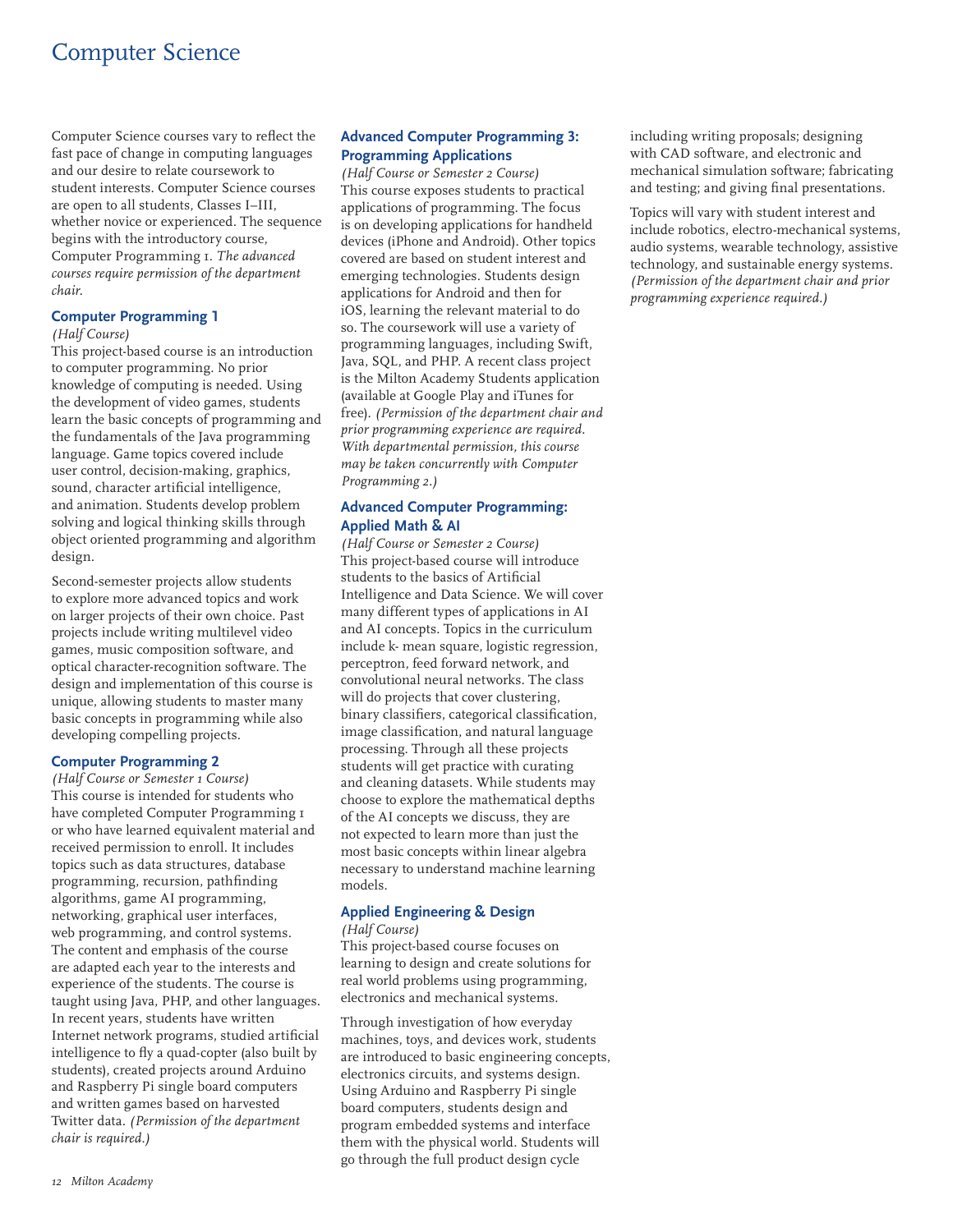# Computer Science

Computer Science courses vary to reflect the fast pace of change in computing languages and our desire to relate coursework to student interests. Computer Science courses are open to all students, Classes I–III, whether novice or experienced. The sequence begins with the introductory course, Computer Programming 1. *The advanced courses require permission of the department chair.*

### **Computer Programming 1**

#### *(Half Course)*

This project-based course is an introduction to computer programming. No prior knowledge of computing is needed. Using the development of video games, students learn the basic concepts of programming and the fundamentals of the Java programming language. Game topics covered include user control, decision-making, graphics, sound, character artificial intelligence, and animation. Students develop problem solving and logical thinking skills through object oriented programming and algorithm design.

Second-semester projects allow students to explore more advanced topics and work on larger projects of their own choice. Past projects include writing multilevel video games, music composition software, and optical character-recognition software. The design and implementation of this course is unique, allowing students to master many basic concepts in programming while also developing compelling projects.

# **Computer Programming 2**

*(Half Course or Semester 1 Course)* This course is intended for students who have completed Computer Programming 1 or who have learned equivalent material and received permission to enroll. It includes topics such as data structures, database programming, recursion, pathfinding algorithms, game AI programming, networking, graphical user interfaces, web programming, and control systems. The content and emphasis of the course are adapted each year to the interests and experience of the students. The course is taught using Java, PHP, and other languages. In recent years, students have written Internet network programs, studied artificial intelligence to fly a quad-copter (also built by students), created projects around Arduino and Raspberry Pi single board computers and written games based on harvested Twitter data. *(Permission of the department chair is required.)*

# **Advanced Computer Programming 3: Programming Applications**

*(Half Course or Semester 2 Course)* This course exposes students to practical applications of programming. The focus is on developing applications for handheld devices (iPhone and Android). Other topics covered are based on student interest and emerging technologies. Students design applications for Android and then for iOS, learning the relevant material to do so. The coursework will use a variety of programming languages, including Swift, Java, SQL, and PHP. A recent class project is the Milton Academy Students application (available at Google Play and iTunes for free). *(Permission of the department chair and prior programming experience are required. With departmental permission, this course may be taken concurrently with Computer Programming 2.)*

# **Advanced Computer Programming: Applied Math & AI**

*(Half Course or Semester 2 Course)* This project-based course will introduce students to the basics of Artificial Intelligence and Data Science. We will cover many different types of applications in AI and AI concepts. Topics in the curriculum include k- mean square, logistic regression, perceptron, feed forward network, and convolutional neural networks. The class will do projects that cover clustering, binary classifiers, categorical classification, image classification, and natural language processing. Through all these projects students will get practice with curating and cleaning datasets. While students may choose to explore the mathematical depths of the AI concepts we discuss, they are not expected to learn more than just the most basic concepts within linear algebra necessary to understand machine learning models.

# **Applied Engineering & Design**

#### *(Half Course)*

This project-based course focuses on learning to design and create solutions for real world problems using programming, electronics and mechanical systems.

Through investigation of how everyday machines, toys, and devices work, students are introduced to basic engineering concepts, electronics circuits, and systems design. Using Arduino and Raspberry Pi single board computers, students design and program embedded systems and interface them with the physical world. Students will go through the full product design cycle

including writing proposals; designing with CAD software, and electronic and mechanical simulation software; fabricating and testing; and giving final presentations.

Topics will vary with student interest and include robotics, electro-mechanical systems, audio systems, wearable technology, assistive technology, and sustainable energy systems. *(Permission of the department chair and prior programming experience required.)*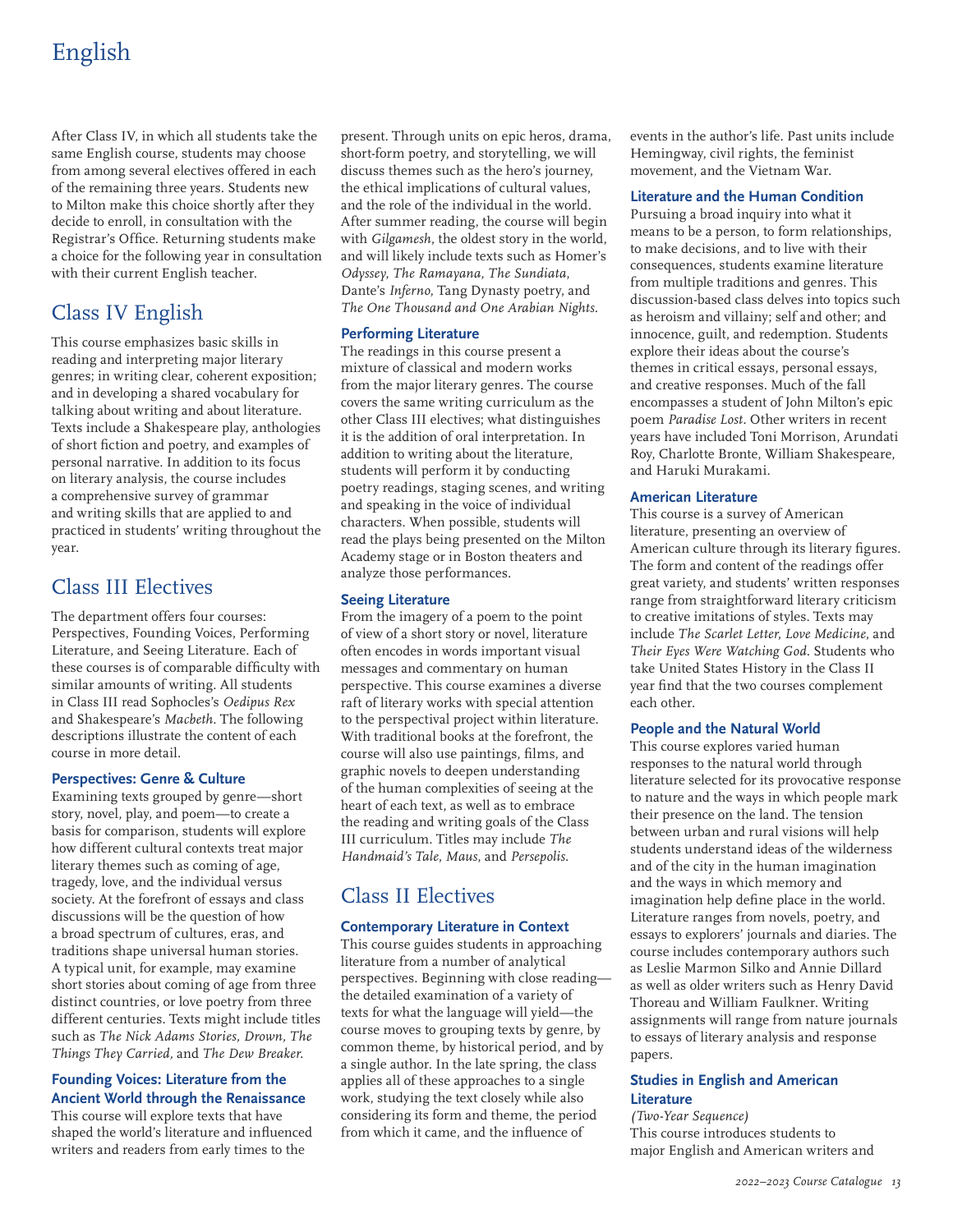# English

After Class IV, in which all students take the same English course, students may choose from among several electives offered in each of the remaining three years. Students new to Milton make this choice shortly after they decide to enroll, in consultation with the Registrar's Office. Returning students make a choice for the following year in consultation with their current English teacher.

# Class IV English

This course emphasizes basic skills in reading and interpreting major literary genres; in writing clear, coherent exposition; and in developing a shared vocabulary for talking about writing and about literature. Texts include a Shakespeare play, anthologies of short fiction and poetry, and examples of personal narrative. In addition to its focus on literary analysis, the course includes a comprehensive survey of grammar and writing skills that are applied to and practiced in students' writing throughout the year.

# Class III Electives

The department offers four courses: Perspectives, Founding Voices, Performing Literature, and Seeing Literature. Each of these courses is of comparable difficulty with similar amounts of writing. All students in Class III read Sophocles's *Oedipus Rex* and Shakespeare's *Macbeth*. The following descriptions illustrate the content of each course in more detail.

# **Perspectives: Genre & Culture**

Examining texts grouped by genre—short story, novel, play, and poem—to create a basis for comparison, students will explore how different cultural contexts treat major literary themes such as coming of age, tragedy, love, and the individual versus society. At the forefront of essays and class discussions will be the question of how a broad spectrum of cultures, eras, and traditions shape universal human stories. A typical unit, for example, may examine short stories about coming of age from three distinct countries, or love poetry from three different centuries. Texts might include titles such as *The Nick Adams Stories, Drown, The Things They Carried,* and *The Dew Breaker.*

### **Founding Voices: Literature from the Ancient World through the Renaissance**

This course will explore texts that have shaped the world's literature and influenced writers and readers from early times to the

present. Through units on epic heros, drama, short-form poetry, and storytelling, we will discuss themes such as the hero's journey, the ethical implications of cultural values, and the role of the individual in the world. After summer reading, the course will begin with *Gilgamesh*, the oldest story in the world, and will likely include texts such as Homer's *Odyssey*, *The Ramayana*, *The Sundiata*, Dante's *Inferno*, Tang Dynasty poetry, and *The One Thousand and One Arabian Nights*.

# **Performing Literature**

The readings in this course present a mixture of classical and modern works from the major literary genres. The course covers the same writing curriculum as the other Class III electives; what distinguishes it is the addition of oral interpretation. In addition to writing about the literature, students will perform it by conducting poetry readings, staging scenes, and writing and speaking in the voice of individual characters. When possible, students will read the plays being presented on the Milton Academy stage or in Boston theaters and analyze those performances.

# **Seeing Literature**

From the imagery of a poem to the point of view of a short story or novel, literature often encodes in words important visual messages and commentary on human perspective. This course examines a diverse raft of literary works with special attention to the perspectival project within literature. With traditional books at the forefront, the course will also use paintings, films, and graphic novels to deepen understanding of the human complexities of seeing at the heart of each text, as well as to embrace the reading and writing goals of the Class III curriculum. Titles may include *The Handmaid's Tale*, *Maus*, and *Persepolis*.

# Class II Electives

# **Contemporary Literature in Context**

This course guides students in approaching literature from a number of analytical perspectives. Beginning with close reading the detailed examination of a variety of texts for what the language will yield—the course moves to grouping texts by genre, by common theme, by historical period, and by a single author. In the late spring, the class applies all of these approaches to a single work, studying the text closely while also considering its form and theme, the period from which it came, and the influence of

events in the author's life. Past units include Hemingway, civil rights, the feminist movement, and the Vietnam War.

# **Literature and the Human Condition**

Pursuing a broad inquiry into what it means to be a person, to form relationships, to make decisions, and to live with their consequences, students examine literature from multiple traditions and genres. This discussion-based class delves into topics such as heroism and villainy; self and other; and innocence, guilt, and redemption. Students explore their ideas about the course's themes in critical essays, personal essays, and creative responses. Much of the fall encompasses a student of John Milton's epic poem *Paradise Lost.* Other writers in recent years have included Toni Morrison, Arundati Roy, Charlotte Bronte, William Shakespeare, and Haruki Murakami.

# **American Literature**

This course is a survey of American literature, presenting an overview of American culture through its literary figures. The form and content of the readings offer great variety, and students' written responses range from straightforward literary criticism to creative imitations of styles. Texts may include *The Scarlet Letter*, *Love Medicine*, and *Their Eyes Were Watching God*. Students who take United States History in the Class II year find that the two courses complement each other.

# **People and the Natural World**

This course explores varied human responses to the natural world through literature selected for its provocative response to nature and the ways in which people mark their presence on the land. The tension between urban and rural visions will help students understand ideas of the wilderness and of the city in the human imagination and the ways in which memory and imagination help define place in the world. Literature ranges from novels, poetry, and essays to explorers' journals and diaries. The course includes contemporary authors such as Leslie Marmon Silko and Annie Dillard as well as older writers such as Henry David Thoreau and William Faulkner. Writing assignments will range from nature journals to essays of literary analysis and response papers.

# **Studies in English and American Literature**

*(Two-Year Sequence)* This course introduces students to major English and American writers and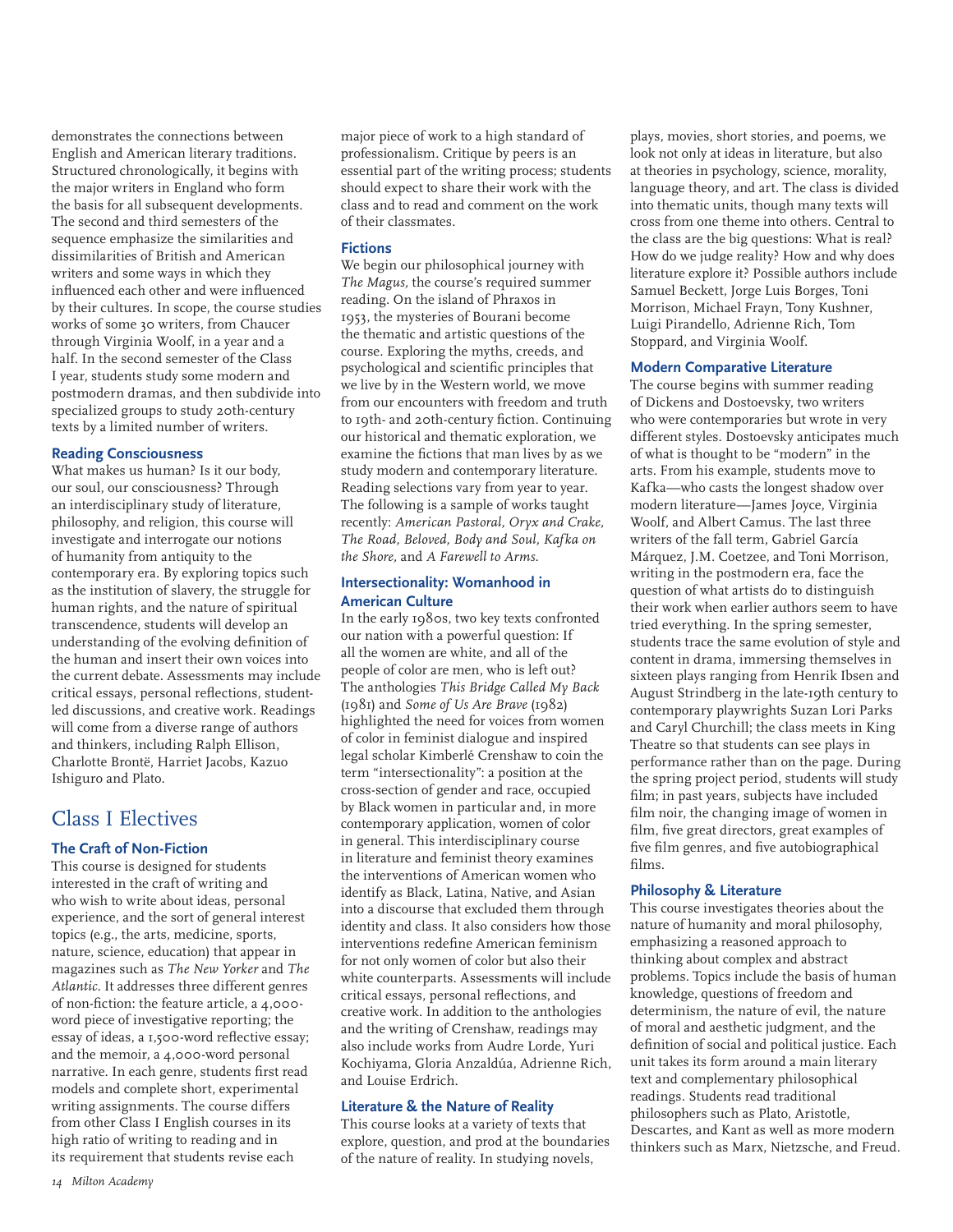demonstrates the connections between English and American literary traditions. Structured chronologically, it begins with the major writers in England who form the basis for all subsequent developments. The second and third semesters of the sequence emphasize the similarities and dissimilarities of British and American writers and some ways in which they influenced each other and were influenced by their cultures. In scope, the course studies works of some 30 writers, from Chaucer through Virginia Woolf, in a year and a half. In the second semester of the Class I year, students study some modern and postmodern dramas, and then subdivide into specialized groups to study 20th-century texts by a limited number of writers.

### **Reading Consciousness**

What makes us human? Is it our body, our soul, our consciousness? Through an interdisciplinary study of literature, philosophy, and religion, this course will investigate and interrogate our notions of humanity from antiquity to the contemporary era. By exploring topics such as the institution of slavery, the struggle for human rights, and the nature of spiritual transcendence, students will develop an understanding of the evolving definition of the human and insert their own voices into the current debate. Assessments may include critical essays, personal reflections, studentled discussions, and creative work. Readings will come from a diverse range of authors and thinkers, including Ralph Ellison, Charlotte Brontë, Harriet Jacobs, Kazuo Ishiguro and Plato.

# Class I Electives

# **The Craft of Non-Fiction**

This course is designed for students interested in the craft of writing and who wish to write about ideas, personal experience, and the sort of general interest topics (e.g., the arts, medicine, sports, nature, science, education) that appear in magazines such as *The New Yorker* and *The Atlantic*. It addresses three different genres of non-fiction: the feature article, a 4,000 word piece of investigative reporting; the essay of ideas, a 1,500-word reflective essay; and the memoir, a 4,000-word personal narrative. In each genre, students first read models and complete short, experimental writing assignments. The course differs from other Class I English courses in its high ratio of writing to reading and in its requirement that students revise each

# **Fictions**

We begin our philosophical journey with *The Magus,* the course's required summer reading. On the island of Phraxos in 1953, the mysteries of Bourani become the thematic and artistic questions of the course. Exploring the myths, creeds, and psychological and scientific principles that we live by in the Western world, we move from our encounters with freedom and truth to 19th- and 20th-century fiction. Continuing our historical and thematic exploration, we examine the fictions that man lives by as we study modern and contemporary literature. Reading selections vary from year to year. The following is a sample of works taught recently: *American Pastoral, Oryx and Crake, The Road, Beloved, Body and Soul, Kafka on the Shore,* and *A Farewell to Arms*.

### **Intersectionality: Womanhood in American Culture**

In the early 1980s, two key texts confronted our nation with a powerful question: If all the women are white, and all of the people of color are men, who is left out? The anthologies *This Bridge Called My Back*  (1981) and *Some of Us Are Brave* (1982) highlighted the need for voices from women of color in feminist dialogue and inspired legal scholar Kimberlé Crenshaw to coin the term "intersectionality": a position at the cross-section of gender and race, occupied by Black women in particular and, in more contemporary application, women of color in general. This interdisciplinary course in literature and feminist theory examines the interventions of American women who identify as Black, Latina, Native, and Asian into a discourse that excluded them through identity and class. It also considers how those interventions redefine American feminism for not only women of color but also their white counterparts. Assessments will include critical essays, personal reflections, and creative work. In addition to the anthologies and the writing of Crenshaw, readings may also include works from Audre Lorde, Yuri Kochiyama, Gloria Anzaldúa, Adrienne Rich, and Louise Erdrich.

# **Literature & the Nature of Reality**

This course looks at a variety of texts that explore, question, and prod at the boundaries of the nature of reality. In studying novels,

plays, movies, short stories, and poems, we look not only at ideas in literature, but also at theories in psychology, science, morality, language theory, and art. The class is divided into thematic units, though many texts will cross from one theme into others. Central to the class are the big questions: What is real? How do we judge reality? How and why does literature explore it? Possible authors include Samuel Beckett, Jorge Luis Borges, Toni Morrison, Michael Frayn, Tony Kushner, Luigi Pirandello, Adrienne Rich, Tom Stoppard, and Virginia Woolf.

### **Modern Comparative Literature**

The course begins with summer reading of Dickens and Dostoevsky, two writers who were contemporaries but wrote in very different styles. Dostoevsky anticipates much of what is thought to be "modern" in the arts. From his example, students move to Kafka—who casts the longest shadow over modern literature—James Joyce, Virginia Woolf, and Albert Camus. The last three writers of the fall term, Gabriel García Márquez, J.M. Coetzee, and Toni Morrison, writing in the postmodern era, face the question of what artists do to distinguish their work when earlier authors seem to have tried everything. In the spring semester, students trace the same evolution of style and content in drama, immersing themselves in sixteen plays ranging from Henrik Ibsen and August Strindberg in the late-19th century to contemporary playwrights Suzan Lori Parks and Caryl Churchill; the class meets in King Theatre so that students can see plays in performance rather than on the page. During the spring project period, students will study film; in past years, subjects have included film noir, the changing image of women in film, five great directors, great examples of five film genres, and five autobiographical films.

# **Philosophy & Literature**

This course investigates theories about the nature of humanity and moral philosophy, emphasizing a reasoned approach to thinking about complex and abstract problems. Topics include the basis of human knowledge, questions of freedom and determinism, the nature of evil, the nature of moral and aesthetic judgment, and the definition of social and political justice. Each unit takes its form around a main literary text and complementary philosophical readings. Students read traditional philosophers such as Plato, Aristotle, Descartes, and Kant as well as more modern thinkers such as Marx, Nietzsche, and Freud.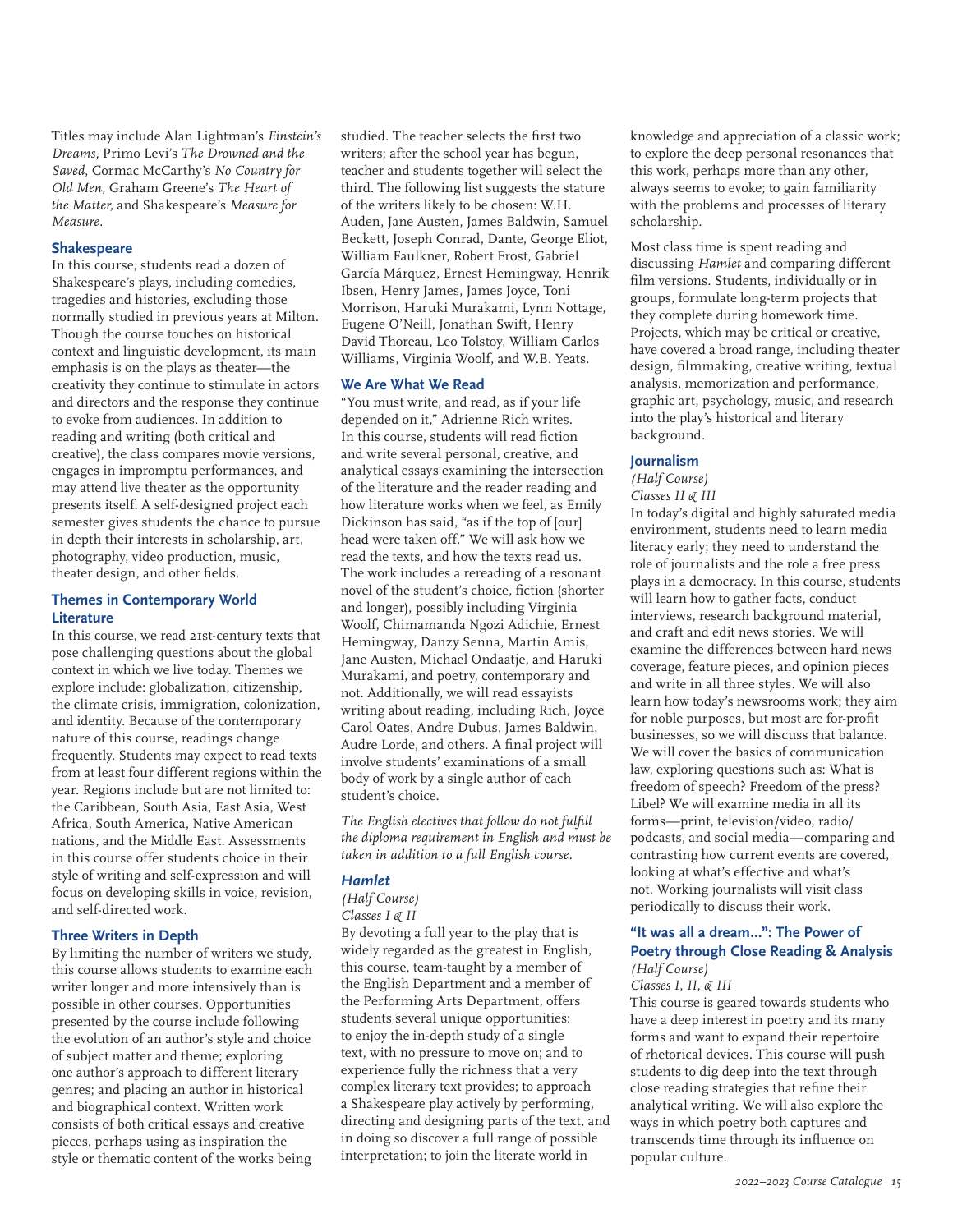Titles may include Alan Lightman's *Einstein's Dreams,* Primo Levi's *The Drowned and the Saved*, Cormac McCarthy's *No Country for Old Men,* Graham Greene's *The Heart of the Matter,* and Shakespeare's *Measure for Measure.*

### **Shakespeare**

In this course, students read a dozen of Shakespeare's plays, including comedies, tragedies and histories, excluding those normally studied in previous years at Milton. Though the course touches on historical context and linguistic development, its main emphasis is on the plays as theater—the creativity they continue to stimulate in actors and directors and the response they continue to evoke from audiences. In addition to reading and writing (both critical and creative), the class compares movie versions, engages in impromptu performances, and may attend live theater as the opportunity presents itself. A self-designed project each semester gives students the chance to pursue in depth their interests in scholarship, art, photography, video production, music, theater design, and other fields.

### **Themes in Contemporary World Literature**

In this course, we read 21st-century texts that pose challenging questions about the global context in which we live today. Themes we explore include: globalization, citizenship, the climate crisis, immigration, colonization, and identity. Because of the contemporary nature of this course, readings change frequently. Students may expect to read texts from at least four different regions within the year. Regions include but are not limited to: the Caribbean, South Asia, East Asia, West Africa, South America, Native American nations, and the Middle East. Assessments in this course offer students choice in their style of writing and self-expression and will focus on developing skills in voice, revision, and self-directed work.

#### **Three Writers in Depth**

By limiting the number of writers we study, this course allows students to examine each writer longer and more intensively than is possible in other courses. Opportunities presented by the course include following the evolution of an author's style and choice of subject matter and theme; exploring one author's approach to different literary genres; and placing an author in historical and biographical context. Written work consists of both critical essays and creative pieces, perhaps using as inspiration the style or thematic content of the works being studied. The teacher selects the first two writers; after the school year has begun, teacher and students together will select the third. The following list suggests the stature of the writers likely to be chosen: W.H. Auden, Jane Austen, James Baldwin, Samuel Beckett, Joseph Conrad, Dante, George Eliot, William Faulkner, Robert Frost, Gabriel García Márquez, Ernest Hemingway, Henrik Ibsen, Henry James, James Joyce, Toni Morrison, Haruki Murakami, Lynn Nottage, Eugene O'Neill, Jonathan Swift, Henry David Thoreau, Leo Tolstoy, William Carlos Williams, Virginia Woolf, and W.B. Yeats.

### **We Are What We Read**

"You must write, and read, as if your life depended on it," Adrienne Rich writes. In this course, students will read fiction and write several personal, creative, and analytical essays examining the intersection of the literature and the reader reading and how literature works when we feel, as Emily Dickinson has said, "as if the top of [our] head were taken off." We will ask how we read the texts, and how the texts read us. The work includes a rereading of a resonant novel of the student's choice, fiction (shorter and longer), possibly including Virginia Woolf, Chimamanda Ngozi Adichie, Ernest Hemingway, Danzy Senna, Martin Amis, Jane Austen, Michael Ondaatje, and Haruki Murakami, and poetry, contemporary and not. Additionally, we will read essayists writing about reading, including Rich, Joyce Carol Oates, Andre Dubus, James Baldwin, Audre Lorde, and others. A final project will involve students' examinations of a small body of work by a single author of each student's choice.

*The English electives that follow do not fulfill the diploma requirement in English and must be taken in addition to a full English course.*

#### *Hamlet*

*(Half Course) Classes I & II*

By devoting a full year to the play that is widely regarded as the greatest in English, this course, team-taught by a member of the English Department and a member of the Performing Arts Department, offers students several unique opportunities: to enjoy the in-depth study of a single text, with no pressure to move on; and to experience fully the richness that a very complex literary text provides; to approach a Shakespeare play actively by performing, directing and designing parts of the text, and in doing so discover a full range of possible interpretation; to join the literate world in

knowledge and appreciation of a classic work; to explore the deep personal resonances that this work, perhaps more than any other, always seems to evoke; to gain familiarity with the problems and processes of literary scholarship.

Most class time is spent reading and discussing *Hamlet* and comparing different film versions. Students, individually or in groups, formulate long-term projects that they complete during homework time. Projects, which may be critical or creative, have covered a broad range, including theater design, filmmaking, creative writing, textual analysis, memorization and performance, graphic art, psychology, music, and research into the play's historical and literary background.

#### **Journalism**

# *(Half Course)*

*Classes II & III*

In today's digital and highly saturated media environment, students need to learn media literacy early; they need to understand the role of journalists and the role a free press plays in a democracy. In this course, students will learn how to gather facts, conduct interviews, research background material, and craft and edit news stories. We will examine the differences between hard news coverage, feature pieces, and opinion pieces and write in all three styles. We will also learn how today's newsrooms work; they aim for noble purposes, but most are for-profit businesses, so we will discuss that balance. We will cover the basics of communication law, exploring questions such as: What is freedom of speech? Freedom of the press? Libel? We will examine media in all its forms—print, television/video, radio/ podcasts, and social media—comparing and contrasting how current events are covered, looking at what's effective and what's not. Working journalists will visit class periodically to discuss their work.

#### **"It was all a dream...": The Power of Poetry through Close Reading & Analysis** *(Half Course)*

# *Classes I, II, & III*

This course is geared towards students who have a deep interest in poetry and its many forms and want to expand their repertoire of rhetorical devices. This course will push students to dig deep into the text through close reading strategies that refine their analytical writing. We will also explore the ways in which poetry both captures and transcends time through its influence on popular culture.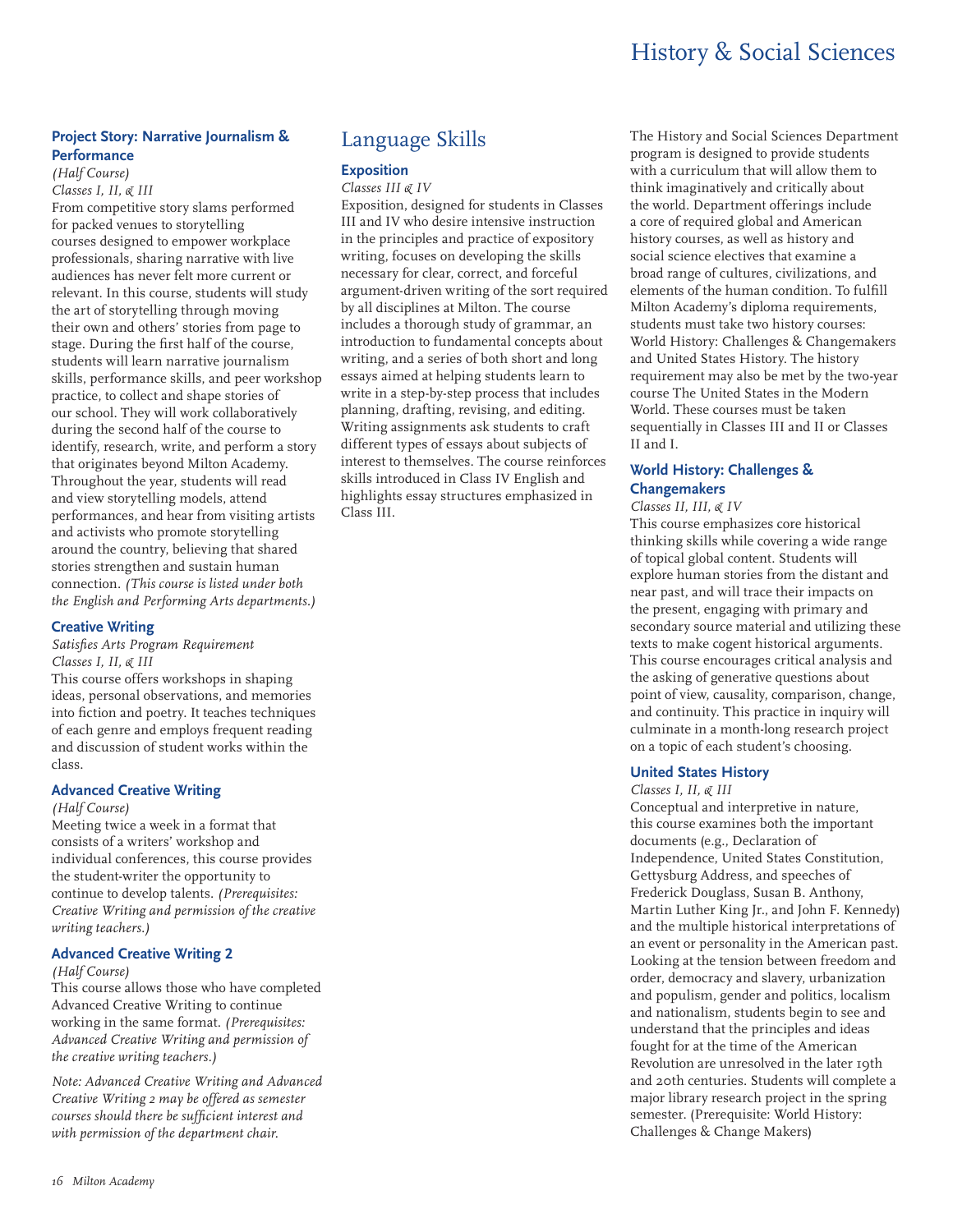# **Project Story: Narrative Journalism & Performance**

*(Half Course) Classes I, II, & III*

From competitive story slams performed for packed venues to storytelling courses designed to empower workplace professionals, sharing narrative with live audiences has never felt more current or relevant. In this course, students will study the art of storytelling through moving their own and others' stories from page to stage. During the first half of the course, students will learn narrative journalism skills, performance skills, and peer workshop practice, to collect and shape stories of our school. They will work collaboratively during the second half of the course to identify, research, write, and perform a story that originates beyond Milton Academy. Throughout the year, students will read and view storytelling models, attend performances, and hear from visiting artists and activists who promote storytelling around the country, believing that shared stories strengthen and sustain human connection. *(This course is listed under both the English and Performing Arts departments.)*

#### **Creative Writing**

#### *Satisfies Arts Program Requirement Classes I, II, & III*

This course offers workshops in shaping ideas, personal observations, and memories into fiction and poetry. It teaches techniques of each genre and employs frequent reading and discussion of student works within the class.

# **Advanced Creative Writing**

#### *(Half Course)*

Meeting twice a week in a format that consists of a writers' workshop and individual conferences, this course provides the student-writer the opportunity to continue to develop talents. *(Prerequisites: Creative Writing and permission of the creative writing teachers.)*

# **Advanced Creative Writing 2**

#### *(Half Course)*

This course allows those who have completed Advanced Creative Writing to continue working in the same format. *(Prerequisites: Advanced Creative Writing and permission of the creative writing teachers.)*

*Note: Advanced Creative Writing and Advanced Creative Writing 2 may be offered as semester courses should there be sufficient interest and with permission of the department chair.*

# Language Skills

### **Exposition**

#### *Classes III & IV*

Exposition, designed for students in Classes III and IV who desire intensive instruction in the principles and practice of expository writing, focuses on developing the skills necessary for clear, correct, and forceful argument-driven writing of the sort required by all disciplines at Milton. The course includes a thorough study of grammar, an introduction to fundamental concepts about writing, and a series of both short and long essays aimed at helping students learn to write in a step-by-step process that includes planning, drafting, revising, and editing. Writing assignments ask students to craft different types of essays about subjects of interest to themselves. The course reinforces skills introduced in Class IV English and highlights essay structures emphasized in Class III.

The History and Social Sciences Department program is designed to provide students with a curriculum that will allow them to think imaginatively and critically about the world. Department offerings include a core of required global and American history courses, as well as history and social science electives that examine a broad range of cultures, civilizations, and elements of the human condition. To fulfill Milton Academy's diploma requirements, students must take two history courses: World History: Challenges & Changemakers and United States History. The history requirement may also be met by the two-year course The United States in the Modern World. These courses must be taken sequentially in Classes III and II or Classes II and I.

# **World History: Challenges & Changemakers**

# *Classes II, III, & IV*

This course emphasizes core historical thinking skills while covering a wide range of topical global content. Students will explore human stories from the distant and near past, and will trace their impacts on the present, engaging with primary and secondary source material and utilizing these texts to make cogent historical arguments. This course encourages critical analysis and the asking of generative questions about point of view, causality, comparison, change, and continuity. This practice in inquiry will culminate in a month-long research project on a topic of each student's choosing.

#### **United States History**

#### *Classes I, II, & III*

Conceptual and interpretive in nature, this course examines both the important documents (e.g., Declaration of Independence, United States Constitution, Gettysburg Address, and speeches of Frederick Douglass, Susan B. Anthony, Martin Luther King Jr., and John F. Kennedy) and the multiple historical interpretations of an event or personality in the American past. Looking at the tension between freedom and order, democracy and slavery, urbanization and populism, gender and politics, localism and nationalism, students begin to see and understand that the principles and ideas fought for at the time of the American Revolution are unresolved in the later 19th and 20th centuries. Students will complete a major library research project in the spring semester. (Prerequisite: World History: Challenges & Change Makers)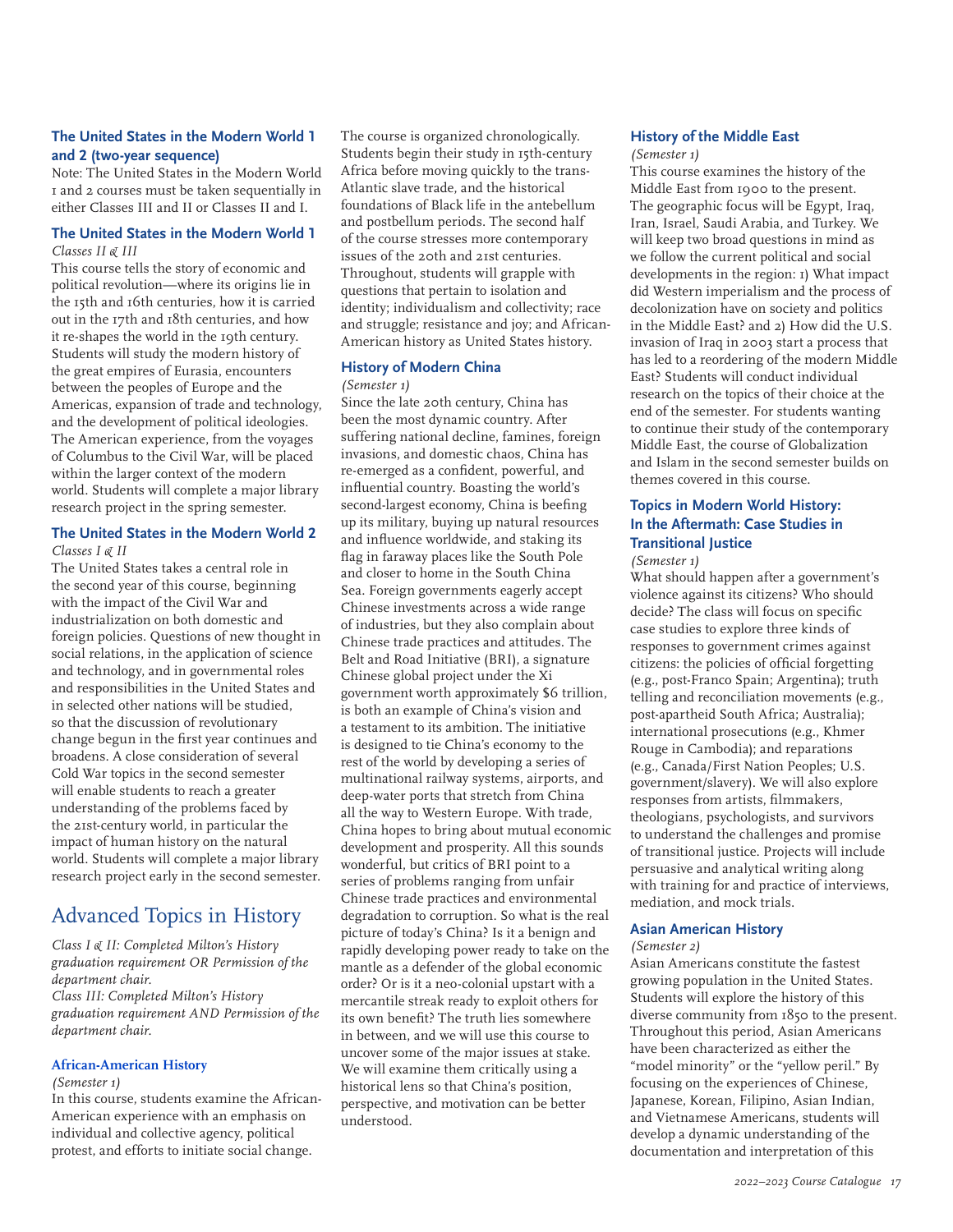# **The United States in the Modern World 1 and 2 (two-year sequence)**

Note: The United States in the Modern World 1 and 2 courses must be taken sequentially in either Classes III and II or Classes II and I.

### **The United States in the Modern World 1** *Classes II & III*

This course tells the story of economic and political revolution—where its origins lie in the 15th and 16th centuries, how it is carried out in the 17th and 18th centuries, and how it re-shapes the world in the 19th century. Students will study the modern history of the great empires of Eurasia, encounters between the peoples of Europe and the Americas, expansion of trade and technology, and the development of political ideologies. The American experience, from the voyages of Columbus to the Civil War, will be placed within the larger context of the modern world. Students will complete a major library research project in the spring semester.

#### **The United States in the Modern World 2** *Classes I & II*

The United States takes a central role in the second year of this course, beginning with the impact of the Civil War and industrialization on both domestic and foreign policies. Questions of new thought in social relations, in the application of science and technology, and in governmental roles and responsibilities in the United States and in selected other nations will be studied, so that the discussion of revolutionary change begun in the first year continues and broadens. A close consideration of several Cold War topics in the second semester will enable students to reach a greater understanding of the problems faced by the 21st-century world, in particular the impact of human history on the natural world. Students will complete a major library research project early in the second semester.

# Advanced Topics in History

*Class I & II: Completed Milton's History graduation requirement OR Permission of the department chair. Class III: Completed Milton's History graduation requirement AND Permission of the department chair.*

# **African-American History**

*(Semester 1)*

In this course, students examine the African-American experience with an emphasis on individual and collective agency, political protest, and efforts to initiate social change.

The course is organized chronologically. Students begin their study in 15th-century Africa before moving quickly to the trans-Atlantic slave trade, and the historical foundations of Black life in the antebellum and postbellum periods. The second half of the course stresses more contemporary issues of the 20th and 21st centuries. Throughout, students will grapple with questions that pertain to isolation and identity; individualism and collectivity; race and struggle; resistance and joy; and African-American history as United States history.

# **History of Modern China**

#### *(Semester 1)*

Since the late 20th century, China has been the most dynamic country. After suffering national decline, famines, foreign invasions, and domestic chaos, China has re-emerged as a confident, powerful, and influential country. Boasting the world's second-largest economy, China is beefing up its military, buying up natural resources and influence worldwide, and staking its flag in faraway places like the South Pole and closer to home in the South China Sea. Foreign governments eagerly accept Chinese investments across a wide range of industries, but they also complain about Chinese trade practices and attitudes. The Belt and Road Initiative (BRI), a signature Chinese global project under the Xi government worth approximately \$6 trillion, is both an example of China's vision and a testament to its ambition. The initiative is designed to tie China's economy to the rest of the world by developing a series of multinational railway systems, airports, and deep-water ports that stretch from China all the way to Western Europe. With trade, China hopes to bring about mutual economic development and prosperity. All this sounds wonderful, but critics of BRI point to a series of problems ranging from unfair Chinese trade practices and environmental degradation to corruption. So what is the real picture of today's China? Is it a benign and rapidly developing power ready to take on the mantle as a defender of the global economic order? Or is it a neo-colonial upstart with a mercantile streak ready to exploit others for its own benefit? The truth lies somewhere in between, and we will use this course to uncover some of the major issues at stake. We will examine them critically using a historical lens so that China's position, perspective, and motivation can be better understood.

# **History of the Middle East**

*(Semester 1)*

This course examines the history of the Middle East from 1900 to the present. The geographic focus will be Egypt, Iraq, Iran, Israel, Saudi Arabia, and Turkey. We will keep two broad questions in mind as we follow the current political and social developments in the region: 1) What impact did Western imperialism and the process of decolonization have on society and politics in the Middle East? and 2) How did the U.S. invasion of Iraq in 2003 start a process that has led to a reordering of the modern Middle East? Students will conduct individual research on the topics of their choice at the end of the semester. For students wanting to continue their study of the contemporary Middle East, the course of Globalization and Islam in the second semester builds on themes covered in this course.

# **Topics in Modern World History: In the Aftermath: Case Studies in Transitional Justice**

*(Semester 1)*

What should happen after a government's violence against its citizens? Who should decide? The class will focus on specific case studies to explore three kinds of responses to government crimes against citizens: the policies of official forgetting (e.g., post-Franco Spain; Argentina); truth telling and reconciliation movements (e.g., post-apartheid South Africa; Australia); international prosecutions (e.g., Khmer Rouge in Cambodia); and reparations (e.g., Canada/First Nation Peoples; U.S. government/slavery). We will also explore responses from artists, filmmakers, theologians, psychologists, and survivors to understand the challenges and promise of transitional justice. Projects will include persuasive and analytical writing along with training for and practice of interviews, mediation, and mock trials.

#### **Asian American History**

#### *(Semester 2)*

Asian Americans constitute the fastest growing population in the United States. Students will explore the history of this diverse community from 1850 to the present. Throughout this period, Asian Americans have been characterized as either the "model minority" or the "yellow peril." By focusing on the experiences of Chinese, Japanese, Korean, Filipino, Asian Indian, and Vietnamese Americans, students will develop a dynamic understanding of the documentation and interpretation of this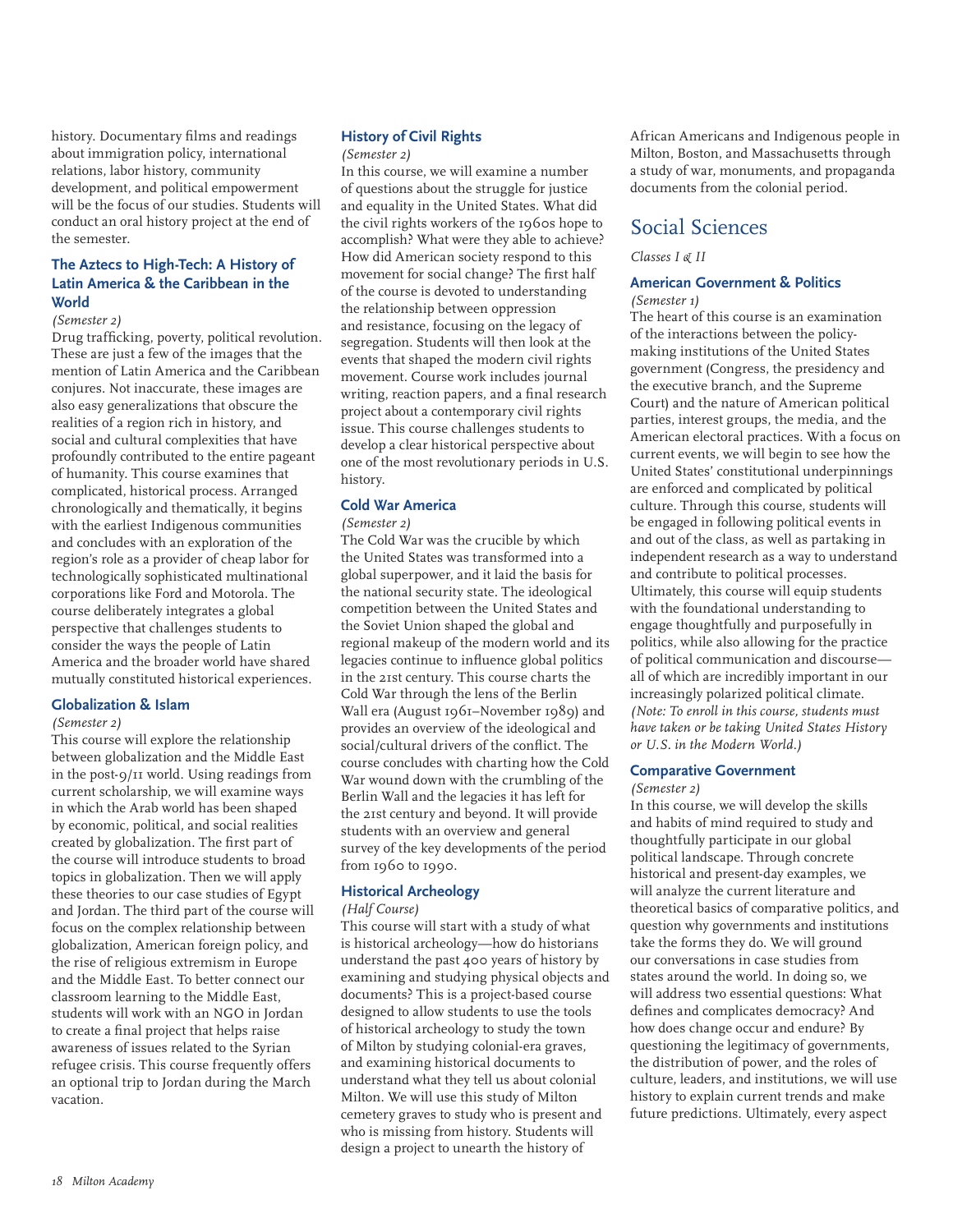history. Documentary films and readings about immigration policy, international relations, labor history, community development, and political empowerment will be the focus of our studies. Students will conduct an oral history project at the end of the semester.

# **The Aztecs to High-Tech: A History of Latin America & the Caribbean in the World**

#### *(Semester 2)*

Drug trafficking, poverty, political revolution. These are just a few of the images that the mention of Latin America and the Caribbean conjures. Not inaccurate, these images are also easy generalizations that obscure the realities of a region rich in history, and social and cultural complexities that have profoundly contributed to the entire pageant of humanity. This course examines that complicated, historical process. Arranged chronologically and thematically, it begins with the earliest Indigenous communities and concludes with an exploration of the region's role as a provider of cheap labor for technologically sophisticated multinational corporations like Ford and Motorola. The course deliberately integrates a global perspective that challenges students to consider the ways the people of Latin America and the broader world have shared mutually constituted historical experiences.

#### **Globalization & Islam**

#### *(Semester 2)*

This course will explore the relationship between globalization and the Middle East in the post-9/11 world. Using readings from current scholarship, we will examine ways in which the Arab world has been shaped by economic, political, and social realities created by globalization. The first part of the course will introduce students to broad topics in globalization. Then we will apply these theories to our case studies of Egypt and Jordan. The third part of the course will focus on the complex relationship between globalization, American foreign policy, and the rise of religious extremism in Europe and the Middle East. To better connect our classroom learning to the Middle East, students will work with an NGO in Jordan to create a final project that helps raise awareness of issues related to the Syrian refugee crisis. This course frequently offers an optional trip to Jordan during the March vacation.

# **History of Civil Rights**

# *(Semester 2)*

In this course, we will examine a number of questions about the struggle for justice and equality in the United States. What did the civil rights workers of the 1960s hope to accomplish? What were they able to achieve? How did American society respond to this movement for social change? The first half of the course is devoted to understanding the relationship between oppression and resistance, focusing on the legacy of segregation. Students will then look at the events that shaped the modern civil rights movement. Course work includes journal writing, reaction papers, and a final research project about a contemporary civil rights issue. This course challenges students to develop a clear historical perspective about one of the most revolutionary periods in U.S. history.

# **Cold War America**

# *(Semester 2)*

The Cold War was the crucible by which the United States was transformed into a global superpower, and it laid the basis for the national security state. The ideological competition between the United States and the Soviet Union shaped the global and regional makeup of the modern world and its legacies continue to influence global politics in the 21st century. This course charts the Cold War through the lens of the Berlin Wall era (August 1961–November 1989) and provides an overview of the ideological and social/cultural drivers of the conflict. The course concludes with charting how the Cold War wound down with the crumbling of the Berlin Wall and the legacies it has left for the 21st century and beyond. It will provide students with an overview and general survey of the key developments of the period from 1960 to 1990.

# **Historical Archeology**

#### *(Half Course)*

This course will start with a study of what is historical archeology—how do historians understand the past 400 years of history by examining and studying physical objects and documents? This is a project-based course designed to allow students to use the tools of historical archeology to study the town of Milton by studying colonial-era graves, and examining historical documents to understand what they tell us about colonial Milton. We will use this study of Milton cemetery graves to study who is present and who is missing from history. Students will design a project to unearth the history of

African Americans and Indigenous people in Milton, Boston, and Massachusetts through a study of war, monuments, and propaganda documents from the colonial period.

# Social Sciences

*Classes I & II*

# **American Government & Politics**

*(Semester 1)* The heart of this course is an examination of the interactions between the policymaking institutions of the United States government (Congress, the presidency and the executive branch, and the Supreme Court) and the nature of American political parties, interest groups, the media, and the American electoral practices. With a focus on current events, we will begin to see how the United States' constitutional underpinnings are enforced and complicated by political culture. Through this course, students will be engaged in following political events in and out of the class, as well as partaking in independent research as a way to understand and contribute to political processes. Ultimately, this course will equip students with the foundational understanding to engage thoughtfully and purposefully in politics, while also allowing for the practice of political communication and discourse all of which are incredibly important in our increasingly polarized political climate. *(Note: To enroll in this course, students must have taken or be taking United States History or U.S. in the Modern World.)*

# **Comparative Government**

#### *(Semester 2)*

In this course, we will develop the skills and habits of mind required to study and thoughtfully participate in our global political landscape. Through concrete historical and present-day examples, we will analyze the current literature and theoretical basics of comparative politics, and question why governments and institutions take the forms they do. We will ground our conversations in case studies from states around the world. In doing so, we will address two essential questions: What defines and complicates democracy? And how does change occur and endure? By questioning the legitimacy of governments, the distribution of power, and the roles of culture, leaders, and institutions, we will use history to explain current trends and make future predictions. Ultimately, every aspect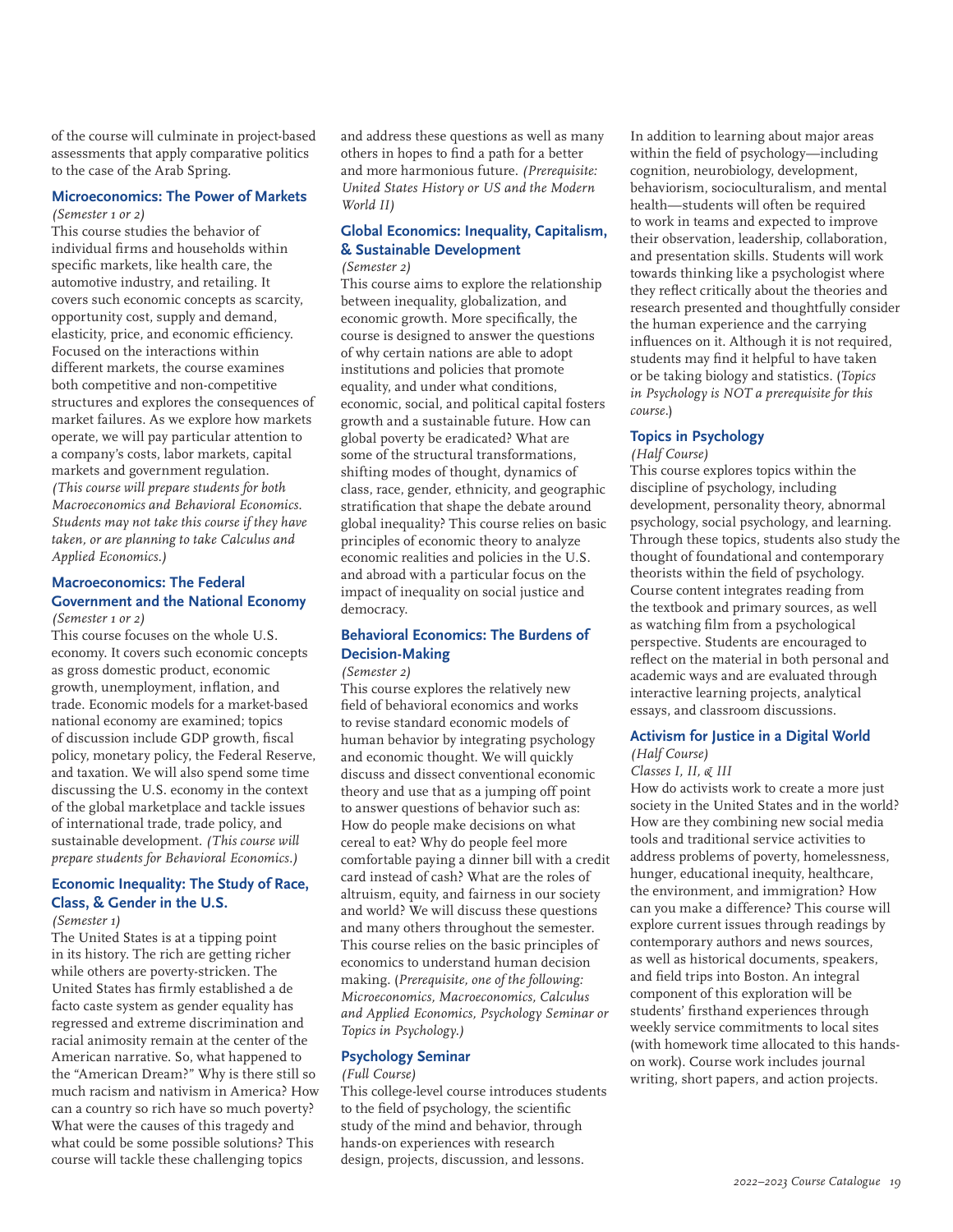of the course will culminate in project-based assessments that apply comparative politics to the case of the Arab Spring.

#### **Microeconomics: The Power of Markets** *(Semester 1 or 2)*

This course studies the behavior of individual firms and households within specific markets, like health care, the automotive industry, and retailing. It covers such economic concepts as scarcity, opportunity cost, supply and demand, elasticity, price, and economic efficiency. Focused on the interactions within different markets, the course examines both competitive and non-competitive structures and explores the consequences of market failures. As we explore how markets operate, we will pay particular attention to a company's costs, labor markets, capital markets and government regulation. *(This course will prepare students for both Macroeconomics and Behavioral Economics. Students may not take this course if they have taken, or are planning to take Calculus and Applied Economics.)*

#### **Macroeconomics: The Federal Government and the National Economy** *(Semester 1 or 2)*

This course focuses on the whole U.S. economy. It covers such economic concepts as gross domestic product, economic growth, unemployment, inflation, and trade. Economic models for a market-based national economy are examined; topics of discussion include GDP growth, fiscal policy, monetary policy, the Federal Reserve, and taxation. We will also spend some time discussing the U.S. economy in the context of the global marketplace and tackle issues of international trade, trade policy, and sustainable development. *(This course will prepare students for Behavioral Economics.)*

# **Economic Inequality: The Study of Race, Class, & Gender in the U.S.**

# *(Semester 1)*

The United States is at a tipping point in its history. The rich are getting richer while others are poverty-stricken. The United States has firmly established a de facto caste system as gender equality has regressed and extreme discrimination and racial animosity remain at the center of the American narrative. So, what happened to the "American Dream?" Why is there still so much racism and nativism in America? How can a country so rich have so much poverty? What were the causes of this tragedy and what could be some possible solutions? This course will tackle these challenging topics

and address these questions as well as many others in hopes to find a path for a better and more harmonious future. *(Prerequisite: United States History or US and the Modern World II)*

# **Global Economics: Inequality, Capitalism, & Sustainable Development**

# *(Semester 2)*

This course aims to explore the relationship between inequality, globalization, and economic growth. More specifically, the course is designed to answer the questions of why certain nations are able to adopt institutions and policies that promote equality, and under what conditions, economic, social, and political capital fosters growth and a sustainable future. How can global poverty be eradicated? What are some of the structural transformations, shifting modes of thought, dynamics of class, race, gender, ethnicity, and geographic stratification that shape the debate around global inequality? This course relies on basic principles of economic theory to analyze economic realities and policies in the U.S. and abroad with a particular focus on the impact of inequality on social justice and democracy.

# **Behavioral Economics: The Burdens of Decision-Making**

#### *(Semester 2)*

This course explores the relatively new field of behavioral economics and works to revise standard economic models of human behavior by integrating psychology and economic thought. We will quickly discuss and dissect conventional economic theory and use that as a jumping off point to answer questions of behavior such as: How do people make decisions on what cereal to eat? Why do people feel more comfortable paying a dinner bill with a credit card instead of cash? What are the roles of altruism, equity, and fairness in our society and world? We will discuss these questions and many others throughout the semester. This course relies on the basic principles of economics to understand human decision making. (*Prerequisite, one of the following: Microeconomics, Macroeconomics, Calculus and Applied Economics, Psychology Seminar or Topics in Psychology.)*

#### **Psychology Seminar**

#### *(Full Course)*

This college-level course introduces students to the field of psychology, the scientific study of the mind and behavior, through hands-on experiences with research design, projects, discussion, and lessons.

In addition to learning about major areas within the field of psychology—including cognition, neurobiology, development, behaviorism, socioculturalism, and mental health—students will often be required to work in teams and expected to improve their observation, leadership, collaboration, and presentation skills. Students will work towards thinking like a psychologist where they reflect critically about the theories and research presented and thoughtfully consider the human experience and the carrying influences on it. Although it is not required, students may find it helpful to have taken or be taking biology and statistics. (*Topics in Psychology is NOT a prerequisite for this course.*)

# **Topics in Psychology**

# *(Half Course)*

This course explores topics within the discipline of psychology, including development, personality theory, abnormal psychology, social psychology, and learning. Through these topics, students also study the thought of foundational and contemporary theorists within the field of psychology. Course content integrates reading from the textbook and primary sources, as well as watching film from a psychological perspective. Students are encouraged to reflect on the material in both personal and academic ways and are evaluated through interactive learning projects, analytical essays, and classroom discussions.

# **Activism for Justice in a Digital World**

#### *(Half Course) Classes I, II, & III*

How do activists work to create a more just society in the United States and in the world? How are they combining new social media tools and traditional service activities to address problems of poverty, homelessness, hunger, educational inequity, healthcare, the environment, and immigration? How can you make a difference? This course will explore current issues through readings by contemporary authors and news sources, as well as historical documents, speakers, and field trips into Boston. An integral component of this exploration will be students' firsthand experiences through weekly service commitments to local sites (with homework time allocated to this handson work). Course work includes journal writing, short papers, and action projects.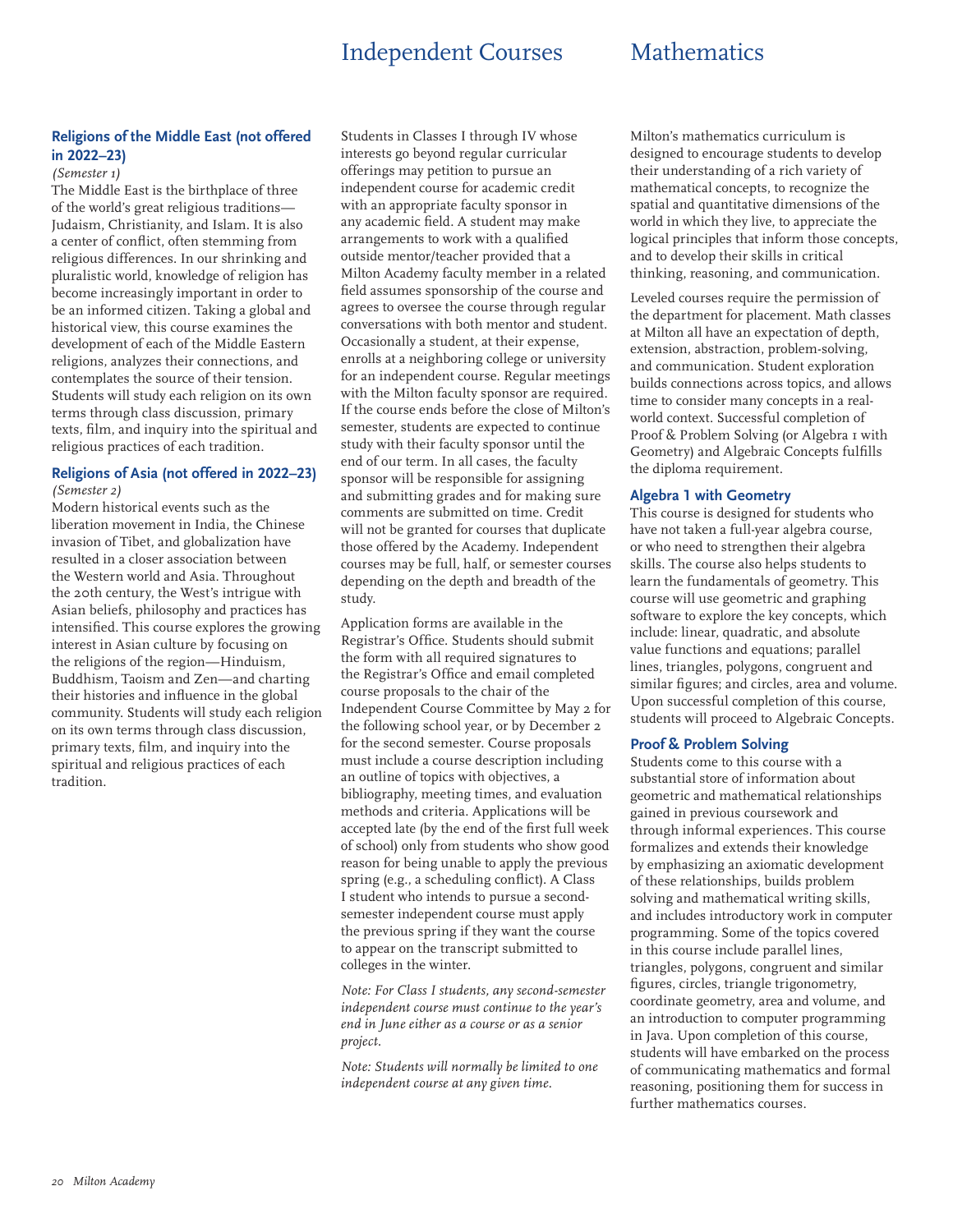# Independent Courses Mathematics

# **Religions of the Middle East (not offered in 2022–23)**

### *(Semester 1)*

The Middle East is the birthplace of three of the world's great religious traditions— Judaism, Christianity, and Islam. It is also a center of conflict, often stemming from religious differences. In our shrinking and pluralistic world, knowledge of religion has become increasingly important in order to be an informed citizen. Taking a global and historical view, this course examines the development of each of the Middle Eastern religions, analyzes their connections, and contemplates the source of their tension. Students will study each religion on its own terms through class discussion, primary texts, film, and inquiry into the spiritual and religious practices of each tradition.

#### **Religions of Asia (not offered in 2022–23)** *(Semester 2)*

Modern historical events such as the liberation movement in India, the Chinese invasion of Tibet, and globalization have resulted in a closer association between the Western world and Asia. Throughout the 20th century, the West's intrigue with Asian beliefs, philosophy and practices has intensified. This course explores the growing interest in Asian culture by focusing on the religions of the region—Hinduism, Buddhism, Taoism and Zen—and charting their histories and influence in the global community. Students will study each religion on its own terms through class discussion, primary texts, film, and inquiry into the spiritual and religious practices of each tradition.

Students in Classes I through IV whose interests go beyond regular curricular offerings may petition to pursue an independent course for academic credit with an appropriate faculty sponsor in any academic field. A student may make arrangements to work with a qualified outside mentor/teacher provided that a Milton Academy faculty member in a related field assumes sponsorship of the course and agrees to oversee the course through regular conversations with both mentor and student. Occasionally a student, at their expense, enrolls at a neighboring college or university for an independent course. Regular meetings with the Milton faculty sponsor are required. If the course ends before the close of Milton's semester, students are expected to continue study with their faculty sponsor until the end of our term. In all cases, the faculty sponsor will be responsible for assigning and submitting grades and for making sure comments are submitted on time. Credit will not be granted for courses that duplicate those offered by the Academy. Independent courses may be full, half, or semester courses depending on the depth and breadth of the study.

Application forms are available in the Registrar's Office. Students should submit the form with all required signatures to the Registrar's Office and email completed course proposals to the chair of the Independent Course Committee by May 2 for the following school year, or by December 2 for the second semester. Course proposals must include a course description including an outline of topics with objectives, a bibliography, meeting times, and evaluation methods and criteria. Applications will be accepted late (by the end of the first full week of school) only from students who show good reason for being unable to apply the previous spring (e.g., a scheduling conflict). A Class I student who intends to pursue a secondsemester independent course must apply the previous spring if they want the course to appear on the transcript submitted to colleges in the winter.

*Note: For Class I students, any second-semester independent course must continue to the year's end in June either as a course or as a senior project.*

*Note: Students will normally be limited to one independent course at any given time.*

Milton's mathematics curriculum is designed to encourage students to develop their understanding of a rich variety of mathematical concepts, to recognize the spatial and quantitative dimensions of the world in which they live, to appreciate the logical principles that inform those concepts, and to develop their skills in critical thinking, reasoning, and communication.

Leveled courses require the permission of the department for placement. Math classes at Milton all have an expectation of depth, extension, abstraction, problem-solving, and communication. Student exploration builds connections across topics, and allows time to consider many concepts in a realworld context. Successful completion of Proof & Problem Solving (or Algebra I with Geometry) and Algebraic Concepts fulfills the diploma requirement.

#### **Algebra 1 with Geometry**

This course is designed for students who have not taken a full-year algebra course, or who need to strengthen their algebra skills. The course also helps students to learn the fundamentals of geometry. This course will use geometric and graphing software to explore the key concepts, which include: linear, quadratic, and absolute value functions and equations; parallel lines, triangles, polygons, congruent and similar figures; and circles, area and volume. Upon successful completion of this course, students will proceed to Algebraic Concepts.

# **Proof & Problem Solving**

Students come to this course with a substantial store of information about geometric and mathematical relationships gained in previous coursework and through informal experiences. This course formalizes and extends their knowledge by emphasizing an axiomatic development of these relationships, builds problem solving and mathematical writing skills, and includes introductory work in computer programming. Some of the topics covered in this course include parallel lines, triangles, polygons, congruent and similar figures, circles, triangle trigonometry, coordinate geometry, area and volume, and an introduction to computer programming in Java. Upon completion of this course, students will have embarked on the process of communicating mathematics and formal reasoning, positioning them for success in further mathematics courses.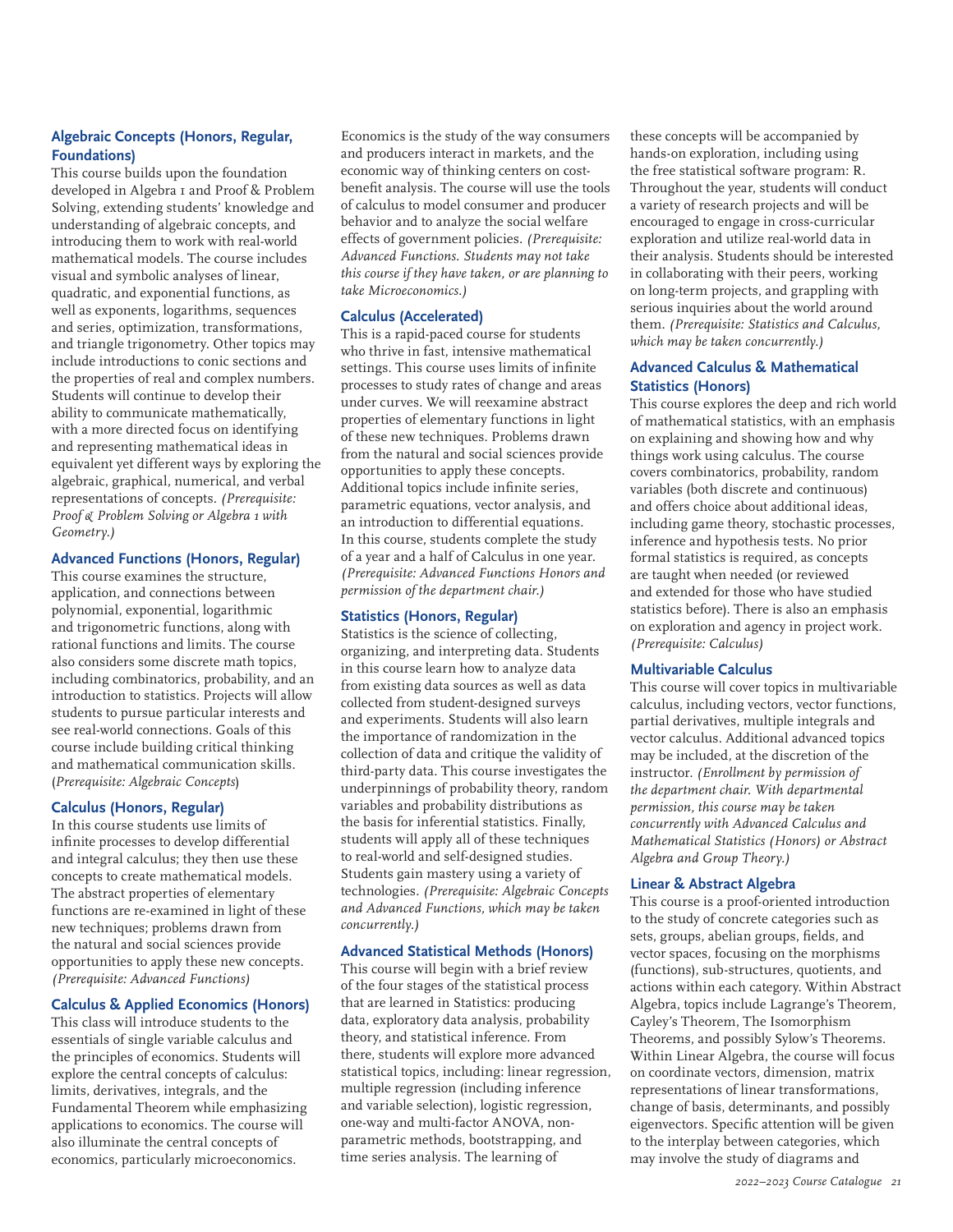# **Algebraic Concepts (Honors, Regular, Foundations)**

This course builds upon the foundation developed in Algebra 1 and Proof & Problem Solving, extending students' knowledge and understanding of algebraic concepts, and introducing them to work with real-world mathematical models. The course includes visual and symbolic analyses of linear, quadratic, and exponential functions, as well as exponents, logarithms, sequences and series, optimization, transformations, and triangle trigonometry. Other topics may include introductions to conic sections and the properties of real and complex numbers. Students will continue to develop their ability to communicate mathematically, with a more directed focus on identifying and representing mathematical ideas in equivalent yet different ways by exploring the algebraic, graphical, numerical, and verbal representations of concepts. *(Prerequisite: Proof & Problem Solving or Algebra 1 with Geometry.)*

### **Advanced Functions (Honors, Regular)**

This course examines the structure, application, and connections between polynomial, exponential, logarithmic and trigonometric functions, along with rational functions and limits. The course also considers some discrete math topics, including combinatorics, probability, and an introduction to statistics. Projects will allow students to pursue particular interests and see real-world connections. Goals of this course include building critical thinking and mathematical communication skills. (*Prerequisite: Algebraic Concepts*)

# **Calculus (Honors, Regular)**

In this course students use limits of infinite processes to develop differential and integral calculus; they then use these concepts to create mathematical models. The abstract properties of elementary functions are re-examined in light of these new techniques; problems drawn from the natural and social sciences provide opportunities to apply these new concepts. *(Prerequisite: Advanced Functions)*

# **Calculus & Applied Economics (Honors)**

This class will introduce students to the essentials of single variable calculus and the principles of economics. Students will explore the central concepts of calculus: limits, derivatives, integrals, and the Fundamental Theorem while emphasizing applications to economics. The course will also illuminate the central concepts of economics, particularly microeconomics.

Economics is the study of the way consumers and producers interact in markets, and the economic way of thinking centers on costbenefit analysis. The course will use the tools of calculus to model consumer and producer behavior and to analyze the social welfare effects of government policies. *(Prerequisite: Advanced Functions. Students may not take this course if they have taken, or are planning to take Microeconomics.)*

# **Calculus (Accelerated)**

This is a rapid-paced course for students who thrive in fast, intensive mathematical settings. This course uses limits of infinite processes to study rates of change and areas under curves. We will reexamine abstract properties of elementary functions in light of these new techniques. Problems drawn from the natural and social sciences provide opportunities to apply these concepts. Additional topics include infinite series, parametric equations, vector analysis, and an introduction to differential equations. In this course, students complete the study of a year and a half of Calculus in one year. *(Prerequisite: Advanced Functions Honors and permission of the department chair.)*

# **Statistics (Honors, Regular)**

Statistics is the science of collecting, organizing, and interpreting data. Students in this course learn how to analyze data from existing data sources as well as data collected from student-designed surveys and experiments. Students will also learn the importance of randomization in the collection of data and critique the validity of third-party data. This course investigates the underpinnings of probability theory, random variables and probability distributions as the basis for inferential statistics. Finally, students will apply all of these techniques to real-world and self-designed studies. Students gain mastery using a variety of technologies. *(Prerequisite: Algebraic Concepts and Advanced Functions, which may be taken concurrently.)*

# **Advanced Statistical Methods (Honors)**

This course will begin with a brief review of the four stages of the statistical process that are learned in Statistics: producing data, exploratory data analysis, probability theory, and statistical inference. From there, students will explore more advanced statistical topics, including: linear regression, multiple regression (including inference and variable selection), logistic regression, one-way and multi-factor ANOVA, nonparametric methods, bootstrapping, and time series analysis. The learning of

these concepts will be accompanied by hands-on exploration, including using the free statistical software program: R. Throughout the year, students will conduct a variety of research projects and will be encouraged to engage in cross-curricular exploration and utilize real-world data in their analysis. Students should be interested in collaborating with their peers, working on long-term projects, and grappling with serious inquiries about the world around them. *(Prerequisite: Statistics and Calculus, which may be taken concurrently.)*

# **Advanced Calculus & Mathematical Statistics (Honors)**

This course explores the deep and rich world of mathematical statistics, with an emphasis on explaining and showing how and why things work using calculus. The course covers combinatorics, probability, random variables (both discrete and continuous) and offers choice about additional ideas, including game theory, stochastic processes, inference and hypothesis tests. No prior formal statistics is required, as concepts are taught when needed (or reviewed and extended for those who have studied statistics before). There is also an emphasis on exploration and agency in project work. *(Prerequisite: Calculus)*

#### **Multivariable Calculus**

This course will cover topics in multivariable calculus, including vectors, vector functions, partial derivatives, multiple integrals and vector calculus. Additional advanced topics may be included, at the discretion of the instructor. *(Enrollment by permission of the department chair. With departmental permission, this course may be taken concurrently with Advanced Calculus and Mathematical Statistics (Honors) or Abstract Algebra and Group Theory.)*

# **Linear & Abstract Algebra**

This course is a proof-oriented introduction to the study of concrete categories such as sets, groups, abelian groups, fields, and vector spaces, focusing on the morphisms (functions), sub-structures, quotients, and actions within each category. Within Abstract Algebra, topics include Lagrange's Theorem, Cayley's Theorem, The Isomorphism Theorems, and possibly Sylow's Theorems. Within Linear Algebra, the course will focus on coordinate vectors, dimension, matrix representations of linear transformations, change of basis, determinants, and possibly eigenvectors. Specific attention will be given to the interplay between categories, which may involve the study of diagrams and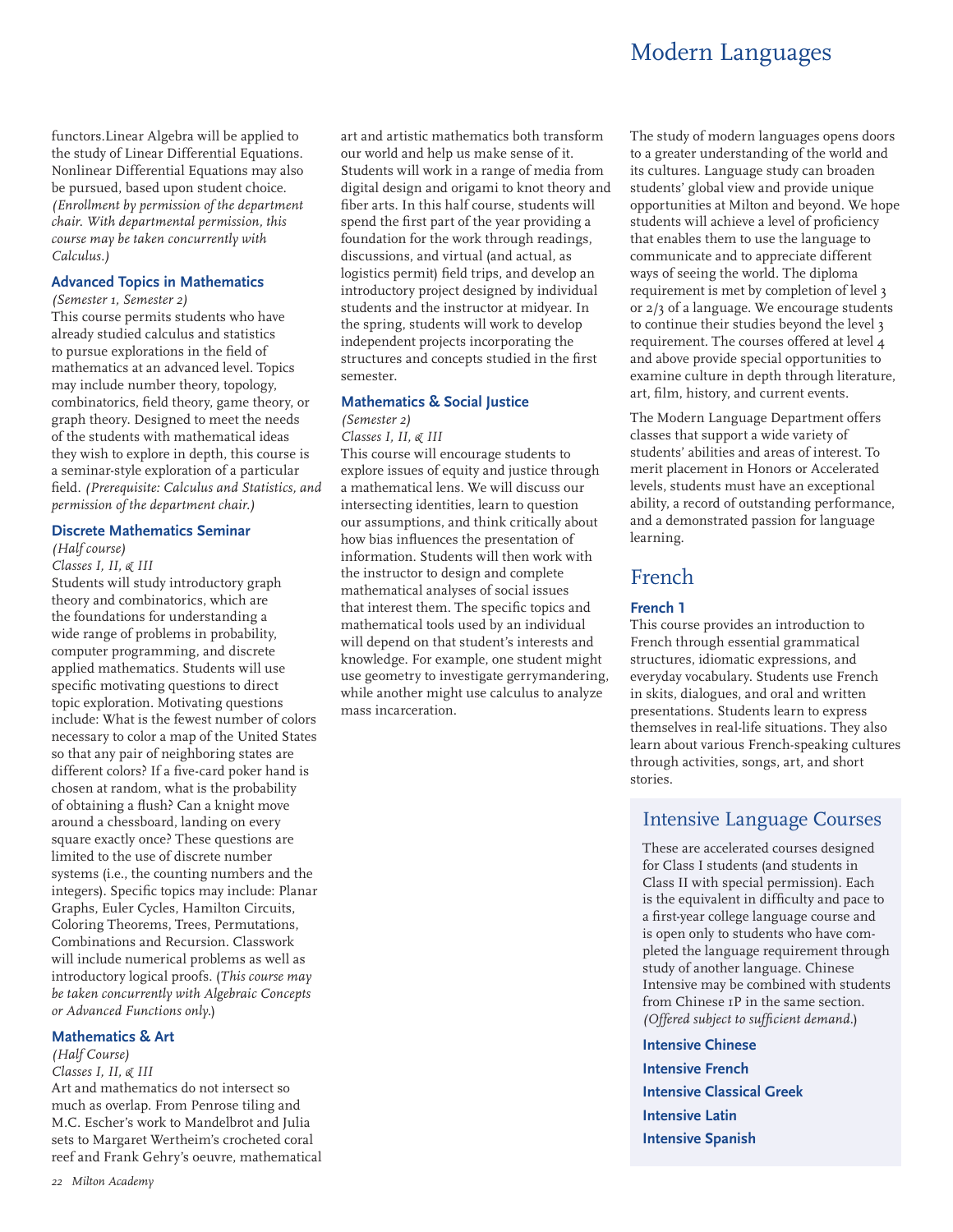# Modern Languages

functors.Linear Algebra will be applied to the study of Linear Differential Equations. Nonlinear Differential Equations may also be pursued, based upon student choice. *(Enrollment by permission of the department chair. With departmental permission, this course may be taken concurrently with Calculus.)*

### **Advanced Topics in Mathematics**

*(Semester 1, Semester 2)*

This course permits students who have already studied calculus and statistics to pursue explorations in the field of mathematics at an advanced level. Topics may include number theory, topology, combinatorics, field theory, game theory, or graph theory. Designed to meet the needs of the students with mathematical ideas they wish to explore in depth, this course is a seminar-style exploration of a particular field. *(Prerequisite: Calculus and Statistics, and permission of the department chair.)*

### **Discrete Mathematics Seminar**

*(Half course)*

*Classes I, II, & III* Students will study introductory graph theory and combinatorics, which are the foundations for understanding a wide range of problems in probability, computer programming, and discrete applied mathematics. Students will use specific motivating questions to direct topic exploration. Motivating questions include: What is the fewest number of colors necessary to color a map of the United States so that any pair of neighboring states are different colors? If a five-card poker hand is chosen at random, what is the probability of obtaining a flush? Can a knight move around a chessboard, landing on every square exactly once? These questions are limited to the use of discrete number systems (i.e., the counting numbers and the integers). Specific topics may include: Planar Graphs, Euler Cycles, Hamilton Circuits, Coloring Theorems, Trees, Permutations, Combinations and Recursion. Classwork will include numerical problems as well as introductory logical proofs. (*This course may be taken concurrently with Algebraic Concepts or Advanced Functions only.*)

#### **Mathematics & Art**

*(Half Course) Classes I, II, & III* Art and mathematics do not intersect so much as overlap. From Penrose tiling and M.C. Escher's work to Mandelbrot and Julia sets to Margaret Wertheim's crocheted coral

reef and Frank Gehry's oeuvre, mathematical

*22 Milton Academy*

art and artistic mathematics both transform our world and help us make sense of it. Students will work in a range of media from digital design and origami to knot theory and fiber arts. In this half course, students will spend the first part of the year providing a foundation for the work through readings, discussions, and virtual (and actual, as logistics permit) field trips, and develop an introductory project designed by individual students and the instructor at midyear. In the spring, students will work to develop independent projects incorporating the structures and concepts studied in the first semester.

#### **Mathematics & Social Justice**

### *(Semester 2)*

*Classes I, II, & III* This course will encourage students to explore issues of equity and justice through a mathematical lens. We will discuss our intersecting identities, learn to question our assumptions, and think critically about how bias influences the presentation of information. Students will then work with the instructor to design and complete mathematical analyses of social issues that interest them. The specific topics and mathematical tools used by an individual will depend on that student's interests and knowledge. For example, one student might use geometry to investigate gerrymandering, while another might use calculus to analyze mass incarceration.

The study of modern languages opens doors to a greater understanding of the world and its cultures. Language study can broaden students' global view and provide unique opportunities at Milton and beyond. We hope students will achieve a level of proficiency that enables them to use the language to communicate and to appreciate different ways of seeing the world. The diploma requirement is met by completion of level 3 or 2/3 of a language. We encourage students to continue their studies beyond the level 3 requirement. The courses offered at level 4 and above provide special opportunities to examine culture in depth through literature, art, film, history, and current events.

The Modern Language Department offers classes that support a wide variety of students' abilities and areas of interest. To merit placement in Honors or Accelerated levels, students must have an exceptional ability, a record of outstanding performance, and a demonstrated passion for language learning.

# French

### **French 1**

This course provides an introduction to French through essential grammatical structures, idiomatic expressions, and everyday vocabulary. Students use French in skits, dialogues, and oral and written presentations. Students learn to express themselves in real-life situations. They also learn about various French-speaking cultures through activities, songs, art, and short stories.

# Intensive Language Courses

These are accelerated courses designed for Class I students (and students in Class II with special permission). Each is the equivalent in difficulty and pace to a first-year college language course and is open only to students who have completed the language requirement through study of another language. Chinese Intensive may be combined with students from Chinese 1P in the same section. *(Offered subject to sufficient demand.*)

**Intensive Chinese Intensive French Intensive Classical Greek Intensive Latin Intensive Spanish**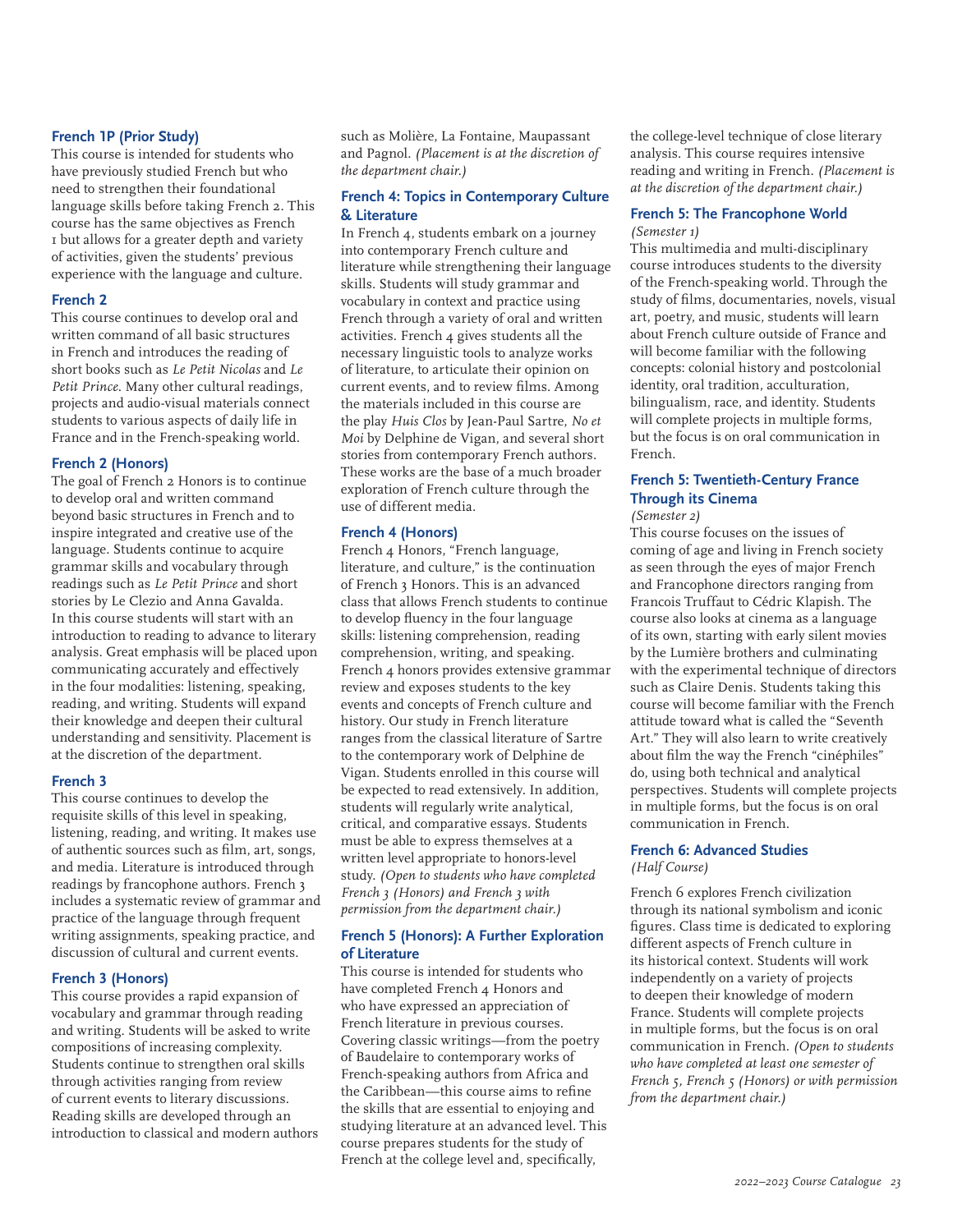#### **French 1P (Prior Study)**

This course is intended for students who have previously studied French but who need to strengthen their foundational language skills before taking French 2. This course has the same objectives as French 1 but allows for a greater depth and variety of activities, given the students' previous experience with the language and culture.

### **French 2**

This course continues to develop oral and written command of all basic structures in French and introduces the reading of short books such as *Le Petit Nicolas* and *Le Petit Prince*. Many other cultural readings, projects and audio-visual materials connect students to various aspects of daily life in France and in the French-speaking world.

# **French 2 (Honors)**

The goal of French 2 Honors is to continue to develop oral and written command beyond basic structures in French and to inspire integrated and creative use of the language. Students continue to acquire grammar skills and vocabulary through readings such as *Le Petit Prince* and short stories by Le Clezio and Anna Gavalda. In this course students will start with an introduction to reading to advance to literary analysis. Great emphasis will be placed upon communicating accurately and effectively in the four modalities: listening, speaking, reading, and writing. Students will expand their knowledge and deepen their cultural understanding and sensitivity. Placement is at the discretion of the department.

# **French 3**

This course continues to develop the requisite skills of this level in speaking, listening, reading, and writing. It makes use of authentic sources such as film, art, songs, and media. Literature is introduced through readings by francophone authors. French 3 includes a systematic review of grammar and practice of the language through frequent writing assignments, speaking practice, and discussion of cultural and current events.

# **French 3 (Honors)**

This course provides a rapid expansion of vocabulary and grammar through reading and writing. Students will be asked to write compositions of increasing complexity. Students continue to strengthen oral skills through activities ranging from review of current events to literary discussions. Reading skills are developed through an introduction to classical and modern authors such as Molière, La Fontaine, Maupassant and Pagnol. *(Placement is at the discretion of the department chair.)*

# **French 4: Topics in Contemporary Culture & Literature**

In French 4, students embark on a journey into contemporary French culture and literature while strengthening their language skills. Students will study grammar and vocabulary in context and practice using French through a variety of oral and written activities. French 4 gives students all the necessary linguistic tools to analyze works of literature, to articulate their opinion on current events, and to review films. Among the materials included in this course are the play *Huis Clos* by Jean-Paul Sartre, *No et Moi* by Delphine de Vigan, and several short stories from contemporary French authors. These works are the base of a much broader exploration of French culture through the use of different media.

# **French 4 (Honors)**

French 4 Honors, "French language, literature, and culture," is the continuation of French 3 Honors. This is an advanced class that allows French students to continue to develop fluency in the four language skills: listening comprehension, reading comprehension, writing, and speaking. French 4 honors provides extensive grammar review and exposes students to the key events and concepts of French culture and history. Our study in French literature ranges from the classical literature of Sartre to the contemporary work of Delphine de Vigan. Students enrolled in this course will be expected to read extensively. In addition, students will regularly write analytical, critical, and comparative essays. Students must be able to express themselves at a written level appropriate to honors-level study. *(Open to students who have completed French 3 (Honors) and French 3 with permission from the department chair.)*

# **French 5 (Honors): A Further Exploration of Literature**

This course is intended for students who have completed French 4 Honors and who have expressed an appreciation of French literature in previous courses. Covering classic writings—from the poetry of Baudelaire to contemporary works of French-speaking authors from Africa and the Caribbean—this course aims to refine the skills that are essential to enjoying and studying literature at an advanced level. This course prepares students for the study of French at the college level and, specifically,

the college-level technique of close literary analysis. This course requires intensive reading and writing in French. *(Placement is at the discretion of the department chair.)*

#### **French 5: The Francophone World** *(Semester 1)*

This multimedia and multi-disciplinary course introduces students to the diversity of the French-speaking world. Through the study of films, documentaries, novels, visual art, poetry, and music, students will learn about French culture outside of France and will become familiar with the following concepts: colonial history and postcolonial identity, oral tradition, acculturation, bilingualism, race, and identity. Students will complete projects in multiple forms, but the focus is on oral communication in French.

# **French 5: Twentieth-Century France Through its Cinema**

*(Semester 2)*

This course focuses on the issues of coming of age and living in French society as seen through the eyes of major French and Francophone directors ranging from Francois Truffaut to Cédric Klapish. The course also looks at cinema as a language of its own, starting with early silent movies by the Lumière brothers and culminating with the experimental technique of directors such as Claire Denis. Students taking this course will become familiar with the French attitude toward what is called the "Seventh Art." They will also learn to write creatively about film the way the French "cinéphiles" do, using both technical and analytical perspectives. Students will complete projects in multiple forms, but the focus is on oral communication in French.

# **French 6: Advanced Studies**

*(Half Course)*

French 6 explores French civilization through its national symbolism and iconic figures. Class time is dedicated to exploring different aspects of French culture in its historical context. Students will work independently on a variety of projects to deepen their knowledge of modern France. Students will complete projects in multiple forms, but the focus is on oral communication in French. *(Open to students who have completed at least one semester of French 5, French 5 (Honors) or with permission from the department chair.)*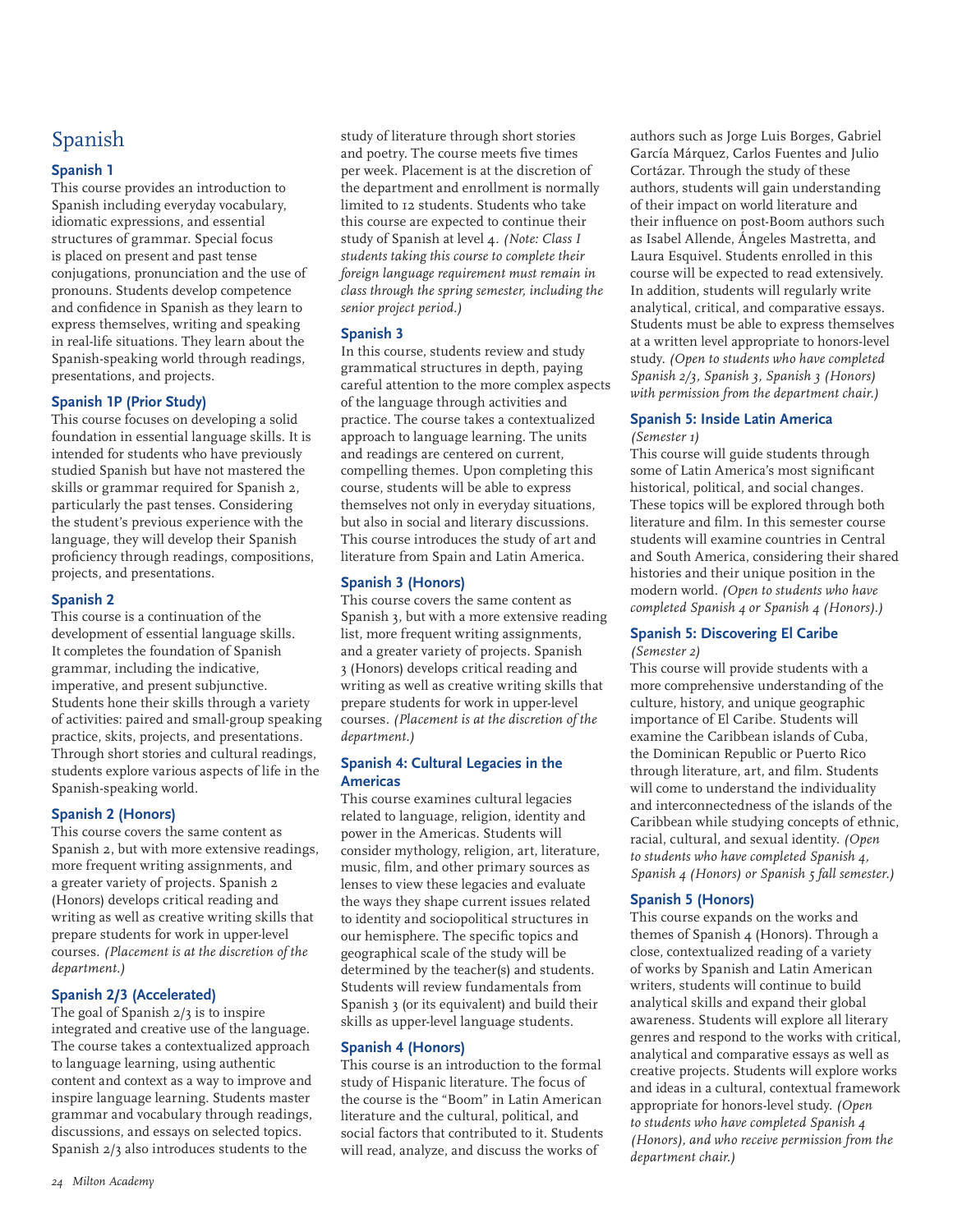# Spanish

# **Spanish 1**

This course provides an introduction to Spanish including everyday vocabulary, idiomatic expressions, and essential structures of grammar. Special focus is placed on present and past tense conjugations, pronunciation and the use of pronouns. Students develop competence and confidence in Spanish as they learn to express themselves, writing and speaking in real-life situations. They learn about the Spanish-speaking world through readings, presentations, and projects.

# **Spanish 1P (Prior Study)**

This course focuses on developing a solid foundation in essential language skills. It is intended for students who have previously studied Spanish but have not mastered the skills or grammar required for Spanish 2, particularly the past tenses. Considering the student's previous experience with the language, they will develop their Spanish proficiency through readings, compositions, projects, and presentations.

# **Spanish 2**

This course is a continuation of the development of essential language skills. It completes the foundation of Spanish grammar, including the indicative, imperative, and present subjunctive. Students hone their skills through a variety of activities: paired and small-group speaking practice, skits, projects, and presentations. Through short stories and cultural readings, students explore various aspects of life in the Spanish-speaking world.

# **Spanish 2 (Honors)**

This course covers the same content as Spanish 2, but with more extensive readings, more frequent writing assignments, and a greater variety of projects. Spanish 2 (Honors) develops critical reading and writing as well as creative writing skills that prepare students for work in upper-level courses. *(Placement is at the discretion of the department.)*

# **Spanish 2/3 (Accelerated)**

The goal of Spanish 2/3 is to inspire integrated and creative use of the language. The course takes a contextualized approach to language learning, using authentic content and context as a way to improve and inspire language learning. Students master grammar and vocabulary through readings, discussions, and essays on selected topics. Spanish 2/3 also introduces students to the

study of literature through short stories and poetry. The course meets five times per week. Placement is at the discretion of the department and enrollment is normally limited to 12 students. Students who take this course are expected to continue their study of Spanish at level 4. *(Note: Class I students taking this course to complete their foreign language requirement must remain in class through the spring semester, including the senior project period.)*

# **Spanish 3**

In this course, students review and study grammatical structures in depth, paying careful attention to the more complex aspects of the language through activities and practice. The course takes a contextualized approach to language learning. The units and readings are centered on current, compelling themes. Upon completing this course, students will be able to express themselves not only in everyday situations, but also in social and literary discussions. This course introduces the study of art and literature from Spain and Latin America.

# **Spanish 3 (Honors)**

This course covers the same content as Spanish 3, but with a more extensive reading list, more frequent writing assignments, and a greater variety of projects. Spanish 3 (Honors) develops critical reading and writing as well as creative writing skills that prepare students for work in upper-level courses. *(Placement is at the discretion of the department.)*

# **Spanish 4: Cultural Legacies in the Americas**

This course examines cultural legacies related to language, religion, identity and power in the Americas. Students will consider mythology, religion, art, literature, music, film, and other primary sources as lenses to view these legacies and evaluate the ways they shape current issues related to identity and sociopolitical structures in our hemisphere. The specific topics and geographical scale of the study will be determined by the teacher(s) and students. Students will review fundamentals from Spanish 3 (or its equivalent) and build their skills as upper-level language students.

# **Spanish 4 (Honors)**

This course is an introduction to the formal study of Hispanic literature. The focus of the course is the "Boom" in Latin American literature and the cultural, political, and social factors that contributed to it. Students will read, analyze, and discuss the works of

authors such as Jorge Luis Borges, Gabriel García Márquez, Carlos Fuentes and Julio Cortázar. Through the study of these authors, students will gain understanding of their impact on world literature and their influence on post-Boom authors such as Isabel Allende, Ángeles Mastretta, and Laura Esquivel. Students enrolled in this course will be expected to read extensively. In addition, students will regularly write analytical, critical, and comparative essays. Students must be able to express themselves at a written level appropriate to honors-level study. *(Open to students who have completed Spanish 2/3, Spanish 3, Spanish 3 (Honors) with permission from the department chair.)*

# **Spanish 5: Inside Latin America** *(Semester 1)*

This course will guide students through some of Latin America's most significant historical, political, and social changes. These topics will be explored through both literature and film. In this semester course students will examine countries in Central and South America, considering their shared histories and their unique position in the modern world. *(Open to students who have completed Spanish 4 or Spanish 4 (Honors).)*

#### **Spanish 5: Discovering El Caribe** *(Semester 2)*

This course will provide students with a more comprehensive understanding of the culture, history, and unique geographic importance of El Caribe. Students will examine the Caribbean islands of Cuba, the Dominican Republic or Puerto Rico through literature, art, and film. Students will come to understand the individuality and interconnectedness of the islands of the Caribbean while studying concepts of ethnic, racial, cultural, and sexual identity. *(Open to students who have completed Spanish 4, Spanish 4 (Honors) or Spanish 5 fall semester.)*

# **Spanish 5 (Honors)**

This course expands on the works and themes of Spanish 4 (Honors). Through a close, contextualized reading of a variety of works by Spanish and Latin American writers, students will continue to build analytical skills and expand their global awareness. Students will explore all literary genres and respond to the works with critical, analytical and comparative essays as well as creative projects. Students will explore works and ideas in a cultural, contextual framework appropriate for honors-level study. *(Open to students who have completed Spanish 4 (Honors), and who receive permission from the department chair.)*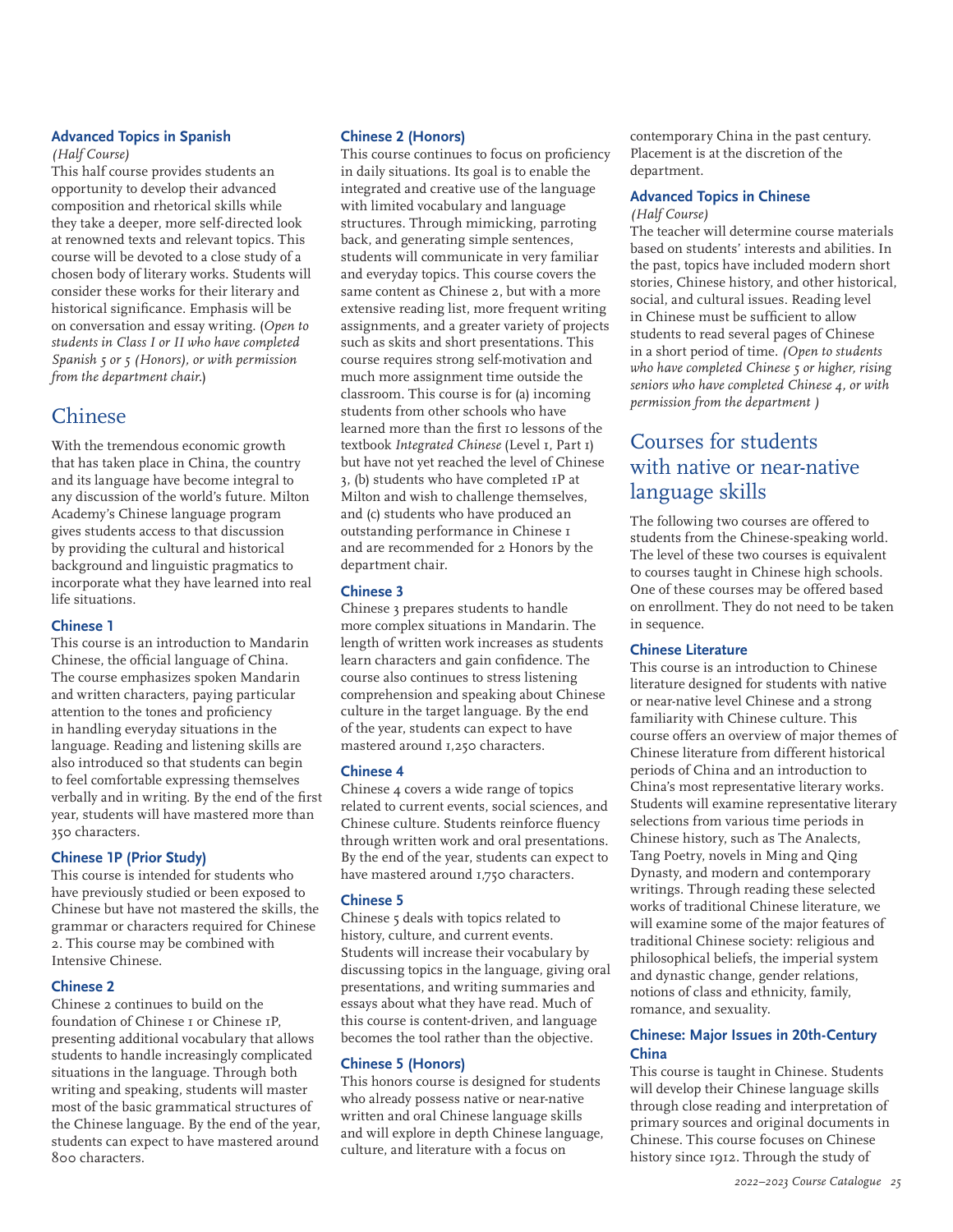# **Advanced Topics in Spanish**

*(Half Course)*

This half course provides students an opportunity to develop their advanced composition and rhetorical skills while they take a deeper, more self-directed look at renowned texts and relevant topics. This course will be devoted to a close study of a chosen body of literary works. Students will consider these works for their literary and historical significance. Emphasis will be on conversation and essay writing. (*Open to students in Class I or II who have completed Spanish 5 or 5 (Honors), or with permission from the department chair.*)

# Chinese

With the tremendous economic growth that has taken place in China, the country and its language have become integral to any discussion of the world's future. Milton Academy's Chinese language program gives students access to that discussion by providing the cultural and historical background and linguistic pragmatics to incorporate what they have learned into real life situations.

# **Chinese 1**

This course is an introduction to Mandarin Chinese, the official language of China. The course emphasizes spoken Mandarin and written characters, paying particular attention to the tones and proficiency in handling everyday situations in the language. Reading and listening skills are also introduced so that students can begin to feel comfortable expressing themselves verbally and in writing. By the end of the first year, students will have mastered more than 350 characters.

# **Chinese 1P (Prior Study)**

This course is intended for students who have previously studied or been exposed to Chinese but have not mastered the skills, the grammar or characters required for Chinese 2. This course may be combined with Intensive Chinese.

# **Chinese 2**

Chinese 2 continues to build on the foundation of Chinese 1 or Chinese 1P, presenting additional vocabulary that allows students to handle increasingly complicated situations in the language. Through both writing and speaking, students will master most of the basic grammatical structures of the Chinese language. By the end of the year, students can expect to have mastered around 800 characters.

# **Chinese 2 (Honors)**

This course continues to focus on proficiency in daily situations. Its goal is to enable the integrated and creative use of the language with limited vocabulary and language structures. Through mimicking, parroting back, and generating simple sentences, students will communicate in very familiar and everyday topics. This course covers the same content as Chinese 2, but with a more extensive reading list, more frequent writing assignments, and a greater variety of projects such as skits and short presentations. This course requires strong self-motivation and much more assignment time outside the classroom. This course is for (a) incoming students from other schools who have learned more than the first 10 lessons of the textbook *Integrated Chinese* (Level 1, Part 1) but have not yet reached the level of Chinese 3, (b) students who have completed 1P at Milton and wish to challenge themselves, and (c) students who have produced an outstanding performance in Chinese 1 and are recommended for 2 Honors by the department chair.

# **Chinese 3**

Chinese 3 prepares students to handle more complex situations in Mandarin. The length of written work increases as students learn characters and gain confidence. The course also continues to stress listening comprehension and speaking about Chinese culture in the target language. By the end of the year, students can expect to have mastered around 1,250 characters.

# **Chinese 4**

Chinese 4 covers a wide range of topics related to current events, social sciences, and Chinese culture. Students reinforce fluency through written work and oral presentations. By the end of the year, students can expect to have mastered around 1,750 characters.

# **Chinese 5**

Chinese 5 deals with topics related to history, culture, and current events. Students will increase their vocabulary by discussing topics in the language, giving oral presentations, and writing summaries and essays about what they have read. Much of this course is content-driven, and language becomes the tool rather than the objective.

# **Chinese 5 (Honors)**

This honors course is designed for students who already possess native or near-native written and oral Chinese language skills and will explore in depth Chinese language, culture, and literature with a focus on

contemporary China in the past century. Placement is at the discretion of the department.

#### **Advanced Topics in Chinese** *(Half Course)*

The teacher will determine course materials based on students' interests and abilities. In the past, topics have included modern short stories, Chinese history, and other historical, social, and cultural issues. Reading level in Chinese must be sufficient to allow students to read several pages of Chinese in a short period of time. *(Open to students who have completed Chinese 5 or higher, rising seniors who have completed Chinese 4, or with permission from the department )*

# Courses for students with native or near-native language skills

The following two courses are offered to students from the Chinese-speaking world. The level of these two courses is equivalent to courses taught in Chinese high schools. One of these courses may be offered based on enrollment. They do not need to be taken in sequence.

# **Chinese Literature**

This course is an introduction to Chinese literature designed for students with native or near-native level Chinese and a strong familiarity with Chinese culture. This course offers an overview of major themes of Chinese literature from different historical periods of China and an introduction to China's most representative literary works. Students will examine representative literary selections from various time periods in Chinese history, such as The Analects, Tang Poetry, novels in Ming and Qing Dynasty, and modern and contemporary writings. Through reading these selected works of traditional Chinese literature, we will examine some of the major features of traditional Chinese society: religious and philosophical beliefs, the imperial system and dynastic change, gender relations, notions of class and ethnicity, family, romance, and sexuality.

# **Chinese: Major Issues in 20th-Century China**

This course is taught in Chinese. Students will develop their Chinese language skills through close reading and interpretation of primary sources and original documents in Chinese. This course focuses on Chinese history since 1912. Through the study of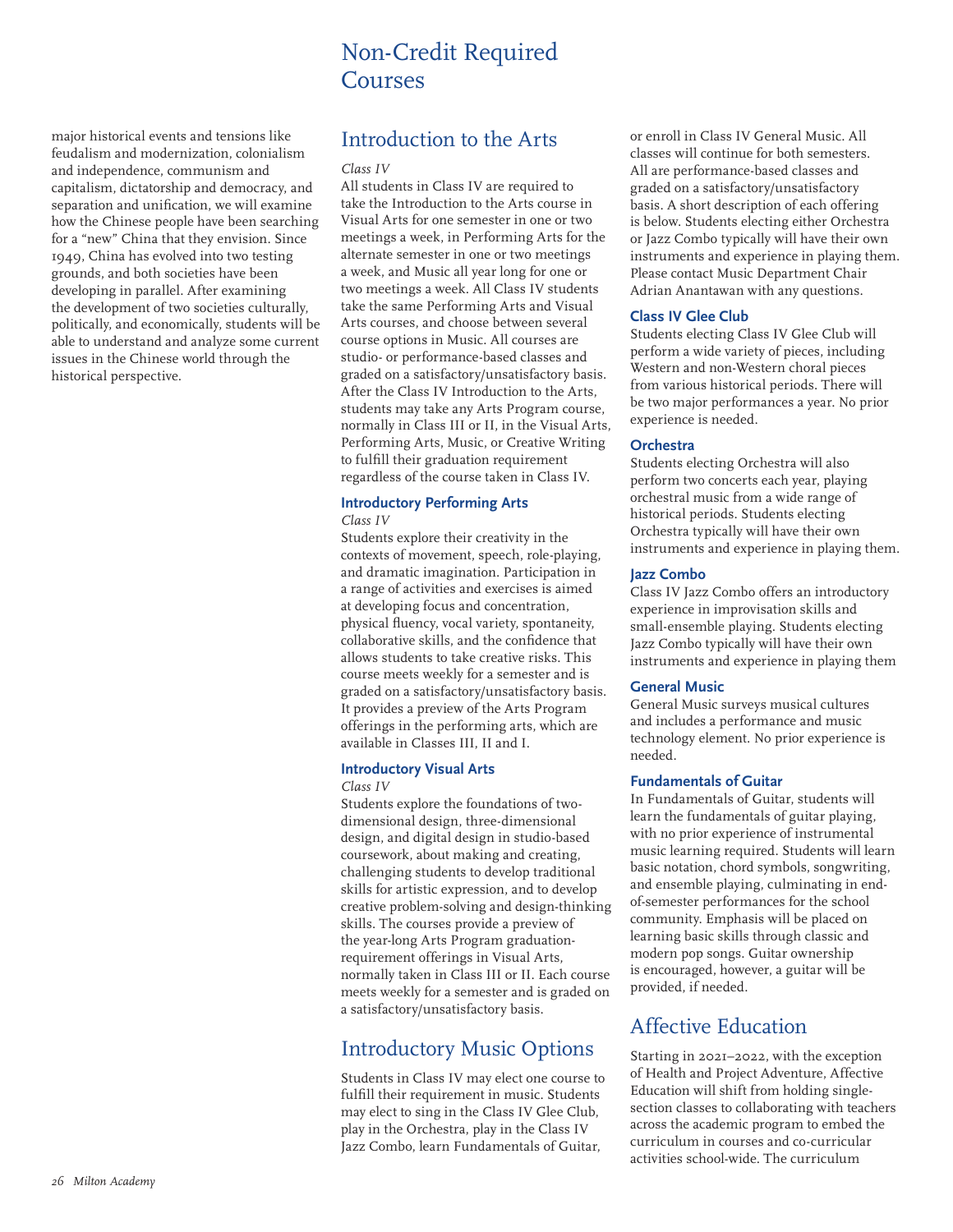# Non-Credit Required Courses

major historical events and tensions like feudalism and modernization, colonialism and independence, communism and capitalism, dictatorship and democracy, and separation and unification, we will examine how the Chinese people have been searching for a "new" China that they envision. Since 1949, China has evolved into two testing grounds, and both societies have been developing in parallel. After examining the development of two societies culturally, politically, and economically, students will be able to understand and analyze some current issues in the Chinese world through the historical perspective.

# Introduction to the Arts

#### *Class IV*

All students in Class IV are required to take the Introduction to the Arts course in Visual Arts for one semester in one or two meetings a week, in Performing Arts for the alternate semester in one or two meetings a week, and Music all year long for one or two meetings a week. All Class IV students take the same Performing Arts and Visual Arts courses, and choose between several course options in Music. All courses are studio- or performance-based classes and graded on a satisfactory/unsatisfactory basis. After the Class IV Introduction to the Arts, students may take any Arts Program course, normally in Class III or II, in the Visual Arts, Performing Arts, Music, or Creative Writing to fulfill their graduation requirement regardless of the course taken in Class IV.

# **Introductory Performing Arts**

### *Class IV*

Students explore their creativity in the contexts of movement, speech, role-playing, and dramatic imagination. Participation in a range of activities and exercises is aimed at developing focus and concentration, physical fluency, vocal variety, spontaneity, collaborative skills, and the confidence that allows students to take creative risks. This course meets weekly for a semester and is graded on a satisfactory/unsatisfactory basis. It provides a preview of the Arts Program offerings in the performing arts, which are available in Classes III, II and I.

# **Introductory Visual Arts**

#### *Class IV*

Students explore the foundations of twodimensional design, three-dimensional design, and digital design in studio-based coursework, about making and creating, challenging students to develop traditional skills for artistic expression, and to develop creative problem-solving and design-thinking skills. The courses provide a preview of the year-long Arts Program graduationrequirement offerings in Visual Arts, normally taken in Class III or II. Each course meets weekly for a semester and is graded on a satisfactory/unsatisfactory basis.

# Introductory Music Options

Students in Class IV may elect one course to fulfill their requirement in music. Students may elect to sing in the Class IV Glee Club, play in the Orchestra, play in the Class IV Jazz Combo, learn Fundamentals of Guitar,

or enroll in Class IV General Music. All classes will continue for both semesters. All are performance-based classes and graded on a satisfactory/unsatisfactory basis. A short description of each offering is below. Students electing either Orchestra or Jazz Combo typically will have their own instruments and experience in playing them. Please contact Music Department Chair Adrian Anantawan with any questions.

# **Class IV Glee Club**

Students electing Class IV Glee Club will perform a wide variety of pieces, including Western and non-Western choral pieces from various historical periods. There will be two major performances a year. No prior experience is needed.

### **Orchestra**

Students electing Orchestra will also perform two concerts each year, playing orchestral music from a wide range of historical periods. Students electing Orchestra typically will have their own instruments and experience in playing them.

### **Jazz Combo**

Class IV Jazz Combo offers an introductory experience in improvisation skills and small-ensemble playing. Students electing Jazz Combo typically will have their own instruments and experience in playing them

#### **General Music**

General Music surveys musical cultures and includes a performance and music technology element. No prior experience is needed.

#### **Fundamentals of Guitar**

In Fundamentals of Guitar, students will learn the fundamentals of guitar playing, with no prior experience of instrumental music learning required. Students will learn basic notation, chord symbols, songwriting, and ensemble playing, culminating in endof-semester performances for the school community. Emphasis will be placed on learning basic skills through classic and modern pop songs. Guitar ownership is encouraged, however, a guitar will be provided, if needed.

# Affective Education

Starting in 2021–2022, with the exception of Health and Project Adventure, Affective Education will shift from holding singlesection classes to collaborating with teachers across the academic program to embed the curriculum in courses and co-curricular activities school-wide. The curriculum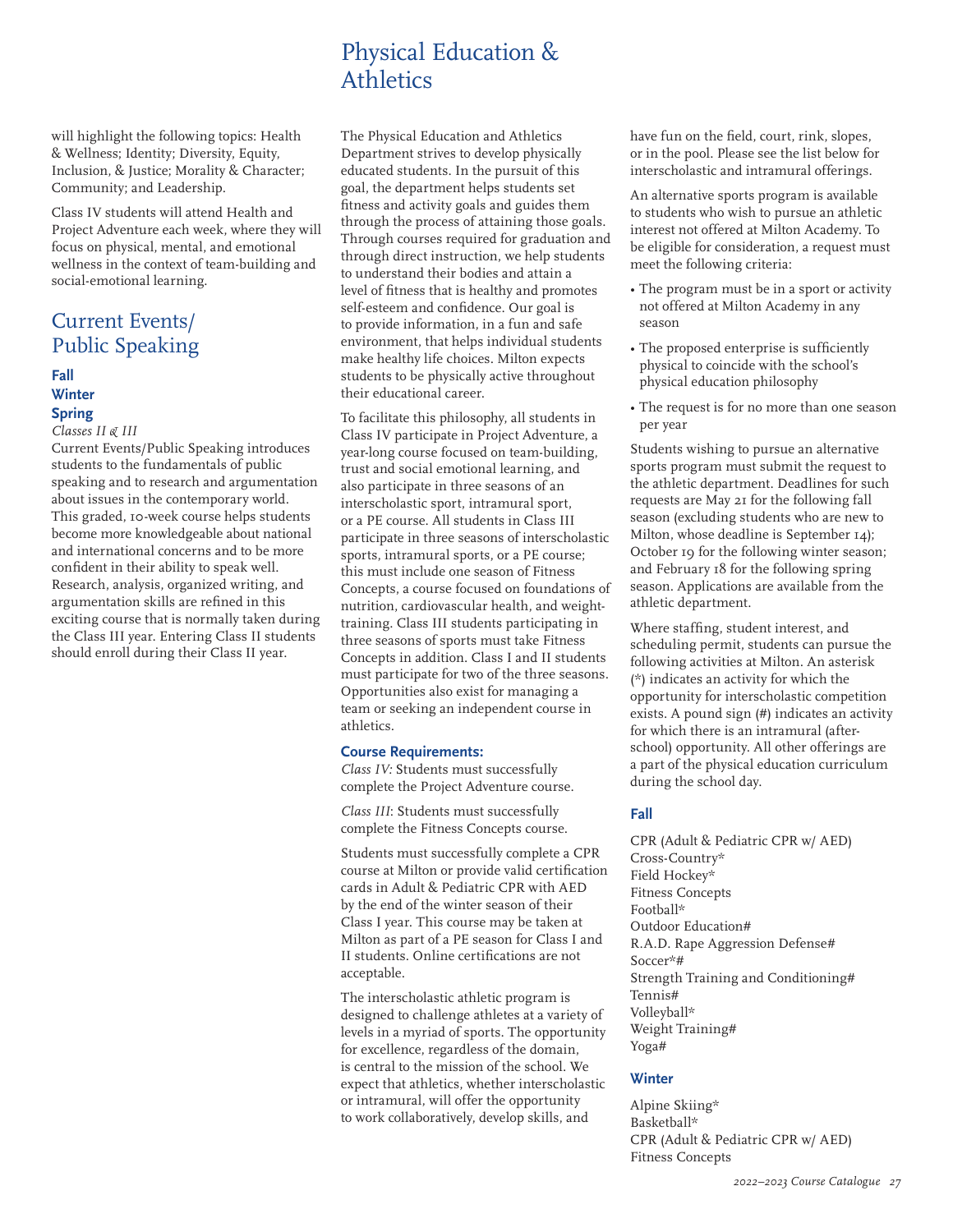# Physical Education & **Athletics**

will highlight the following topics: Health & Wellness; Identity; Diversity, Equity, Inclusion, & Justice; Morality & Character; Community; and Leadership.

Class IV students will attend Health and Project Adventure each week, where they will focus on physical, mental, and emotional wellness in the context of team-building and social-emotional learning.

# Current Events/ Public Speaking

# **Fall Winter Spring**

#### *Classes II & III*

Current Events/Public Speaking introduces students to the fundamentals of public speaking and to research and argumentation about issues in the contemporary world. This graded, 10-week course helps students become more knowledgeable about national and international concerns and to be more confident in their ability to speak well. Research, analysis, organized writing, and argumentation skills are refined in this exciting course that is normally taken during the Class III year. Entering Class II students should enroll during their Class II year.

The Physical Education and Athletics Department strives to develop physically educated students. In the pursuit of this goal, the department helps students set fitness and activity goals and guides them through the process of attaining those goals. Through courses required for graduation and through direct instruction, we help students to understand their bodies and attain a level of fitness that is healthy and promotes self-esteem and confidence. Our goal is to provide information, in a fun and safe environment, that helps individual students make healthy life choices. Milton expects students to be physically active throughout their educational career.

To facilitate this philosophy, all students in Class IV participate in Project Adventure, a year-long course focused on team-building, trust and social emotional learning, and also participate in three seasons of an interscholastic sport, intramural sport, or a PE course. All students in Class III participate in three seasons of interscholastic sports, intramural sports, or a PE course; this must include one season of Fitness Concepts, a course focused on foundations of nutrition, cardiovascular health, and weighttraining. Class III students participating in three seasons of sports must take Fitness Concepts in addition. Class I and II students must participate for two of the three seasons. Opportunities also exist for managing a team or seeking an independent course in athletics.

#### **Course Requirements:**

*Class IV:* Students must successfully complete the Project Adventure course.

*Class III*: Students must successfully complete the Fitness Concepts course.

Students must successfully complete a CPR course at Milton or provide valid certification cards in Adult & Pediatric CPR with AED by the end of the winter season of their Class I year. This course may be taken at Milton as part of a PE season for Class I and II students. Online certifications are not acceptable.

The interscholastic athletic program is designed to challenge athletes at a variety of levels in a myriad of sports. The opportunity for excellence, regardless of the domain, is central to the mission of the school. We expect that athletics, whether interscholastic or intramural, will offer the opportunity to work collaboratively, develop skills, and

have fun on the field, court, rink, slopes, or in the pool. Please see the list below for interscholastic and intramural offerings.

An alternative sports program is available to students who wish to pursue an athletic interest not offered at Milton Academy. To be eligible for consideration, a request must meet the following criteria:

- The program must be in a sport or activity not offered at Milton Academy in any season
- The proposed enterprise is sufficiently physical to coincide with the school's physical education philosophy
- The request is for no more than one season per year

Students wishing to pursue an alternative sports program must submit the request to the athletic department. Deadlines for such requests are May 21 for the following fall season (excluding students who are new to Milton, whose deadline is September 14); October 19 for the following winter season; and February 18 for the following spring season. Applications are available from the athletic department.

Where staffing, student interest, and scheduling permit, students can pursue the following activities at Milton. An asterisk (\*) indicates an activity for which the opportunity for interscholastic competition exists. A pound sign (#) indicates an activity for which there is an intramural (afterschool) opportunity. All other offerings are a part of the physical education curriculum during the school day.

# **Fall**

CPR (Adult & Pediatric CPR w/ AED) Cross-Country\* Field Hockey\* Fitness Concepts Football\* Outdoor Education# R.A.D. Rape Aggression Defense# Soccer\*# Strength Training and Conditioning# Tennis# Volleyball\* Weight Training# Yoga#

# **Winter**

Alpine Skiing\* Basketball\* CPR (Adult & Pediatric CPR w/ AED) Fitness Concepts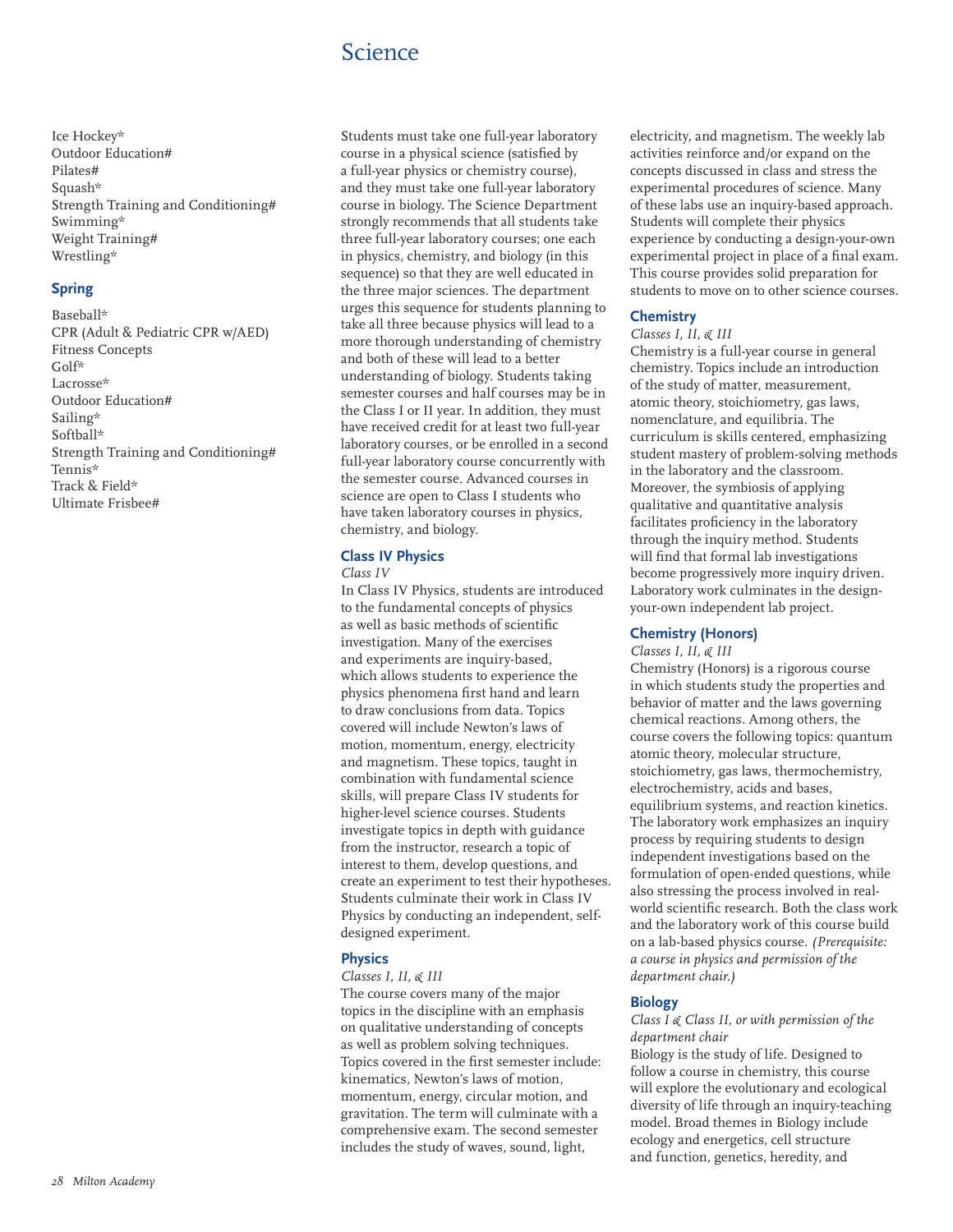# Science

Ice Hockey\* Outdoor Education# Pilates# Squash\* Strength Training and Conditioning# Swimming\* Weight Training# Wrestling\*

### **Spring**

Baseball\* CPR (Adult & Pediatric CPR w/AED) Fitness Concepts Golf\* Lacrosse\* Outdoor Education# Sailing\* Softball\* Strength Training and Conditioning# Tennis\* Track & Field\* Ultimate Frisbee#

Students must take one full-year laboratory course in a physical science (satisfied by a full-year physics or chemistry course), and they must take one full-year laboratory course in biology. The Science Department strongly recommends that all students take three full-year laboratory courses; one each in physics, chemistry, and biology (in this sequence) so that they are well educated in the three major sciences. The department urges this sequence for students planning to take all three because physics will lead to a more thorough understanding of chemistry and both of these will lead to a better understanding of biology. Students taking semester courses and half courses may be in the Class I or II year. In addition, they must have received credit for at least two full-year laboratory courses, or be enrolled in a second full-year laboratory course concurrently with the semester course. Advanced courses in science are open to Class I students who have taken laboratory courses in physics, chemistry, and biology.

# **Class IV Physics**

### *Class IV*

In Class IV Physics, students are introduced to the fundamental concepts of physics as well as basic methods of scientific investigation. Many of the exercises and experiments are inquiry-based, which allows students to experience the physics phenomena first hand and learn to draw conclusions from data. Topics covered will include Newton's laws of motion, momentum, energy, electricity and magnetism. These topics, taught in combination with fundamental science skills, will prepare Class IV students for higher-level science courses. Students investigate topics in depth with guidance from the instructor, research a topic of interest to them, develop questions, and create an experiment to test their hypotheses. Students culminate their work in Class IV Physics by conducting an independent, selfdesigned experiment.

# **Physics**

# *Classes I, II, & III*

The course covers many of the major topics in the discipline with an emphasis on qualitative understanding of concepts as well as problem solving techniques. Topics covered in the first semester include: kinematics, Newton's laws of motion, momentum, energy, circular motion, and gravitation. The term will culminate with a comprehensive exam. The second semester includes the study of waves, sound, light,

electricity, and magnetism. The weekly lab activities reinforce and/or expand on the concepts discussed in class and stress the experimental procedures of science. Many of these labs use an inquiry-based approach. Students will complete their physics experience by conducting a design-your-own experimental project in place of a final exam. This course provides solid preparation for students to move on to other science courses.

# **Chemistry**

#### *Classes I, II, & III*

Chemistry is a full-year course in general chemistry. Topics include an introduction of the study of matter, measurement, atomic theory, stoichiometry, gas laws, nomenclature, and equilibria. The curriculum is skills centered, emphasizing student mastery of problem-solving methods in the laboratory and the classroom. Moreover, the symbiosis of applying qualitative and quantitative analysis facilitates proficiency in the laboratory through the inquiry method. Students will find that formal lab investigations become progressively more inquiry driven. Laboratory work culminates in the designyour-own independent lab project.

# **Chemistry (Honors)**

#### *Classes I, II, & III*

Chemistry (Honors) is a rigorous course in which students study the properties and behavior of matter and the laws governing chemical reactions. Among others, the course covers the following topics: quantum atomic theory, molecular structure, stoichiometry, gas laws, thermochemistry, electrochemistry, acids and bases, equilibrium systems, and reaction kinetics. The laboratory work emphasizes an inquiry process by requiring students to design independent investigations based on the formulation of open-ended questions, while also stressing the process involved in realworld scientific research. Both the class work and the laboratory work of this course build on a lab-based physics course. *(Prerequisite: a course in physics and permission of the department chair.)*

#### **Biology**

#### *Class I & Class II, or with permission of the department chair*

Biology is the study of life. Designed to follow a course in chemistry, this course will explore the evolutionary and ecological diversity of life through an inquiry-teaching model. Broad themes in Biology include ecology and energetics, cell structure and function, genetics, heredity, and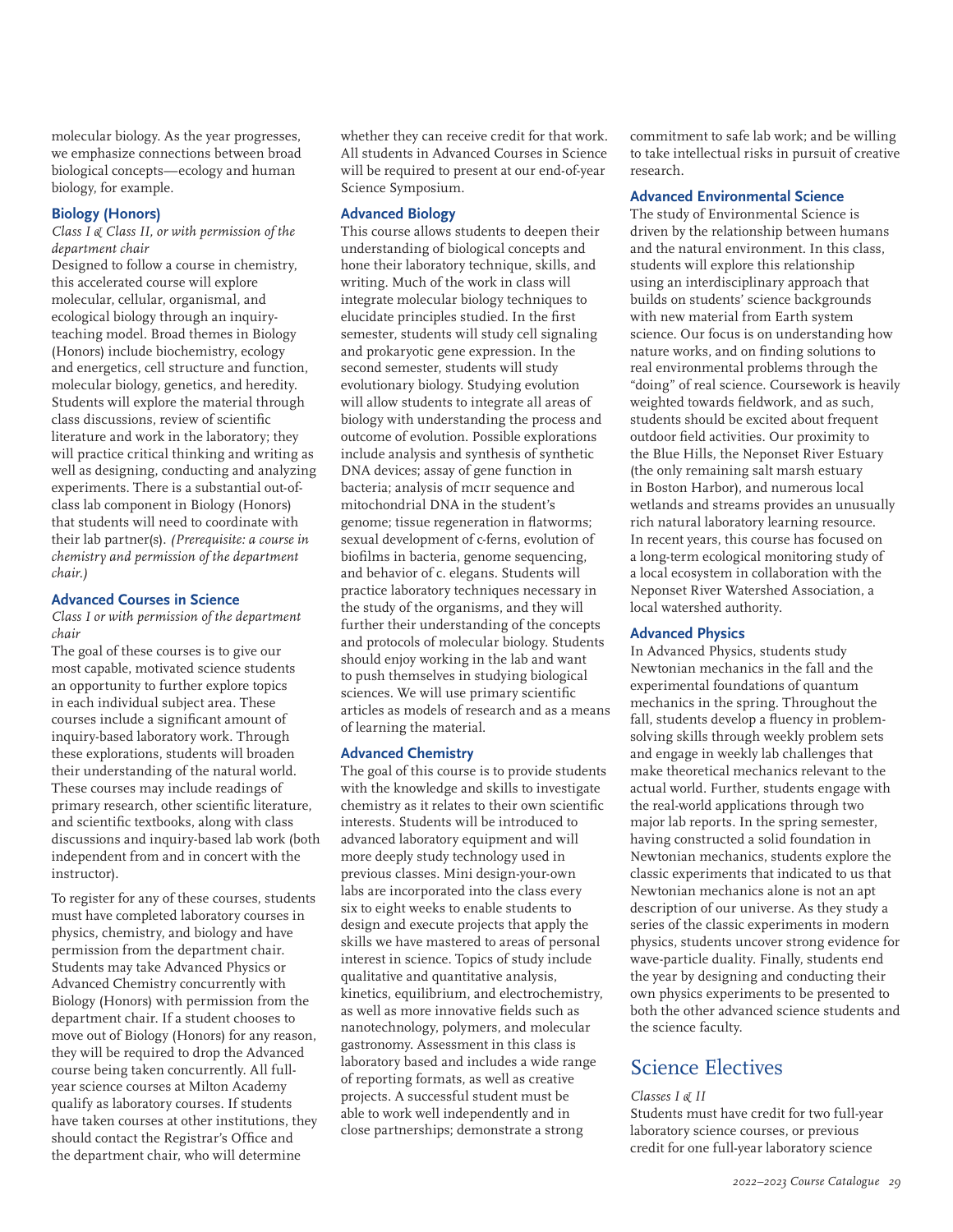molecular biology. As the year progresses, we emphasize connections between broad biological concepts—ecology and human biology, for example.

### **Biology (Honors)**

### *Class I & Class II, or with permission of the department chair*

Designed to follow a course in chemistry, this accelerated course will explore molecular, cellular, organismal, and ecological biology through an inquiryteaching model. Broad themes in Biology (Honors) include biochemistry, ecology and energetics, cell structure and function, molecular biology, genetics, and heredity. Students will explore the material through class discussions, review of scientific literature and work in the laboratory; they will practice critical thinking and writing as well as designing, conducting and analyzing experiments. There is a substantial out-ofclass lab component in Biology (Honors) that students will need to coordinate with their lab partner(s). *(Prerequisite: a course in chemistry and permission of the department chair.)*

#### **Advanced Courses in Science**

*Class I or with permission of the department chair*

The goal of these courses is to give our most capable, motivated science students an opportunity to further explore topics in each individual subject area. These courses include a significant amount of inquiry-based laboratory work. Through these explorations, students will broaden their understanding of the natural world. These courses may include readings of primary research, other scientific literature, and scientific textbooks, along with class discussions and inquiry-based lab work (both independent from and in concert with the instructor).

To register for any of these courses, students must have completed laboratory courses in physics, chemistry, and biology and have permission from the department chair. Students may take Advanced Physics or Advanced Chemistry concurrently with Biology (Honors) with permission from the department chair. If a student chooses to move out of Biology (Honors) for any reason, they will be required to drop the Advanced course being taken concurrently. All fullyear science courses at Milton Academy qualify as laboratory courses. If students have taken courses at other institutions, they should contact the Registrar's Office and the department chair, who will determine

whether they can receive credit for that work. All students in Advanced Courses in Science will be required to present at our end-of-year Science Symposium.

### **Advanced Biology**

This course allows students to deepen their understanding of biological concepts and hone their laboratory technique, skills, and writing. Much of the work in class will integrate molecular biology techniques to elucidate principles studied. In the first semester, students will study cell signaling and prokaryotic gene expression. In the second semester, students will study evolutionary biology. Studying evolution will allow students to integrate all areas of biology with understanding the process and outcome of evolution. Possible explorations include analysis and synthesis of synthetic DNA devices; assay of gene function in bacteria; analysis of mc1r sequence and mitochondrial DNA in the student's genome; tissue regeneration in flatworms; sexual development of c-ferns, evolution of biofilms in bacteria, genome sequencing, and behavior of c. elegans. Students will practice laboratory techniques necessary in the study of the organisms, and they will further their understanding of the concepts and protocols of molecular biology. Students should enjoy working in the lab and want to push themselves in studying biological sciences. We will use primary scientific articles as models of research and as a means of learning the material.

#### **Advanced Chemistry**

The goal of this course is to provide students with the knowledge and skills to investigate chemistry as it relates to their own scientific interests. Students will be introduced to advanced laboratory equipment and will more deeply study technology used in previous classes. Mini design-your-own labs are incorporated into the class every six to eight weeks to enable students to design and execute projects that apply the skills we have mastered to areas of personal interest in science. Topics of study include qualitative and quantitative analysis, kinetics, equilibrium, and electrochemistry, as well as more innovative fields such as nanotechnology, polymers, and molecular gastronomy. Assessment in this class is laboratory based and includes a wide range of reporting formats, as well as creative projects. A successful student must be able to work well independently and in close partnerships; demonstrate a strong

commitment to safe lab work; and be willing to take intellectual risks in pursuit of creative research.

#### **Advanced Environmental Science**

The study of Environmental Science is driven by the relationship between humans and the natural environment. In this class, students will explore this relationship using an interdisciplinary approach that builds on students' science backgrounds with new material from Earth system science. Our focus is on understanding how nature works, and on finding solutions to real environmental problems through the "doing" of real science. Coursework is heavily weighted towards fieldwork, and as such, students should be excited about frequent outdoor field activities. Our proximity to the Blue Hills, the Neponset River Estuary (the only remaining salt marsh estuary in Boston Harbor), and numerous local wetlands and streams provides an unusually rich natural laboratory learning resource. In recent years, this course has focused on a long-term ecological monitoring study of a local ecosystem in collaboration with the Neponset River Watershed Association, a local watershed authority.

#### **Advanced Physics**

In Advanced Physics, students study Newtonian mechanics in the fall and the experimental foundations of quantum mechanics in the spring. Throughout the fall, students develop a fluency in problemsolving skills through weekly problem sets and engage in weekly lab challenges that make theoretical mechanics relevant to the actual world. Further, students engage with the real-world applications through two major lab reports. In the spring semester, having constructed a solid foundation in Newtonian mechanics, students explore the classic experiments that indicated to us that Newtonian mechanics alone is not an apt description of our universe. As they study a series of the classic experiments in modern physics, students uncover strong evidence for wave-particle duality. Finally, students end the year by designing and conducting their own physics experiments to be presented to both the other advanced science students and the science faculty.

# Science Electives

#### *Classes I & II*

Students must have credit for two full-year laboratory science courses, or previous credit for one full-year laboratory science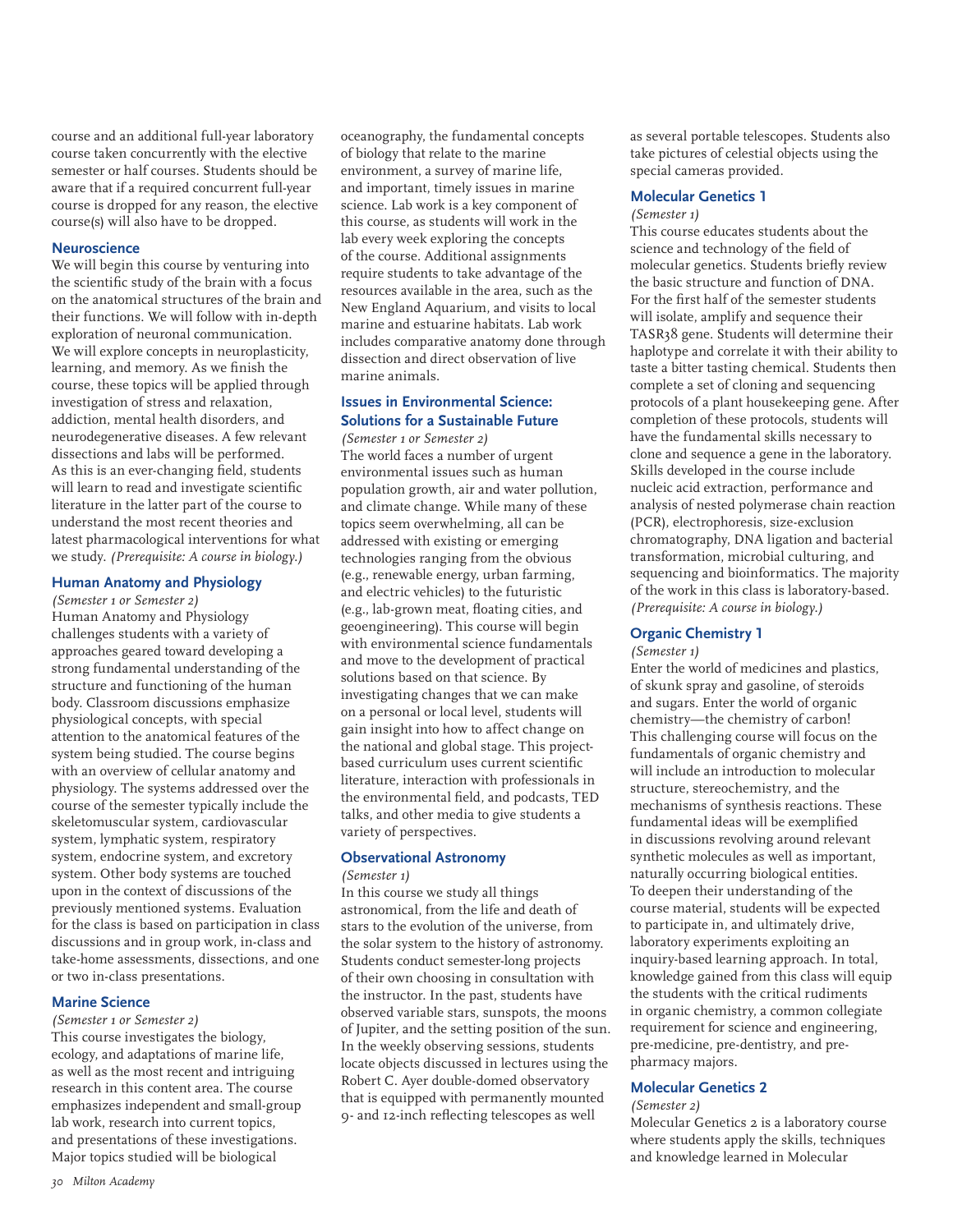course and an additional full-year laboratory course taken concurrently with the elective semester or half courses. Students should be aware that if a required concurrent full-year course is dropped for any reason, the elective course(s) will also have to be dropped.

#### **Neuroscience**

We will begin this course by venturing into the scientific study of the brain with a focus on the anatomical structures of the brain and their functions. We will follow with in-depth exploration of neuronal communication. We will explore concepts in neuroplasticity, learning, and memory. As we finish the course, these topics will be applied through investigation of stress and relaxation, addiction, mental health disorders, and neurodegenerative diseases. A few relevant dissections and labs will be performed. As this is an ever-changing field, students will learn to read and investigate scientific literature in the latter part of the course to understand the most recent theories and latest pharmacological interventions for what we study. *(Prerequisite: A course in biology.)*

### **Human Anatomy and Physiology**

*(Semester 1 or Semester 2)* Human Anatomy and Physiology challenges students with a variety of approaches geared toward developing a strong fundamental understanding of the structure and functioning of the human body. Classroom discussions emphasize physiological concepts, with special attention to the anatomical features of the system being studied. The course begins with an overview of cellular anatomy and physiology. The systems addressed over the course of the semester typically include the skeletomuscular system, cardiovascular system, lymphatic system, respiratory system, endocrine system, and excretory system. Other body systems are touched upon in the context of discussions of the previously mentioned systems. Evaluation for the class is based on participation in class discussions and in group work, in-class and take-home assessments, dissections, and one or two in-class presentations.

#### **Marine Science**

*(Semester 1 or Semester 2)*

This course investigates the biology, ecology, and adaptations of marine life, as well as the most recent and intriguing research in this content area. The course emphasizes independent and small-group lab work, research into current topics, and presentations of these investigations. Major topics studied will be biological

oceanography, the fundamental concepts of biology that relate to the marine environment, a survey of marine life, and important, timely issues in marine science. Lab work is a key component of this course, as students will work in the lab every week exploring the concepts of the course. Additional assignments require students to take advantage of the resources available in the area, such as the New England Aquarium, and visits to local marine and estuarine habitats. Lab work includes comparative anatomy done through dissection and direct observation of live marine animals.

# **Issues in Environmental Science: Solutions for a Sustainable Future**

*(Semester 1 or Semester 2)* The world faces a number of urgent environmental issues such as human population growth, air and water pollution, and climate change. While many of these topics seem overwhelming, all can be addressed with existing or emerging technologies ranging from the obvious (e.g., renewable energy, urban farming, and electric vehicles) to the futuristic (e.g., lab-grown meat, floating cities, and geoengineering). This course will begin with environmental science fundamentals and move to the development of practical solutions based on that science. By investigating changes that we can make on a personal or local level, students will gain insight into how to affect change on the national and global stage. This projectbased curriculum uses current scientific literature, interaction with professionals in the environmental field, and podcasts, TED talks, and other media to give students a variety of perspectives.

#### **Observational Astronomy**

#### *(Semester 1)*

In this course we study all things astronomical, from the life and death of stars to the evolution of the universe, from the solar system to the history of astronomy. Students conduct semester-long projects of their own choosing in consultation with the instructor. In the past, students have observed variable stars, sunspots, the moons of Jupiter, and the setting position of the sun. In the weekly observing sessions, students locate objects discussed in lectures using the Robert C. Ayer double-domed observatory that is equipped with permanently mounted 9- and 12-inch reflecting telescopes as well

as several portable telescopes. Students also take pictures of celestial objects using the special cameras provided.

# **Molecular Genetics 1**

#### *(Semester 1)*

This course educates students about the science and technology of the field of molecular genetics. Students briefly review the basic structure and function of DNA. For the first half of the semester students will isolate, amplify and sequence their TASR38 gene. Students will determine their haplotype and correlate it with their ability to taste a bitter tasting chemical. Students then complete a set of cloning and sequencing protocols of a plant housekeeping gene. After completion of these protocols, students will have the fundamental skills necessary to clone and sequence a gene in the laboratory. Skills developed in the course include nucleic acid extraction, performance and analysis of nested polymerase chain reaction (PCR), electrophoresis, size-exclusion chromatography, DNA ligation and bacterial transformation, microbial culturing, and sequencing and bioinformatics. The majority of the work in this class is laboratory-based. *(Prerequisite: A course in biology.)*

#### **Organic Chemistry 1**

*(Semester 1)*

Enter the world of medicines and plastics, of skunk spray and gasoline, of steroids and sugars. Enter the world of organic chemistry—the chemistry of carbon! This challenging course will focus on the fundamentals of organic chemistry and will include an introduction to molecular structure, stereochemistry, and the mechanisms of synthesis reactions. These fundamental ideas will be exemplified in discussions revolving around relevant synthetic molecules as well as important, naturally occurring biological entities. To deepen their understanding of the course material, students will be expected to participate in, and ultimately drive, laboratory experiments exploiting an inquiry-based learning approach. In total, knowledge gained from this class will equip the students with the critical rudiments in organic chemistry, a common collegiate requirement for science and engineering, pre-medicine, pre-dentistry, and prepharmacy majors.

#### **Molecular Genetics 2**

*(Semester 2)*

Molecular Genetics 2 is a laboratory course where students apply the skills, techniques and knowledge learned in Molecular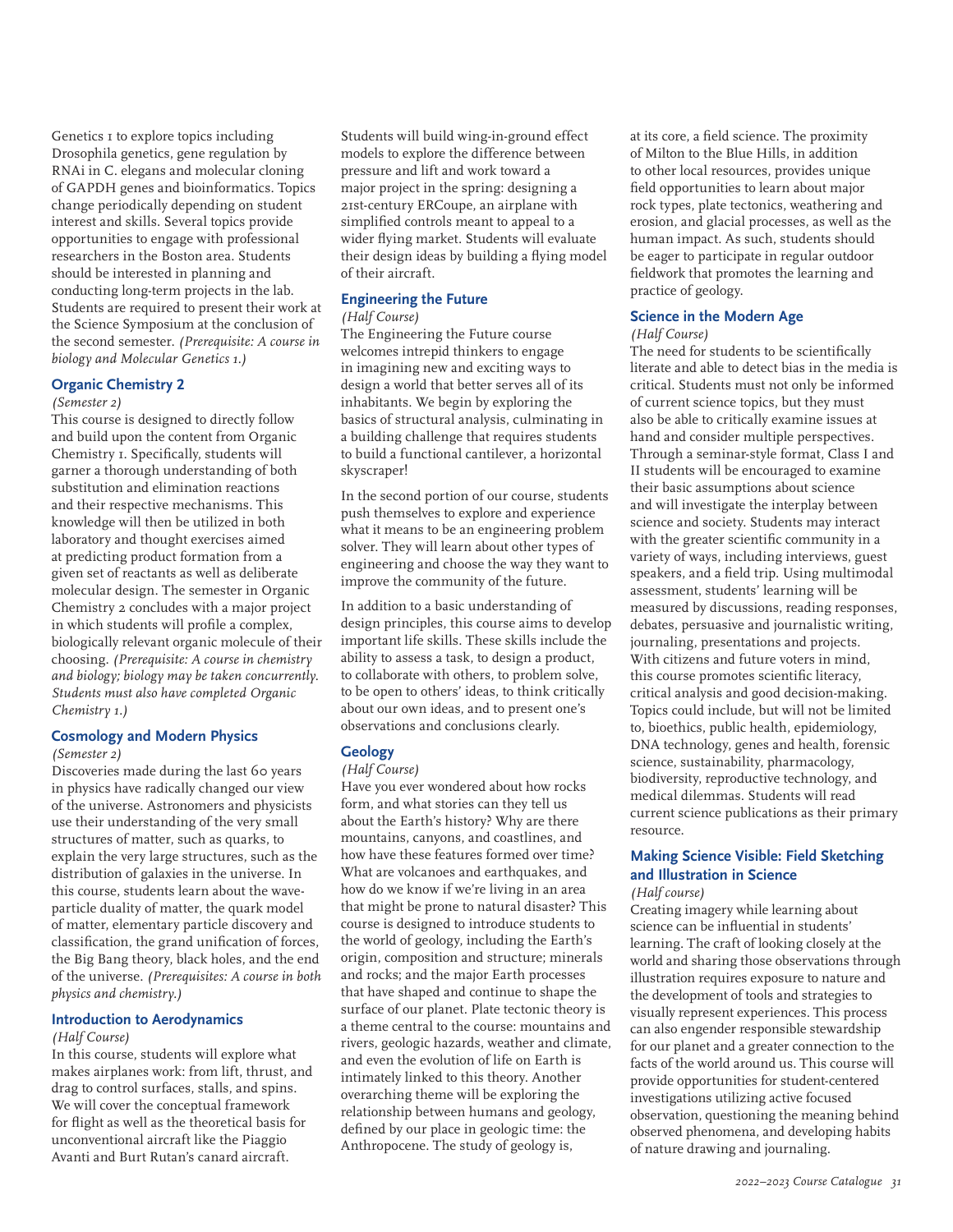Genetics 1 to explore topics including Drosophila genetics, gene regulation by RNAi in C. elegans and molecular cloning of GAPDH genes and bioinformatics. Topics change periodically depending on student interest and skills. Several topics provide opportunities to engage with professional researchers in the Boston area. Students should be interested in planning and conducting long-term projects in the lab. Students are required to present their work at the Science Symposium at the conclusion of the second semester. *(Prerequisite: A course in biology and Molecular Genetics 1.)*

#### **Organic Chemistry 2**

#### *(Semester 2)*

This course is designed to directly follow and build upon the content from Organic Chemistry 1. Specifically, students will garner a thorough understanding of both substitution and elimination reactions and their respective mechanisms. This knowledge will then be utilized in both laboratory and thought exercises aimed at predicting product formation from a given set of reactants as well as deliberate molecular design. The semester in Organic Chemistry 2 concludes with a major project in which students will profile a complex, biologically relevant organic molecule of their choosing. *(Prerequisite: A course in chemistry and biology; biology may be taken concurrently. Students must also have completed Organic Chemistry 1.)*

#### **Cosmology and Modern Physics** *(Semester 2)*

Discoveries made during the last 60 years in physics have radically changed our view of the universe. Astronomers and physicists use their understanding of the very small structures of matter, such as quarks, to explain the very large structures, such as the distribution of galaxies in the universe. In this course, students learn about the waveparticle duality of matter, the quark model of matter, elementary particle discovery and classification, the grand unification of forces, the Big Bang theory, black holes, and the end of the universe. *(Prerequisites: A course in both physics and chemistry.)*

# **Introduction to Aerodynamics**

#### *(Half Course)*

In this course, students will explore what makes airplanes work: from lift, thrust, and drag to control surfaces, stalls, and spins. We will cover the conceptual framework for flight as well as the theoretical basis for unconventional aircraft like the Piaggio Avanti and Burt Rutan's canard aircraft.

Students will build wing-in-ground effect models to explore the difference between pressure and lift and work toward a major project in the spring: designing a 21st-century ERCoupe, an airplane with simplified controls meant to appeal to a wider flying market. Students will evaluate their design ideas by building a flying model of their aircraft.

#### **Engineering the Future**

#### *(Half Course)*

The Engineering the Future course welcomes intrepid thinkers to engage in imagining new and exciting ways to design a world that better serves all of its inhabitants. We begin by exploring the basics of structural analysis, culminating in a building challenge that requires students to build a functional cantilever, a horizontal skyscraper!

In the second portion of our course, students push themselves to explore and experience what it means to be an engineering problem solver. They will learn about other types of engineering and choose the way they want to improve the community of the future.

In addition to a basic understanding of design principles, this course aims to develop important life skills. These skills include the ability to assess a task, to design a product, to collaborate with others, to problem solve, to be open to others' ideas, to think critically about our own ideas, and to present one's observations and conclusions clearly.

#### **Geology**

#### *(Half Course)*

Have you ever wondered about how rocks form, and what stories can they tell us about the Earth's history? Why are there mountains, canyons, and coastlines, and how have these features formed over time? What are volcanoes and earthquakes, and how do we know if we're living in an area that might be prone to natural disaster? This course is designed to introduce students to the world of geology, including the Earth's origin, composition and structure; minerals and rocks; and the major Earth processes that have shaped and continue to shape the surface of our planet. Plate tectonic theory is a theme central to the course: mountains and rivers, geologic hazards, weather and climate, and even the evolution of life on Earth is intimately linked to this theory. Another overarching theme will be exploring the relationship between humans and geology, defined by our place in geologic time: the Anthropocene. The study of geology is,

at its core, a field science. The proximity of Milton to the Blue Hills, in addition to other local resources, provides unique field opportunities to learn about major rock types, plate tectonics, weathering and erosion, and glacial processes, as well as the human impact. As such, students should be eager to participate in regular outdoor fieldwork that promotes the learning and practice of geology.

### **Science in the Modern Age**

*(Half Course)*

The need for students to be scientifically literate and able to detect bias in the media is critical. Students must not only be informed of current science topics, but they must also be able to critically examine issues at hand and consider multiple perspectives. Through a seminar-style format, Class I and II students will be encouraged to examine their basic assumptions about science and will investigate the interplay between science and society. Students may interact with the greater scientific community in a variety of ways, including interviews, guest speakers, and a field trip. Using multimodal assessment, students' learning will be measured by discussions, reading responses, debates, persuasive and journalistic writing, journaling, presentations and projects. With citizens and future voters in mind, this course promotes scientific literacy, critical analysis and good decision-making. Topics could include, but will not be limited to, bioethics, public health, epidemiology, DNA technology, genes and health, forensic science, sustainability, pharmacology, biodiversity, reproductive technology, and medical dilemmas. Students will read current science publications as their primary resource.

# **Making Science Visible: Field Sketching and Illustration in Science**

# *(Half course)*

Creating imagery while learning about science can be influential in students' learning. The craft of looking closely at the world and sharing those observations through illustration requires exposure to nature and the development of tools and strategies to visually represent experiences. This process can also engender responsible stewardship for our planet and a greater connection to the facts of the world around us. This course will provide opportunities for student-centered investigations utilizing active focused observation, questioning the meaning behind observed phenomena, and developing habits of nature drawing and journaling.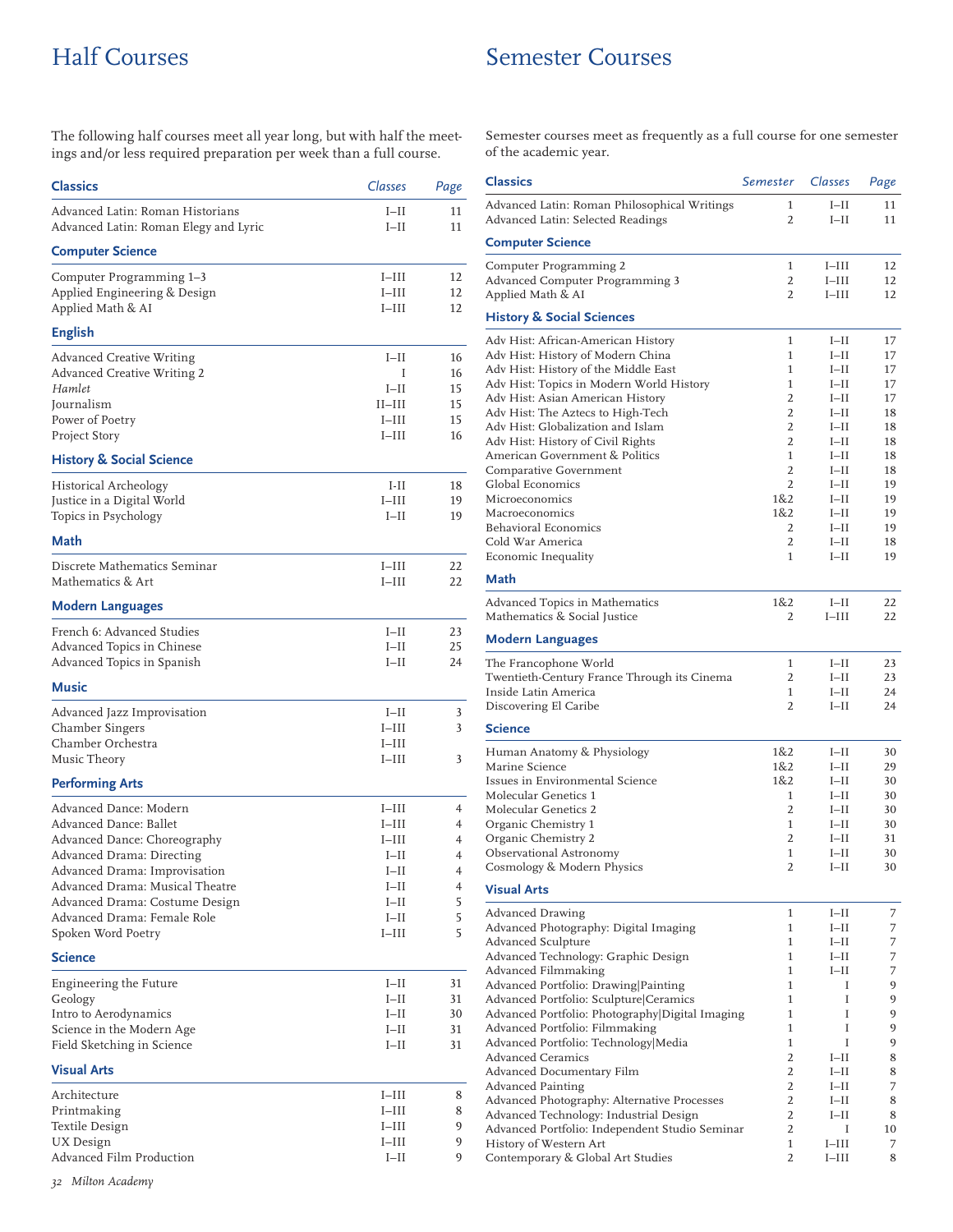# Half Courses Semester Courses

The following half courses meet all year long, but with half the meetings and/or less required preparation per week than a full course.

| <b>Classics</b>                                                                                                                                                                                                                                                          | Classes                                                                                      | Page                                      |
|--------------------------------------------------------------------------------------------------------------------------------------------------------------------------------------------------------------------------------------------------------------------------|----------------------------------------------------------------------------------------------|-------------------------------------------|
| Advanced Latin: Roman Historians<br>Advanced Latin: Roman Elegy and Lyric                                                                                                                                                                                                | $I-II$<br>$I-II$                                                                             | 11<br>11                                  |
| <b>Computer Science</b>                                                                                                                                                                                                                                                  |                                                                                              |                                           |
| Computer Programming 1-3<br>Applied Engineering & Design<br>Applied Math & AI                                                                                                                                                                                            | $I-III$<br>$I-III$<br>$I-III$                                                                | 12<br>12<br>12                            |
| <b>English</b>                                                                                                                                                                                                                                                           |                                                                                              |                                           |
| <b>Advanced Creative Writing</b><br>Advanced Creative Writing 2<br>Hamlet<br>Journalism<br>Power of Poetry<br>Project Story                                                                                                                                              | $I-II$<br>T<br>$I-II$<br>$II$ -III<br>$I$ -III<br>$I$ -III                                   | 16<br>16<br>15<br>15<br>15<br>16          |
| <b>History &amp; Social Science</b>                                                                                                                                                                                                                                      |                                                                                              |                                           |
| Historical Archeology<br>Justice in a Digital World<br>Topics in Psychology                                                                                                                                                                                              | $I-II$<br>$I-III$<br>$I-II$                                                                  | 18<br>19<br>19                            |
| Math                                                                                                                                                                                                                                                                     |                                                                                              |                                           |
| Discrete Mathematics Seminar<br>Mathematics & Art                                                                                                                                                                                                                        | $I-III$<br>$I-III$                                                                           | 22<br>22                                  |
| <b>Modern Languages</b>                                                                                                                                                                                                                                                  |                                                                                              |                                           |
| French 6: Advanced Studies<br>Advanced Topics in Chinese<br>Advanced Topics in Spanish                                                                                                                                                                                   | $I-II$<br>$I-II$<br>$I-II$                                                                   | 23<br>25<br>24                            |
| Music                                                                                                                                                                                                                                                                    |                                                                                              |                                           |
| Advanced Jazz Improvisation<br>Chamber Singers<br>Chamber Orchestra<br>Music Theory                                                                                                                                                                                      | $I-II$<br>$I$ -III<br>I–III<br>$I$ -III                                                      | 3<br>3<br>3                               |
| <b>Performing Arts</b>                                                                                                                                                                                                                                                   |                                                                                              |                                           |
| Advanced Dance: Modern<br>Advanced Dance: Ballet<br>Advanced Dance: Choreography<br>Advanced Drama: Directing<br>Advanced Drama: Improvisation<br>Advanced Drama: Musical Theatre<br>Advanced Drama: Costume Design<br>Advanced Drama: Female Role<br>Spoken Word Poetry | $I$ -III<br>$I-III$<br>$I$ -III<br>$I-II$<br>$I-II$<br>$I-II$<br>$I-II$<br>$I-II$<br>$I-III$ | 4<br>4<br>4<br>4<br>4<br>4<br>5<br>5<br>5 |
| <b>Science</b>                                                                                                                                                                                                                                                           |                                                                                              |                                           |
| Engineering the Future<br>Geology<br>Intro to Aerodynamics<br>Science in the Modern Age<br>Field Sketching in Science                                                                                                                                                    | $I-II$<br>$I-II$<br>$I-II$<br>$I-II$<br>$I-II$                                               | 31<br>31<br>30<br>31<br>31                |
| <b>Visual Arts</b>                                                                                                                                                                                                                                                       |                                                                                              |                                           |
| Architecture<br>Printmaking<br>Textile Design<br>UX Design<br>Advanced Film Production                                                                                                                                                                                   | $I$ -III<br>$I-III$<br>I–III<br>$I-III$<br>$I-II$                                            | 8<br>8<br>9<br>9<br>9                     |

Semester courses meet as frequently as a full course for one semester of the academic year.

| <b>Classics</b>                                                                                                                                                                                                                                                                                                                                                                     | Semester                                                                         | Classes                                                                                          | Page                                                     |
|-------------------------------------------------------------------------------------------------------------------------------------------------------------------------------------------------------------------------------------------------------------------------------------------------------------------------------------------------------------------------------------|----------------------------------------------------------------------------------|--------------------------------------------------------------------------------------------------|----------------------------------------------------------|
| Advanced Latin: Roman Philosophical Writings<br>Advanced Latin: Selected Readings                                                                                                                                                                                                                                                                                                   | 1<br>2                                                                           | $I-II$<br>$I-II$                                                                                 | 11<br>11                                                 |
| <b>Computer Science</b>                                                                                                                                                                                                                                                                                                                                                             |                                                                                  |                                                                                                  |                                                          |
| Computer Programming 2<br>Advanced Computer Programming 3<br>Applied Math & AI                                                                                                                                                                                                                                                                                                      | 1<br>2<br>2                                                                      | $I-III$<br>$I-III$<br>$I$ -III                                                                   | 12<br>12<br>12                                           |
| <b>History &amp; Social Sciences</b>                                                                                                                                                                                                                                                                                                                                                |                                                                                  |                                                                                                  |                                                          |
| Adv Hist: African-American History<br>Adv Hist: History of Modern China<br>Adv Hist: History of the Middle East<br>Adv Hist: Topics in Modern World History<br>Adv Hist: Asian American History<br>Adv Hist: The Aztecs to High-Tech<br>Adv Hist: Globalization and Islam<br>Adv Hist: History of Civil Rights<br>American Government & Politics<br>Comparative Government          | 1<br>1<br>1<br>1<br>$\overline{2}$<br>2<br>2<br>2<br>$\mathbf{1}$<br>2           | $I-II$<br>$I-II$<br>$I-II$<br>$I-II$<br>$I-II$<br>$I-II$<br>$I-II$<br>$I-II$<br>$I-II$<br>$I-II$ | 17<br>17<br>17<br>17<br>17<br>18<br>18<br>18<br>18<br>18 |
| Global Economics<br>Microeconomics<br>Macroeconomics<br>Behavioral Economics<br>Cold War America<br>Economic Inequality                                                                                                                                                                                                                                                             | $\overline{2}$<br>1&2<br>1&2<br>2<br>2<br>1                                      | $I-II$<br>$I-II$<br>$I-II$<br>$I-II$<br>$I-II$<br>$I-II$                                         | 19<br>19<br>19<br>19<br>18<br>19                         |
| <b>Math</b>                                                                                                                                                                                                                                                                                                                                                                         |                                                                                  |                                                                                                  |                                                          |
| Advanced Topics in Mathematics<br>Mathematics & Social Justice                                                                                                                                                                                                                                                                                                                      | 1&2<br>2                                                                         | $I-II$<br>$I$ -III                                                                               | 22<br>22                                                 |
| <b>Modern Languages</b>                                                                                                                                                                                                                                                                                                                                                             |                                                                                  |                                                                                                  |                                                          |
| The Francophone World<br>Twentieth-Century France Through its Cinema<br>Inside Latin America<br>Discovering El Caribe                                                                                                                                                                                                                                                               | 1<br>2<br>1<br>$\overline{2}$                                                    | $I-II$<br>$I-II$<br>$I-II$<br>$I-II$                                                             | 23<br>23<br>24<br>24                                     |
| <b>Science</b>                                                                                                                                                                                                                                                                                                                                                                      |                                                                                  |                                                                                                  |                                                          |
| Human Anatomy & Physiology<br>Marine Science<br>Issues in Environmental Science<br>Molecular Genetics 1<br>Molecular Genetics 2<br>Organic Chemistry 1<br>Organic Chemistry 2<br>Observational Astronomy<br>Cosmology & Modern Physics<br><b>Visual Arts</b>                                                                                                                        | 1&2<br>1&2<br>1&2<br>1<br>2<br>1<br>2<br>1<br>2                                  | $I-II$<br>$I-II$<br>$I-II$<br>$I-II$<br>$I-II$<br>$I-II$<br>$I-II$<br>$I-II$<br>$I-II$           | 30<br>29<br>30<br>30<br>30<br>30<br>31<br>30<br>30       |
|                                                                                                                                                                                                                                                                                                                                                                                     |                                                                                  |                                                                                                  |                                                          |
| <b>Advanced Drawing</b><br>Advanced Photography: Digital Imaging<br>Advanced Sculpture<br>Advanced Technology: Graphic Design<br>Advanced Filmmaking<br>Advanced Portfolio: Drawing Painting<br>Advanced Portfolio: Sculpture Ceramics                                                                                                                                              | 1<br>1<br>1<br>1<br>1<br>1<br>1<br>1                                             | $I-II$<br>$I-II$<br>$I-II$<br>$I-II$<br>$I-II$<br>Ι<br>I<br>I                                    | 7<br>7<br>7<br>7<br>7<br>9<br>9                          |
| Advanced Portfolio: Photography Digital Imaging<br>Advanced Portfolio: Filmmaking<br>Advanced Portfolio: Technology Media<br><b>Advanced Ceramics</b><br>Advanced Documentary Film<br><b>Advanced Painting</b><br>Advanced Photography: Alternative Processes<br>Advanced Technology: Industrial Design<br>Advanced Portfolio: Independent Studio Seminar<br>History of Western Art | 1<br>1<br>2<br>2<br>$\overline{2}$<br>$\overline{2}$<br>$\overline{2}$<br>2<br>1 | I<br>I<br>$I-II$<br>$I-II$<br>$I-II$<br>$I-II$<br>$I-II$<br>Ι<br>$I-III$                         | 9<br>9<br>9<br>8<br>8<br>7<br>8<br>8<br>10<br>7          |
| Contemporary & Global Art Studies                                                                                                                                                                                                                                                                                                                                                   | 2                                                                                | $I-III$                                                                                          | 8                                                        |

*32 Milton Academy*